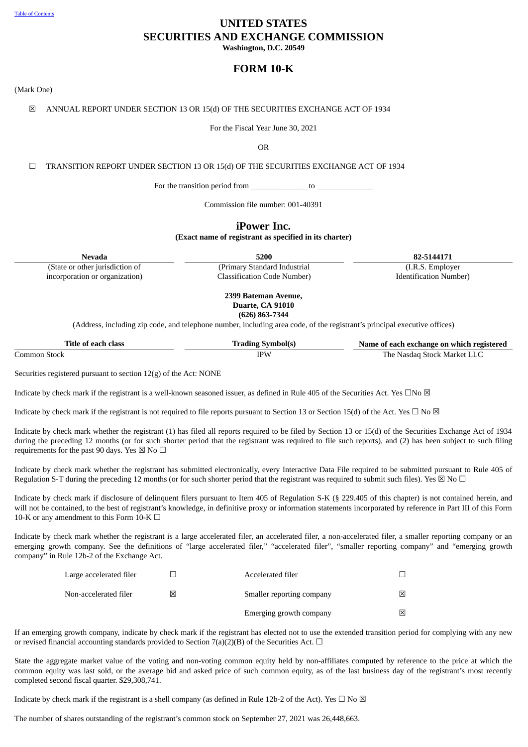# **UNITED STATES SECURITIES AND EXCHANGE COMMISSION**

**Washington, D.C. 20549**

# **FORM 10-K**

(Mark One)

# ☒ ANNUAL REPORT UNDER SECTION 13 OR 15(d) OF THE SECURITIES EXCHANGE ACT OF 1934

For the Fiscal Year June 30, 2021

OR

☐ TRANSITION REPORT UNDER SECTION 13 OR 15(d) OF THE SECURITIES EXCHANGE ACT OF 1934

For the transition period from \_\_\_\_\_\_\_\_\_\_\_\_\_\_ to \_\_\_\_\_\_\_\_\_\_\_\_\_\_

Commission file number: 001-40391

# **iPower Inc.**

**(Exact name of registrant as specified in its charter)**

| Nevada                          | 5200                               | 82-5144171                    |
|---------------------------------|------------------------------------|-------------------------------|
| (State or other jurisdiction of | (Primary Standard Industrial)      | (I.R.S. Employer)             |
| incorporation or organization)  | <b>Classification Code Number)</b> | <b>Identification Number)</b> |

**2399 Bateman Avenue, Duarte, CA 91010 (626) 863-7344**

(Address, including zip code, and telephone number, including area code, of the registrant's principal executive offices)

| Title of each class<br>Nymbol(s)<br>Fradıng |     | Name of each exchange on which registered      |
|---------------------------------------------|-----|------------------------------------------------|
| Common Stock                                | TPW | LLC<br>. Market I<br>r'he-<br>Nasdad<br>Stock. |

Securities registered pursuant to section 12(g) of the Act: NONE

Indicate by check mark if the registrant is a well-known seasoned issuer, as defined in Rule 405 of the Securities Act. Yes □No ⊠

Indicate by check mark if the registrant is not required to file reports pursuant to Section 13 or Section 15(d) of the Act. Yes  $\Box$  No  $\boxtimes$ 

Indicate by check mark whether the registrant (1) has filed all reports required to be filed by Section 13 or 15(d) of the Securities Exchange Act of 1934 during the preceding 12 months (or for such shorter period that the registrant was required to file such reports), and (2) has been subject to such filing requirements for the past 90 days. Yes  $\boxtimes$  No  $\Box$ 

Indicate by check mark whether the registrant has submitted electronically, every Interactive Data File required to be submitted pursuant to Rule 405 of Regulation S-T during the preceding 12 months (or for such shorter period that the registrant was required to submit such files). Yes  $\boxtimes$  No  $\Box$ 

Indicate by check mark if disclosure of delinquent filers pursuant to Item 405 of Regulation S-K (§ 229.405 of this chapter) is not contained herein, and will not be contained, to the best of registrant's knowledge, in definitive proxy or information statements incorporated by reference in Part III of this Form 10-K or any amendment to this Form 10-K  $\Box$ 

Indicate by check mark whether the registrant is a large accelerated filer, an accelerated filer, a non-accelerated filer, a smaller reporting company or an emerging growth company. See the definitions of "large accelerated filer," "accelerated filer", "smaller reporting company" and "emerging growth company" in Rule 12b-2 of the Exchange Act.

| Large accelerated filer |   | Accelerated filer         |   |
|-------------------------|---|---------------------------|---|
| Non-accelerated filer   | ⊠ | Smaller reporting company | ⊠ |
|                         |   | Emerging growth company   | ⊠ |

If an emerging growth company, indicate by check mark if the registrant has elected not to use the extended transition period for complying with any new or revised financial accounting standards provided to Section 7(a)(2)(B) of the Securities Act.  $\Box$ 

State the aggregate market value of the voting and non-voting common equity held by non-affiliates computed by reference to the price at which the common equity was last sold, or the average bid and asked price of such common equity, as of the last business day of the registrant's most recently completed second fiscal quarter. \$29,308,741.

Indicate by check mark if the registrant is a shell company (as defined in Rule 12b-2 of the Act). Yes  $\Box$  No  $\boxtimes$ 

The number of shares outstanding of the registrant's common stock on September 27, 2021 was 26,448,663.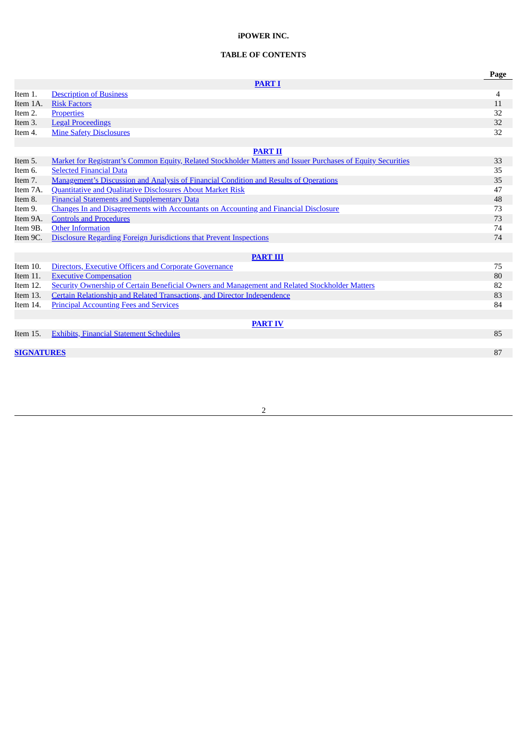# **iPOWER INC.**

# **TABLE OF CONTENTS**

<span id="page-2-0"></span>

|                   |                                                                                                              | Page |
|-------------------|--------------------------------------------------------------------------------------------------------------|------|
|                   | <b>PART I</b>                                                                                                |      |
| Item 1.           | <b>Description of Business</b>                                                                               | 4    |
| Item 1A.          | <b>Risk Factors</b>                                                                                          | 11   |
| Item 2.           | <b>Properties</b>                                                                                            | 32   |
| Item 3.           | <b>Legal Proceedings</b>                                                                                     | 32   |
| Item 4.           | <b>Mine Safety Disclosures</b>                                                                               | 32   |
|                   |                                                                                                              |      |
|                   | <b>PART II</b>                                                                                               |      |
| Item 5.           | Market for Registrant's Common Equity, Related Stockholder Matters and Issuer Purchases of Equity Securities | 33   |
| Item 6.           | <b>Selected Financial Data</b>                                                                               | 35   |
| Item 7.           | Management's Discussion and Analysis of Financial Condition and Results of Operations                        | 35   |
| Item 7A.          | Quantitative and Qualitative Disclosures About Market Risk                                                   | 47   |
| Item 8.           | <b>Financial Statements and Supplementary Data</b>                                                           | 48   |
| Item 9.           | Changes In and Disagreements with Accountants on Accounting and Financial Disclosure                         | 73   |
| Item 9A.          | <b>Controls and Procedures</b>                                                                               | 73   |
| Item 9B.          | <b>Other Information</b>                                                                                     | 74   |
| Item 9C.          | Disclosure Regarding Foreign Jurisdictions that Prevent Inspections                                          | 74   |
|                   |                                                                                                              |      |
|                   | <b>PART III</b>                                                                                              |      |
| Item 10.          | Directors, Executive Officers and Corporate Governance                                                       | 75   |
| Item 11.          | <b>Executive Compensation</b>                                                                                | 80   |
| Item 12.          | <b>Security Ownership of Certain Beneficial Owners and Management and Related Stockholder Matters</b>        | 82   |
| Item 13.          | Certain Relationship and Related Transactions, and Director Independence                                     | 83   |
| Item 14.          | <b>Principal Accounting Fees and Services</b>                                                                | 84   |
|                   |                                                                                                              |      |
|                   | <b>PART IV</b>                                                                                               |      |
| Item 15.          | <b>Exhibits, Financial Statement Schedules</b>                                                               | 85   |
|                   |                                                                                                              |      |
| <b>SIGNATURES</b> |                                                                                                              | 87   |
|                   |                                                                                                              |      |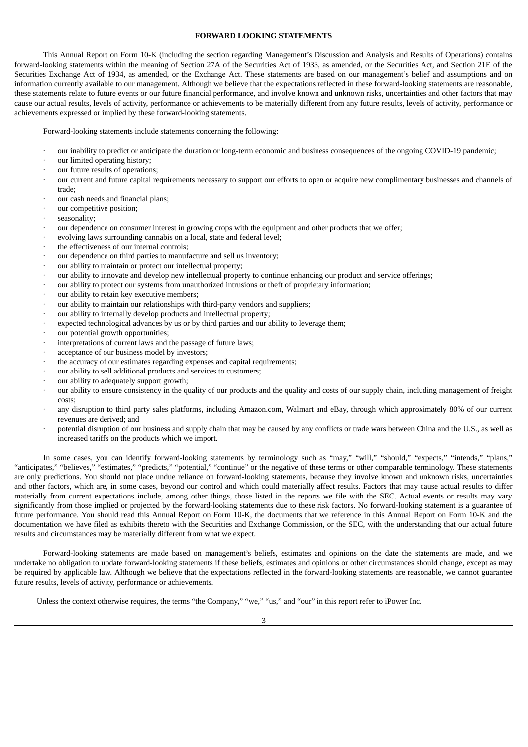# **FORWARD LOOKING STATEMENTS**

This Annual Report on Form 10-K (including the section regarding Management's Discussion and Analysis and Results of Operations) contains forward-looking statements within the meaning of Section 27A of the Securities Act of 1933, as amended, or the Securities Act, and Section 21E of the Securities Exchange Act of 1934, as amended, or the Exchange Act. These statements are based on our management's belief and assumptions and on information currently available to our management. Although we believe that the expectations reflected in these forward-looking statements are reasonable, these statements relate to future events or our future financial performance, and involve known and unknown risks, uncertainties and other factors that may cause our actual results, levels of activity, performance or achievements to be materially different from any future results, levels of activity, performance or achievements expressed or implied by these forward-looking statements.

Forward-looking statements include statements concerning the following:

- · our inability to predict or anticipate the duration or long-term economic and business consequences of the ongoing COVID-19 pandemic;
- our limited operating history;
- our future results of operations;
- · our current and future capital requirements necessary to support our efforts to open or acquire new complimentary businesses and channels of trade;
- our cash needs and financial plans;
- our competitive position;
- seasonality;
- our dependence on consumer interest in growing crops with the equipment and other products that we offer;
- evolving laws surrounding cannabis on a local, state and federal level;
- the effectiveness of our internal controls;
- our dependence on third parties to manufacture and sell us inventory;
- our ability to maintain or protect our intellectual property;
- · our ability to innovate and develop new intellectual property to continue enhancing our product and service offerings;
- our ability to protect our systems from unauthorized intrusions or theft of proprietary information;
- our ability to retain key executive members;
- · our ability to maintain our relationships with third-party vendors and suppliers;
- our ability to internally develop products and intellectual property;
- expected technological advances by us or by third parties and our ability to leverage them;
- our potential growth opportunities;
- interpretations of current laws and the passage of future laws;
- acceptance of our business model by investors;
- the accuracy of our estimates regarding expenses and capital requirements;
- our ability to sell additional products and services to customers;
- our ability to adequately support growth;
- · our ability to ensure consistency in the quality of our products and the quality and costs of our supply chain, including management of freight costs;
- · any disruption to third party sales platforms, including Amazon.com, Walmart and eBay, through which approximately 80% of our current revenues are derived; and
- · potential disruption of our business and supply chain that may be caused by any conflicts or trade wars between China and the U.S., as well as increased tariffs on the products which we import.

In some cases, you can identify forward-looking statements by terminology such as "may," "will," "should," "expects," "intends," "plans," "anticipates," "believes," "estimates," "predicts," "potential," "continue" or the negative of these terms or other comparable terminology. These statements are only predictions. You should not place undue reliance on forward-looking statements, because they involve known and unknown risks, uncertainties and other factors, which are, in some cases, beyond our control and which could materially affect results. Factors that may cause actual results to differ materially from current expectations include, among other things, those listed in the reports we file with the SEC. Actual events or results may vary significantly from those implied or projected by the forward-looking statements due to these risk factors. No forward-looking statement is a guarantee of future performance. You should read this Annual Report on Form 10-K, the documents that we reference in this Annual Report on Form 10-K and the documentation we have filed as exhibits thereto with the Securities and Exchange Commission, or the SEC, with the understanding that our actual future results and circumstances may be materially different from what we expect.

Forward-looking statements are made based on management's beliefs, estimates and opinions on the date the statements are made, and we undertake no obligation to update forward-looking statements if these beliefs, estimates and opinions or other circumstances should change, except as may be required by applicable law. Although we believe that the expectations reflected in the forward-looking statements are reasonable, we cannot guarantee future results, levels of activity, performance or achievements.

Unless the context otherwise requires, the terms "the Company," "we," "us," and "our" in this report refer to iPower Inc.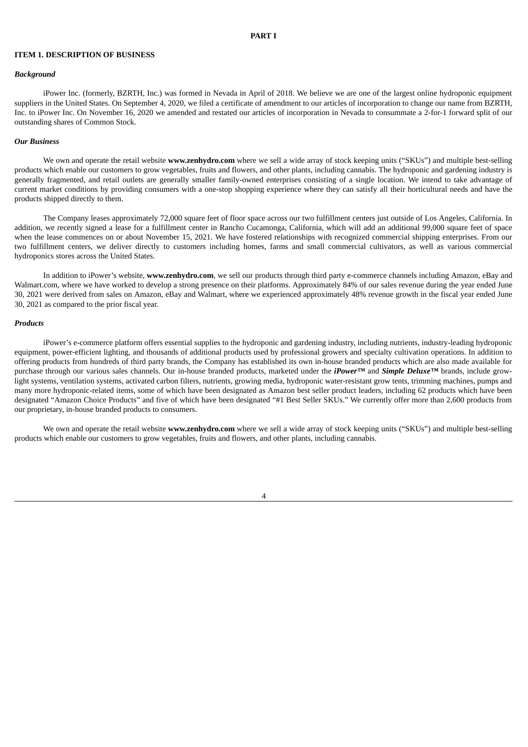# <span id="page-4-1"></span><span id="page-4-0"></span>**ITEM 1. DESCRIPTION OF BUSINESS**

### *Background*

iPower Inc. (formerly, BZRTH, Inc.) was formed in Nevada in April of 2018. We believe we are one of the largest online hydroponic equipment suppliers in the United States. On September 4, 2020, we filed a certificate of amendment to our articles of incorporation to change our name from BZRTH, Inc. to iPower Inc. On November 16, 2020 we amended and restated our articles of incorporation in Nevada to consummate a 2-for-1 forward split of our outstanding shares of Common Stock.

#### *Our Business*

We own and operate the retail website **www.zenhydro.com** where we sell a wide array of stock keeping units ("SKUs") and multiple best-selling products which enable our customers to grow vegetables, fruits and flowers, and other plants, including cannabis. The hydroponic and gardening industry is generally fragmented, and retail outlets are generally smaller family-owned enterprises consisting of a single location. We intend to take advantage of current market conditions by providing consumers with a one-stop shopping experience where they can satisfy all their horticultural needs and have the products shipped directly to them.

The Company leases approximately 72,000 square feet of floor space across our two fulfillment centers just outside of Los Angeles, California. In addition, we recently signed a lease for a fulfillment center in Rancho Cucamonga, California, which will add an additional 99,000 square feet of space when the lease commences on or about November 15, 2021. We have fostered relationships with recognized commercial shipping enterprises. From our two fulfillment centers, we deliver directly to customers including homes, farms and small commercial cultivators, as well as various commercial hydroponics stores across the United States.

In addition to iPower's website, **www.zenhydro.com**, we sell our products through third party e-commerce channels including Amazon, eBay and Walmart.com, where we have worked to develop a strong presence on their platforms. Approximately 84% of our sales revenue during the year ended June 30, 2021 were derived from sales on Amazon, eBay and Walmart, where we experienced approximately 48% revenue growth in the fiscal year ended June 30, 2021 as compared to the prior fiscal year.

#### *Products*

iPower's e-commerce platform offers essential supplies to the hydroponic and gardening industry, including nutrients, industry-leading hydroponic equipment, power-efficient lighting, and thousands of additional products used by professional growers and specialty cultivation operations. In addition to offering products from hundreds of third party brands, the Company has established its own in-house branded products which are also made available for purchase through our various sales channels. Our in-house branded products, marketed under the *iPower™* and *Simple Deluxe™* brands, include growlight systems, ventilation systems, activated carbon filters, nutrients, growing media, hydroponic water-resistant grow tents, trimming machines, pumps and many more hydroponic-related items, some of which have been designated as Amazon best seller product leaders, including 62 products which have been designated "Amazon Choice Products" and five of which have been designated "#1 Best Seller SKUs." We currently offer more than 2,600 products from our proprietary, in-house branded products to consumers.

We own and operate the retail website **www.zenhydro.com** where we sell a wide array of stock keeping units ("SKUs") and multiple best-selling products which enable our customers to grow vegetables, fruits and flowers, and other plants, including cannabis.

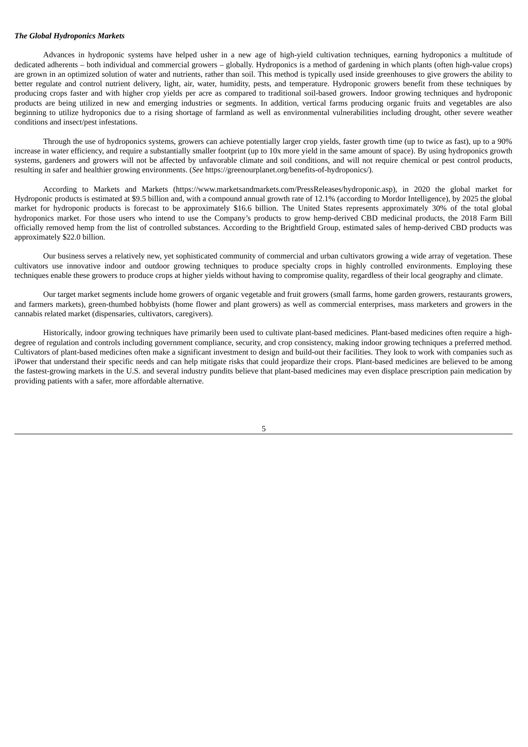# *The Global Hydroponics Markets*

Advances in hydroponic systems have helped usher in a new age of high-yield cultivation techniques, earning hydroponics a multitude of dedicated adherents – both individual and commercial growers – globally. Hydroponics is a method of gardening in which plants (often high-value crops) are grown in an optimized solution of water and nutrients, rather than soil. This method is typically used inside greenhouses to give growers the ability to better regulate and control nutrient delivery, light, air, water, humidity, pests, and temperature. Hydroponic growers benefit from these techniques by producing crops faster and with higher crop yields per acre as compared to traditional soil-based growers. Indoor growing techniques and hydroponic products are being utilized in new and emerging industries or segments. In addition, vertical farms producing organic fruits and vegetables are also beginning to utilize hydroponics due to a rising shortage of farmland as well as environmental vulnerabilities including drought, other severe weather conditions and insect/pest infestations.

Through the use of hydroponics systems, growers can achieve potentially larger crop yields, faster growth time (up to twice as fast), up to a 90% increase in water efficiency, and require a substantially smaller footprint (up to 10x more yield in the same amount of space). By using hydroponics growth systems, gardeners and growers will not be affected by unfavorable climate and soil conditions, and will not require chemical or pest control products, resulting in safer and healthier growing environments. (*See* https://greenourplanet.org/benefits-of-hydroponics/).

According to Markets and Markets (https://www.marketsandmarkets.com/PressReleases/hydroponic.asp), in 2020 the global market for Hydroponic products is estimated at \$9.5 billion and, with a compound annual growth rate of 12.1% (according to Mordor Intelligence), by 2025 the global market for hydroponic products is forecast to be approximately \$16.6 billion. The United States represents approximately 30% of the total global hydroponics market. For those users who intend to use the Company's products to grow hemp-derived CBD medicinal products, the 2018 Farm Bill officially removed hemp from the list of controlled substances. According to the Brightfield Group, estimated sales of hemp-derived CBD products was approximately \$22.0 billion.

Our business serves a relatively new, yet sophisticated community of commercial and urban cultivators growing a wide array of vegetation. These cultivators use innovative indoor and outdoor growing techniques to produce specialty crops in highly controlled environments. Employing these techniques enable these growers to produce crops at higher yields without having to compromise quality, regardless of their local geography and climate.

Our target market segments include home growers of organic vegetable and fruit growers (small farms, home garden growers, restaurants growers, and farmers markets), green-thumbed hobbyists (home flower and plant growers) as well as commercial enterprises, mass marketers and growers in the cannabis related market (dispensaries, cultivators, caregivers).

Historically, indoor growing techniques have primarily been used to cultivate plant-based medicines. Plant-based medicines often require a highdegree of regulation and controls including government compliance, security, and crop consistency, making indoor growing techniques a preferred method. Cultivators of plant-based medicines often make a significant investment to design and build-out their facilities. They look to work with companies such as iPower that understand their specific needs and can help mitigate risks that could jeopardize their crops. Plant-based medicines are believed to be among the fastest-growing markets in the U.S. and several industry pundits believe that plant-based medicines may even displace prescription pain medication by providing patients with a safer, more affordable alternative.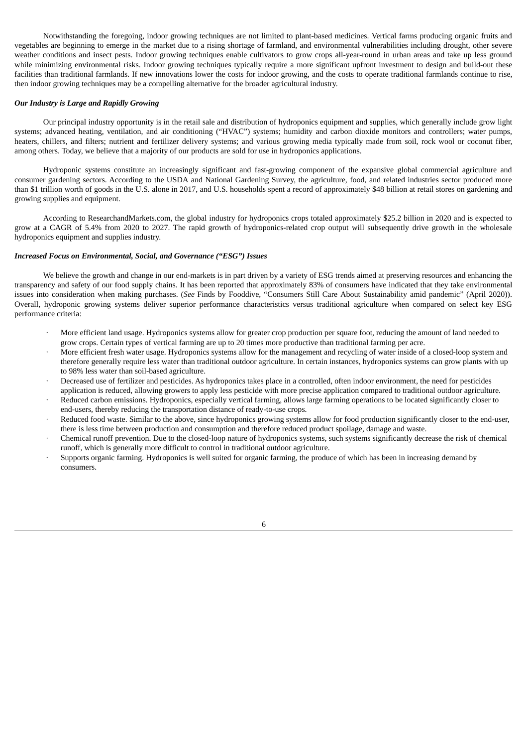Notwithstanding the foregoing, indoor growing techniques are not limited to plant-based medicines. Vertical farms producing organic fruits and vegetables are beginning to emerge in the market due to a rising shortage of farmland, and environmental vulnerabilities including drought, other severe weather conditions and insect pests. Indoor growing techniques enable cultivators to grow crops all-year-round in urban areas and take up less ground while minimizing environmental risks. Indoor growing techniques typically require a more significant upfront investment to design and build-out these facilities than traditional farmlands. If new innovations lower the costs for indoor growing, and the costs to operate traditional farmlands continue to rise, then indoor growing techniques may be a compelling alternative for the broader agricultural industry.

# *Our Industry is Large and Rapidly Growing*

Our principal industry opportunity is in the retail sale and distribution of hydroponics equipment and supplies, which generally include grow light systems; advanced heating, ventilation, and air conditioning ("HVAC") systems; humidity and carbon dioxide monitors and controllers; water pumps, heaters, chillers, and filters; nutrient and fertilizer delivery systems; and various growing media typically made from soil, rock wool or coconut fiber, among others. Today, we believe that a majority of our products are sold for use in hydroponics applications.

Hydroponic systems constitute an increasingly significant and fast-growing component of the expansive global commercial agriculture and consumer gardening sectors. According to the USDA and National Gardening Survey, the agriculture, food, and related industries sector produced more than \$1 trillion worth of goods in the U.S. alone in 2017, and U.S. households spent a record of approximately \$48 billion at retail stores on gardening and growing supplies and equipment.

According to ResearchandMarkets.com, the global industry for hydroponics crops totaled approximately \$25.2 billion in 2020 and is expected to grow at a CAGR of 5.4% from 2020 to 2027. The rapid growth of hydroponics-related crop output will subsequently drive growth in the wholesale hydroponics equipment and supplies industry.

# *Increased Focus on Environmental, Social, and Governance ("ESG") Issues*

We believe the growth and change in our end-markets is in part driven by a variety of ESG trends aimed at preserving resources and enhancing the transparency and safety of our food supply chains. It has been reported that approximately 83% of consumers have indicated that they take environmental issues into consideration when making purchases. (*See* Finds by Fooddive, "Consumers Still Care About Sustainability amid pandemic" (April 2020)). Overall, hydroponic growing systems deliver superior performance characteristics versus traditional agriculture when compared on select key ESG performance criteria:

- · More efficient land usage. Hydroponics systems allow for greater crop production per square foot, reducing the amount of land needed to grow crops. Certain types of vertical farming are up to 20 times more productive than traditional farming per acre.
- More efficient fresh water usage. Hydroponics systems allow for the management and recycling of water inside of a closed-loop system and therefore generally require less water than traditional outdoor agriculture. In certain instances, hydroponics systems can grow plants with up to 98% less water than soil-based agriculture.
- · Decreased use of fertilizer and pesticides. As hydroponics takes place in a controlled, often indoor environment, the need for pesticides application is reduced, allowing growers to apply less pesticide with more precise application compared to traditional outdoor agriculture.
- Reduced carbon emissions. Hydroponics, especially vertical farming, allows large farming operations to be located significantly closer to end-users, thereby reducing the transportation distance of ready-to-use crops.
- · Reduced food waste. Similar to the above, since hydroponics growing systems allow for food production significantly closer to the end-user, there is less time between production and consumption and therefore reduced product spoilage, damage and waste.
- · Chemical runoff prevention. Due to the closed-loop nature of hydroponics systems, such systems significantly decrease the risk of chemical runoff, which is generally more difficult to control in traditional outdoor agriculture.
- Supports organic farming. Hydroponics is well suited for organic farming, the produce of which has been in increasing demand by consumers.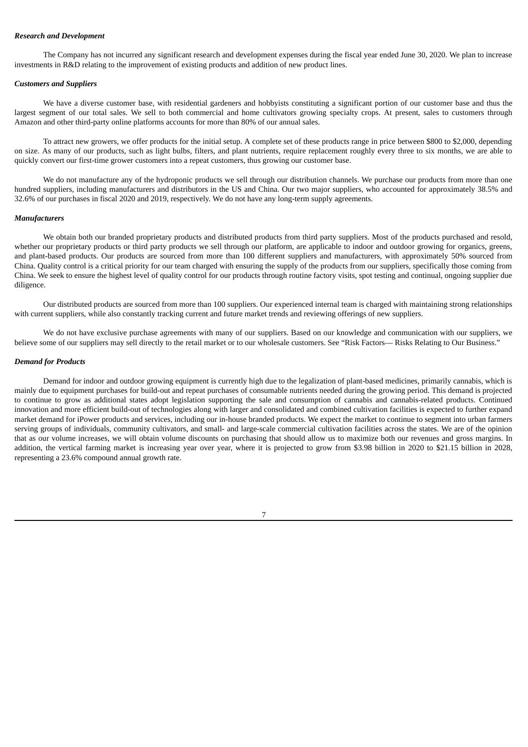# *Research and Development*

The Company has not incurred any significant research and development expenses during the fiscal year ended June 30, 2020. We plan to increase investments in R&D relating to the improvement of existing products and addition of new product lines.

#### *Customers and Suppliers*

We have a diverse customer base, with residential gardeners and hobbyists constituting a significant portion of our customer base and thus the largest segment of our total sales. We sell to both commercial and home cultivators growing specialty crops. At present, sales to customers through Amazon and other third-party online platforms accounts for more than 80% of our annual sales.

To attract new growers, we offer products for the initial setup. A complete set of these products range in price between \$800 to \$2,000, depending on size. As many of our products, such as light bulbs, filters, and plant nutrients, require replacement roughly every three to six months, we are able to quickly convert our first-time grower customers into a repeat customers, thus growing our customer base.

We do not manufacture any of the hydroponic products we sell through our distribution channels. We purchase our products from more than one hundred suppliers, including manufacturers and distributors in the US and China. Our two major suppliers, who accounted for approximately 38.5% and 32.6% of our purchases in fiscal 2020 and 2019, respectively. We do not have any long-term supply agreements.

#### *Manufacturers*

We obtain both our branded proprietary products and distributed products from third party suppliers. Most of the products purchased and resold, whether our proprietary products or third party products we sell through our platform, are applicable to indoor and outdoor growing for organics, greens, and plant-based products. Our products are sourced from more than 100 different suppliers and manufacturers, with approximately 50% sourced from China. Quality control is a critical priority for our team charged with ensuring the supply of the products from our suppliers, specifically those coming from China. We seek to ensure the highest level of quality control for our products through routine factory visits, spot testing and continual, ongoing supplier due diligence.

Our distributed products are sourced from more than 100 suppliers. Our experienced internal team is charged with maintaining strong relationships with current suppliers, while also constantly tracking current and future market trends and reviewing offerings of new suppliers.

We do not have exclusive purchase agreements with many of our suppliers. Based on our knowledge and communication with our suppliers, we believe some of our suppliers may sell directly to the retail market or to our wholesale customers. See "Risk Factors— Risks Relating to Our Business."

#### *Demand for Products*

Demand for indoor and outdoor growing equipment is currently high due to the legalization of plant-based medicines, primarily cannabis, which is mainly due to equipment purchases for build-out and repeat purchases of consumable nutrients needed during the growing period. This demand is projected to continue to grow as additional states adopt legislation supporting the sale and consumption of cannabis and cannabis-related products. Continued innovation and more efficient build-out of technologies along with larger and consolidated and combined cultivation facilities is expected to further expand market demand for iPower products and services, including our in-house branded products. We expect the market to continue to segment into urban farmers serving groups of individuals, community cultivators, and small- and large-scale commercial cultivation facilities across the states. We are of the opinion that as our volume increases, we will obtain volume discounts on purchasing that should allow us to maximize both our revenues and gross margins. In addition, the vertical farming market is increasing year over year, where it is projected to grow from \$3.98 billion in 2020 to \$21.15 billion in 2028, representing a 23.6% compound annual growth rate.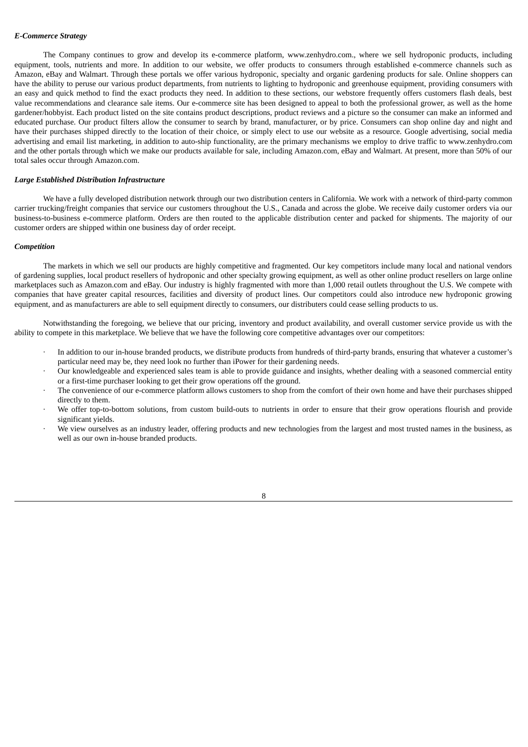#### *E-Commerce Strategy*

The Company continues to grow and develop its e-commerce platform, www.zenhydro.com., where we sell hydroponic products, including equipment, tools, nutrients and more. In addition to our website, we offer products to consumers through established e-commerce channels such as Amazon, eBay and Walmart. Through these portals we offer various hydroponic, specialty and organic gardening products for sale. Online shoppers can have the ability to peruse our various product departments, from nutrients to lighting to hydroponic and greenhouse equipment, providing consumers with an easy and quick method to find the exact products they need. In addition to these sections, our webstore frequently offers customers flash deals, best value recommendations and clearance sale items. Our e-commerce site has been designed to appeal to both the professional grower, as well as the home gardener/hobbyist. Each product listed on the site contains product descriptions, product reviews and a picture so the consumer can make an informed and educated purchase. Our product filters allow the consumer to search by brand, manufacturer, or by price. Consumers can shop online day and night and have their purchases shipped directly to the location of their choice, or simply elect to use our website as a resource. Google advertising, social media advertising and email list marketing, in addition to auto-ship functionality, are the primary mechanisms we employ to drive traffic to www.zenhydro.com and the other portals through which we make our products available for sale, including Amazon.com, eBay and Walmart. At present, more than 50% of our total sales occur through Amazon.com.

#### *Large Established Distribution Infrastructure*

We have a fully developed distribution network through our two distribution centers in California. We work with a network of third-party common carrier trucking/freight companies that service our customers throughout the U.S., Canada and across the globe. We receive daily customer orders via our business-to-business e-commerce platform. Orders are then routed to the applicable distribution center and packed for shipments. The majority of our customer orders are shipped within one business day of order receipt.

# *Competition*

The markets in which we sell our products are highly competitive and fragmented. Our key competitors include many local and national vendors of gardening supplies, local product resellers of hydroponic and other specialty growing equipment, as well as other online product resellers on large online marketplaces such as Amazon.com and eBay. Our industry is highly fragmented with more than 1,000 retail outlets throughout the U.S. We compete with companies that have greater capital resources, facilities and diversity of product lines. Our competitors could also introduce new hydroponic growing equipment, and as manufacturers are able to sell equipment directly to consumers, our distributers could cease selling products to us.

Notwithstanding the foregoing, we believe that our pricing, inventory and product availability, and overall customer service provide us with the ability to compete in this marketplace. We believe that we have the following core competitive advantages over our competitors:

- · In addition to our in-house branded products, we distribute products from hundreds of third-party brands, ensuring that whatever a customer's particular need may be, they need look no further than iPower for their gardening needs.
- · Our knowledgeable and experienced sales team is able to provide guidance and insights, whether dealing with a seasoned commercial entity or a first-time purchaser looking to get their grow operations off the ground.
- The convenience of our e-commerce platform allows customers to shop from the comfort of their own home and have their purchases shipped directly to them.
- We offer top-to-bottom solutions, from custom build-outs to nutrients in order to ensure that their grow operations flourish and provide significant yields.
- We view ourselves as an industry leader, offering products and new technologies from the largest and most trusted names in the business, as well as our own in-house branded products.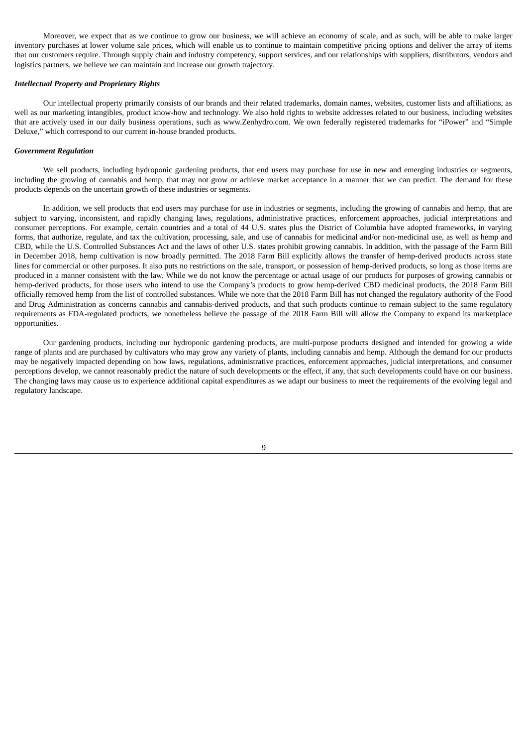Moreover, we expect that as we continue to grow our business, we will achieve an economy of scale, and as such, will be able to make larger inventory purchases at lower volume sale prices, which will enable us to continue to maintain competitive pricing options and deliver the array of items that our customers require. Through supply chain and industry competency, support services, and our relationships with suppliers, distributors, vendors and logistics partners, we believe we can maintain and increase our growth trajectory.

#### *Intellectual Property and Proprietary Rights*

Our intellectual property primarily consists of our brands and their related trademarks, domain names, websites, customer lists and affiliations, as well as our marketing intangibles, product know-how and technology. We also hold rights to website addresses related to our business, including websites that are actively used in our daily business operations, such as www.Zenhydro.com. We own federally registered trademarks for "iPower" and "Simple Deluxe," which correspond to our current in-house branded products.

#### *Government Regulation*

We sell products, including hydroponic gardening products, that end users may purchase for use in new and emerging industries or segments, including the growing of cannabis and hemp, that may not grow or achieve market acceptance in a manner that we can predict. The demand for these products depends on the uncertain growth of these industries or segments.

In addition, we sell products that end users may purchase for use in industries or segments, including the growing of cannabis and hemp, that are subject to varying, inconsistent, and rapidly changing laws, regulations, administrative practices, enforcement approaches, judicial interpretations and consumer perceptions. For example, certain countries and a total of 44 U.S. states plus the District of Columbia have adopted frameworks, in varying forms, that authorize, regulate, and tax the cultivation, processing, sale, and use of cannabis for medicinal and/or non-medicinal use, as well as hemp and CBD, while the U.S. Controlled Substances Act and the laws of other U.S. states prohibit growing cannabis. In addition, with the passage of the Farm Bill in December 2018, hemp cultivation is now broadly permitted. The 2018 Farm Bill explicitly allows the transfer of hemp-derived products across state lines for commercial or other purposes. It also puts no restrictions on the sale, transport, or possession of hemp-derived products, so long as those items are produced in a manner consistent with the law. While we do not know the percentage or actual usage of our products for purposes of growing cannabis or hemp-derived products, for those users who intend to use the Company's products to grow hemp-derived CBD medicinal products, the 2018 Farm Bill officially removed hemp from the list of controlled substances. While we note that the 2018 Farm Bill has not changed the regulatory authority of the Food and Drug Administration as concerns cannabis and cannabis-derived products, and that such products continue to remain subject to the same regulatory requirements as FDA-regulated products, we nonetheless believe the passage of the 2018 Farm Bill will allow the Company to expand its marketplace opportunities.

Our gardening products, including our hydroponic gardening products, are multi-purpose products designed and intended for growing a wide range of plants and are purchased by cultivators who may grow any variety of plants, including cannabis and hemp. Although the demand for our products may be negatively impacted depending on how laws, regulations, administrative practices, enforcement approaches, judicial interpretations, and consumer perceptions develop, we cannot reasonably predict the nature of such developments or the effect, if any, that such developments could have on our business. The changing laws may cause us to experience additional capital expenditures as we adapt our business to meet the requirements of the evolving legal and regulatory landscape.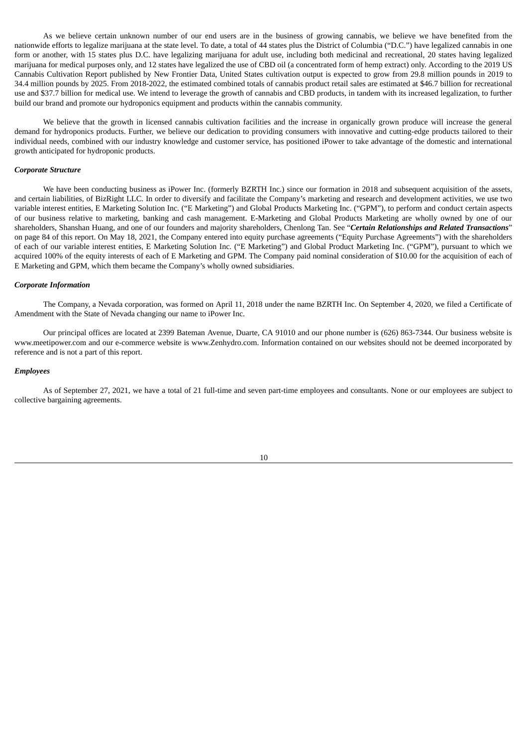As we believe certain unknown number of our end users are in the business of growing cannabis, we believe we have benefited from the nationwide efforts to legalize marijuana at the state level. To date, a total of 44 states plus the District of Columbia ("D.C.") have legalized cannabis in one form or another, with 15 states plus D.C. have legalizing marijuana for adult use, including both medicinal and recreational, 20 states having legalized marijuana for medical purposes only, and 12 states have legalized the use of CBD oil (a concentrated form of hemp extract) only. According to the 2019 US Cannabis Cultivation Report published by New Frontier Data, United States cultivation output is expected to grow from 29.8 million pounds in 2019 to 34.4 million pounds by 2025. From 2018-2022, the estimated combined totals of cannabis product retail sales are estimated at \$46.7 billion for recreational use and \$37.7 billion for medical use. We intend to leverage the growth of cannabis and CBD products, in tandem with its increased legalization, to further build our brand and promote our hydroponics equipment and products within the cannabis community.

We believe that the growth in licensed cannabis cultivation facilities and the increase in organically grown produce will increase the general demand for hydroponics products. Further, we believe our dedication to providing consumers with innovative and cutting-edge products tailored to their individual needs, combined with our industry knowledge and customer service, has positioned iPower to take advantage of the domestic and international growth anticipated for hydroponic products.

# *Corporate Structure*

We have been conducting business as iPower Inc. (formerly BZRTH Inc.) since our formation in 2018 and subsequent acquisition of the assets, and certain liabilities, of BizRight LLC. In order to diversify and facilitate the Company's marketing and research and development activities, we use two variable interest entities, E Marketing Solution Inc. ("E Marketing") and Global Products Marketing Inc. ("GPM"), to perform and conduct certain aspects of our business relative to marketing, banking and cash management. E-Marketing and Global Products Marketing are wholly owned by one of our shareholders, Shanshan Huang, and one of our founders and majority shareholders, Chenlong Tan. See "*Certain Relationships and Related Transactions*" on page 84 of this report. On May 18, 2021, the Company entered into equity purchase agreements ("Equity Purchase Agreements") with the shareholders of each of our variable interest entities, E Marketing Solution Inc. ("E Marketing") and Global Product Marketing Inc. ("GPM"), pursuant to which we acquired 100% of the equity interests of each of E Marketing and GPM. The Company paid nominal consideration of \$10.00 for the acquisition of each of E Marketing and GPM, which them became the Company's wholly owned subsidiaries.

### *Corporate Information*

The Company, a Nevada corporation, was formed on April 11, 2018 under the name BZRTH Inc. On September 4, 2020, we filed a Certificate of Amendment with the State of Nevada changing our name to iPower Inc.

Our principal offices are located at 2399 Bateman Avenue, Duarte, CA 91010 and our phone number is (626) 863-7344. Our business website is www.meetipower.com and our e-commerce website is www.Zenhydro.com. Information contained on our websites should not be deemed incorporated by reference and is not a part of this report.

#### *Employees*

As of September 27, 2021, we have a total of 21 full-time and seven part-time employees and consultants. None or our employees are subject to collective bargaining agreements.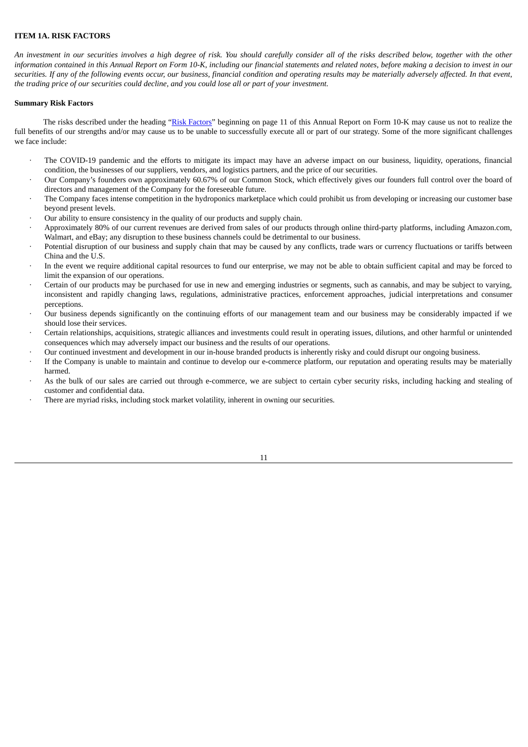# <span id="page-11-0"></span>**ITEM 1A. RISK FACTORS**

An investment in our securities involves a high degree of risk. You should carefully consider all of the risks described below, together with the other information contained in this Annual Report on Form 10-K, including our financial statements and related notes, before making a decision to invest in our securities. If any of the following events occur, our business, financial condition and operating results may be materially adversely affected. In that event, the trading price of our securities could decline, and you could lose all or part of your investment.

# **Summary Risk Factors**

The risks described under the heading "Risk [Factors"](#page-11-0) beginning on page 11 of this Annual Report on Form 10-K may cause us not to realize the full benefits of our strengths and/or may cause us to be unable to successfully execute all or part of our strategy. Some of the more significant challenges we face include:

- · The COVID-19 pandemic and the efforts to mitigate its impact may have an adverse impact on our business, liquidity, operations, financial condition, the businesses of our suppliers, vendors, and logistics partners, and the price of our securities.
- · Our Company's founders own approximately 60.67% of our Common Stock, which effectively gives our founders full control over the board of directors and management of the Company for the foreseeable future.
- The Company faces intense competition in the hydroponics marketplace which could prohibit us from developing or increasing our customer base beyond present levels.
- Our ability to ensure consistency in the quality of our products and supply chain.
- · Approximately 80% of our current revenues are derived from sales of our products through online third-party platforms, including Amazon.com, Walmart, and eBay; any disruption to these business channels could be detrimental to our business.
- Potential disruption of our business and supply chain that may be caused by any conflicts, trade wars or currency fluctuations or tariffs between China and the U.S.
- · In the event we require additional capital resources to fund our enterprise, we may not be able to obtain sufficient capital and may be forced to limit the expansion of our operations.
- Certain of our products may be purchased for use in new and emerging industries or segments, such as cannabis, and may be subject to varying, inconsistent and rapidly changing laws, regulations, administrative practices, enforcement approaches, judicial interpretations and consumer perceptions.
- · Our business depends significantly on the continuing efforts of our management team and our business may be considerably impacted if we should lose their services.
- · Certain relationships, acquisitions, strategic alliances and investments could result in operating issues, dilutions, and other harmful or unintended consequences which may adversely impact our business and the results of our operations.
- · Our continued investment and development in our in-house branded products is inherently risky and could disrupt our ongoing business.
- If the Company is unable to maintain and continue to develop our e-commerce platform, our reputation and operating results may be materially harmed.
- As the bulk of our sales are carried out through e-commerce, we are subject to certain cyber security risks, including hacking and stealing of customer and confidential data.
- There are myriad risks, including stock market volatility, inherent in owning our securities.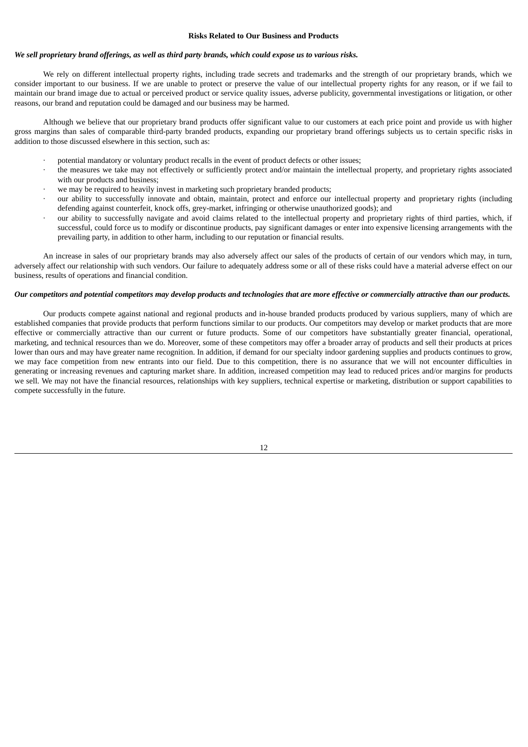#### **Risks Related to Our Business and Products**

# We sell proprietary brand offerings, as well as third party brands, which could expose us to various risks.

We rely on different intellectual property rights, including trade secrets and trademarks and the strength of our proprietary brands, which we consider important to our business. If we are unable to protect or preserve the value of our intellectual property rights for any reason, or if we fail to maintain our brand image due to actual or perceived product or service quality issues, adverse publicity, governmental investigations or litigation, or other reasons, our brand and reputation could be damaged and our business may be harmed.

Although we believe that our proprietary brand products offer significant value to our customers at each price point and provide us with higher gross margins than sales of comparable third-party branded products, expanding our proprietary brand offerings subjects us to certain specific risks in addition to those discussed elsewhere in this section, such as:

- potential mandatory or voluntary product recalls in the event of product defects or other issues;
- the measures we take may not effectively or sufficiently protect and/or maintain the intellectual property, and proprietary rights associated with our products and business;
- we may be required to heavily invest in marketing such proprietary branded products;
- · our ability to successfully innovate and obtain, maintain, protect and enforce our intellectual property and proprietary rights (including defending against counterfeit, knock offs, grey-market, infringing or otherwise unauthorized goods); and
- our ability to successfully navigate and avoid claims related to the intellectual property and proprietary rights of third parties, which, if successful, could force us to modify or discontinue products, pay significant damages or enter into expensive licensing arrangements with the prevailing party, in addition to other harm, including to our reputation or financial results.

An increase in sales of our proprietary brands may also adversely affect our sales of the products of certain of our vendors which may, in turn, adversely affect our relationship with such vendors. Our failure to adequately address some or all of these risks could have a material adverse effect on our business, results of operations and financial condition.

# Our competitors and potential competitors may develop products and technologies that are more effective or commercially attractive than our products.

Our products compete against national and regional products and in-house branded products produced by various suppliers, many of which are established companies that provide products that perform functions similar to our products. Our competitors may develop or market products that are more effective or commercially attractive than our current or future products. Some of our competitors have substantially greater financial, operational, marketing, and technical resources than we do. Moreover, some of these competitors may offer a broader array of products and sell their products at prices lower than ours and may have greater name recognition. In addition, if demand for our specialty indoor gardening supplies and products continues to grow, we may face competition from new entrants into our field. Due to this competition, there is no assurance that we will not encounter difficulties in generating or increasing revenues and capturing market share. In addition, increased competition may lead to reduced prices and/or margins for products we sell. We may not have the financial resources, relationships with key suppliers, technical expertise or marketing, distribution or support capabilities to compete successfully in the future.

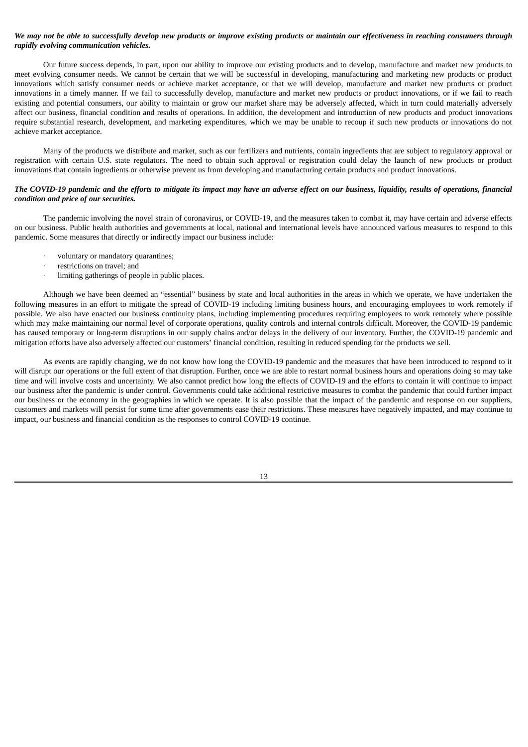# We may not be able to successfully develop new products or improve existing products or maintain our effectiveness in reaching consumers through *rapidly evolving communication vehicles.*

Our future success depends, in part, upon our ability to improve our existing products and to develop, manufacture and market new products to meet evolving consumer needs. We cannot be certain that we will be successful in developing, manufacturing and marketing new products or product innovations which satisfy consumer needs or achieve market acceptance, or that we will develop, manufacture and market new products or product innovations in a timely manner. If we fail to successfully develop, manufacture and market new products or product innovations, or if we fail to reach existing and potential consumers, our ability to maintain or grow our market share may be adversely affected, which in turn could materially adversely affect our business, financial condition and results of operations. In addition, the development and introduction of new products and product innovations require substantial research, development, and marketing expenditures, which we may be unable to recoup if such new products or innovations do not achieve market acceptance.

Many of the products we distribute and market, such as our fertilizers and nutrients, contain ingredients that are subject to regulatory approval or registration with certain U.S. state regulators. The need to obtain such approval or registration could delay the launch of new products or product innovations that contain ingredients or otherwise prevent us from developing and manufacturing certain products and product innovations.

# The COVID-19 pandemic and the efforts to mitigate its impact may have an adverse effect on our business, liquidity, results of operations, financial *condition and price of our securities.*

The pandemic involving the novel strain of coronavirus, or COVID-19, and the measures taken to combat it, may have certain and adverse effects on our business. Public health authorities and governments at local, national and international levels have announced various measures to respond to this pandemic. Some measures that directly or indirectly impact our business include:

- voluntary or mandatory quarantines;
- restrictions on travel; and
- limiting gatherings of people in public places.

Although we have been deemed an "essential" business by state and local authorities in the areas in which we operate, we have undertaken the following measures in an effort to mitigate the spread of COVID-19 including limiting business hours, and encouraging employees to work remotely if possible. We also have enacted our business continuity plans, including implementing procedures requiring employees to work remotely where possible which may make maintaining our normal level of corporate operations, quality controls and internal controls difficult. Moreover, the COVID-19 pandemic has caused temporary or long-term disruptions in our supply chains and/or delays in the delivery of our inventory. Further, the COVID-19 pandemic and mitigation efforts have also adversely affected our customers' financial condition, resulting in reduced spending for the products we sell.

As events are rapidly changing, we do not know how long the COVID-19 pandemic and the measures that have been introduced to respond to it will disrupt our operations or the full extent of that disruption. Further, once we are able to restart normal business hours and operations doing so may take time and will involve costs and uncertainty. We also cannot predict how long the effects of COVID-19 and the efforts to contain it will continue to impact our business after the pandemic is under control. Governments could take additional restrictive measures to combat the pandemic that could further impact our business or the economy in the geographies in which we operate. It is also possible that the impact of the pandemic and response on our suppliers, customers and markets will persist for some time after governments ease their restrictions. These measures have negatively impacted, and may continue to impact, our business and financial condition as the responses to control COVID-19 continue.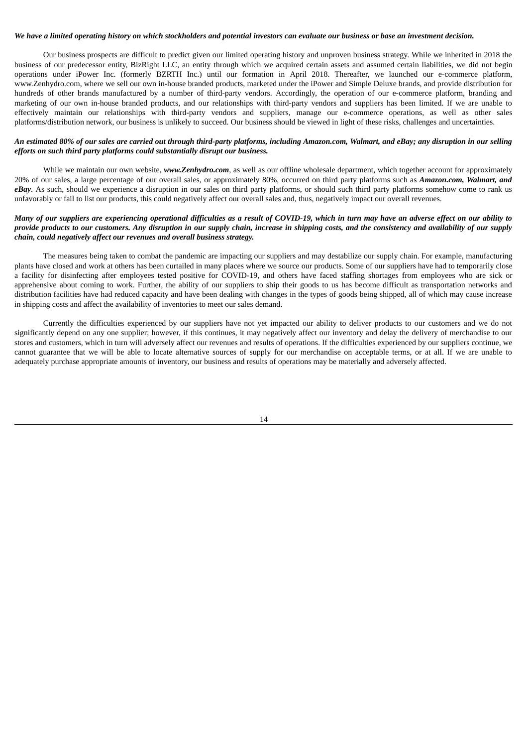# We have a limited operating history on which stockholders and potential investors can evaluate our business or base an investment decision.

Our business prospects are difficult to predict given our limited operating history and unproven business strategy. While we inherited in 2018 the business of our predecessor entity, BizRight LLC, an entity through which we acquired certain assets and assumed certain liabilities, we did not begin operations under iPower Inc. (formerly BZRTH Inc.) until our formation in April 2018. Thereafter, we launched our e-commerce platform, www.Zenhydro.com, where we sell our own in-house branded products, marketed under the iPower and Simple Deluxe brands, and provide distribution for hundreds of other brands manufactured by a number of third-party vendors. Accordingly, the operation of our e-commerce platform, branding and marketing of our own in-house branded products, and our relationships with third-party vendors and suppliers has been limited. If we are unable to effectively maintain our relationships with third-party vendors and suppliers, manage our e-commerce operations, as well as other sales platforms/distribution network, our business is unlikely to succeed. Our business should be viewed in light of these risks, challenges and uncertainties.

# An estimated 80% of our sales are carried out through third-party platforms, including Amazon.com, Walmart, and eBay; any disruption in our selling *efforts on such third party platforms could substantially disrupt our business.*

While we maintain our own website, **www.Zenhydro.com**, as well as our offline wholesale department, which together account for approximately 20% of our sales, a large percentage of our overall sales, or approximately 80%, occurred on third party platforms such as *Amazon.com, Walmart, and eBay*. As such, should we experience a disruption in our sales on third party platforms, or should such third party platforms somehow come to rank us unfavorably or fail to list our products, this could negatively affect our overall sales and, thus, negatively impact our overall revenues.

# Many of our suppliers are experiencing operational difficulties as a result of COVID-19, which in turn may have an adverse effect on our ability to provide products to our customers. Any disruption in our supply chain, increase in shipping costs, and the consistency and availability of our supply *chain, could negatively affect our revenues and overall business strategy.*

The measures being taken to combat the pandemic are impacting our suppliers and may destabilize our supply chain. For example, manufacturing plants have closed and work at others has been curtailed in many places where we source our products. Some of our suppliers have had to temporarily close a facility for disinfecting after employees tested positive for COVID-19, and others have faced staffing shortages from employees who are sick or apprehensive about coming to work. Further, the ability of our suppliers to ship their goods to us has become difficult as transportation networks and distribution facilities have had reduced capacity and have been dealing with changes in the types of goods being shipped, all of which may cause increase in shipping costs and affect the availability of inventories to meet our sales demand.

Currently the difficulties experienced by our suppliers have not yet impacted our ability to deliver products to our customers and we do not significantly depend on any one supplier; however, if this continues, it may negatively affect our inventory and delay the delivery of merchandise to our stores and customers, which in turn will adversely affect our revenues and results of operations. If the difficulties experienced by our suppliers continue, we cannot guarantee that we will be able to locate alternative sources of supply for our merchandise on acceptable terms, or at all. If we are unable to adequately purchase appropriate amounts of inventory, our business and results of operations may be materially and adversely affected.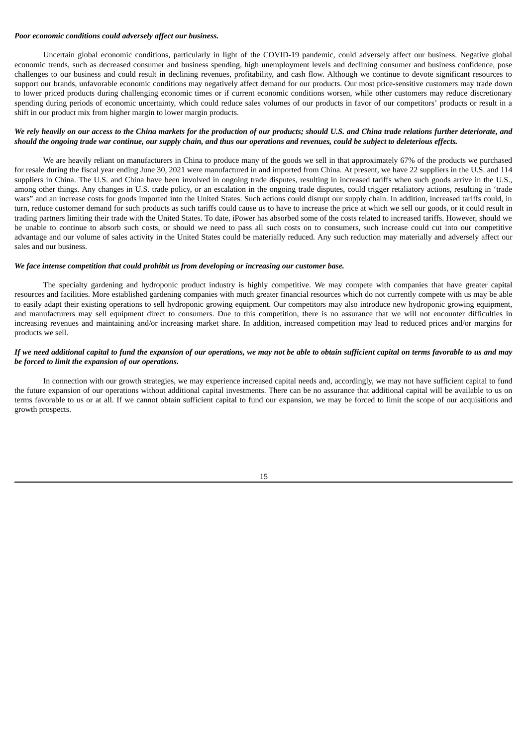# *Poor economic conditions could adversely affect our business.*

Uncertain global economic conditions, particularly in light of the COVID-19 pandemic, could adversely affect our business. Negative global economic trends, such as decreased consumer and business spending, high unemployment levels and declining consumer and business confidence, pose challenges to our business and could result in declining revenues, profitability, and cash flow. Although we continue to devote significant resources to support our brands, unfavorable economic conditions may negatively affect demand for our products. Our most price-sensitive customers may trade down to lower priced products during challenging economic times or if current economic conditions worsen, while other customers may reduce discretionary spending during periods of economic uncertainty, which could reduce sales volumes of our products in favor of our competitors' products or result in a shift in our product mix from higher margin to lower margin products.

# We rely heavily on our access to the China markets for the production of our products; should U.S. and China trade relations further deteriorate, and should the ongoing trade war continue, our supply chain, and thus our operations and revenues, could be subject to deleterious effects.

We are heavily reliant on manufacturers in China to produce many of the goods we sell in that approximately 67% of the products we purchased for resale during the fiscal year ending June 30, 2021 were manufactured in and imported from China. At present, we have 22 suppliers in the U.S. and 114 suppliers in China. The U.S. and China have been involved in ongoing trade disputes, resulting in increased tariffs when such goods arrive in the U.S., among other things. Any changes in U.S. trade policy, or an escalation in the ongoing trade disputes, could trigger retaliatory actions, resulting in 'trade wars" and an increase costs for goods imported into the United States. Such actions could disrupt our supply chain. In addition, increased tariffs could, in turn, reduce customer demand for such products as such tariffs could cause us to have to increase the price at which we sell our goods, or it could result in trading partners limiting their trade with the United States. To date, iPower has absorbed some of the costs related to increased tariffs. However, should we be unable to continue to absorb such costs, or should we need to pass all such costs on to consumers, such increase could cut into our competitive advantage and our volume of sales activity in the United States could be materially reduced. Any such reduction may materially and adversely affect our sales and our business.

#### *We face intense competition that could prohibit us from developing or increasing our customer base.*

The specialty gardening and hydroponic product industry is highly competitive. We may compete with companies that have greater capital resources and facilities. More established gardening companies with much greater financial resources which do not currently compete with us may be able to easily adapt their existing operations to sell hydroponic growing equipment. Our competitors may also introduce new hydroponic growing equipment, and manufacturers may sell equipment direct to consumers. Due to this competition, there is no assurance that we will not encounter difficulties in increasing revenues and maintaining and/or increasing market share. In addition, increased competition may lead to reduced prices and/or margins for products we sell.

# If we need additional capital to fund the expansion of our operations, we may not be able to obtain sufficient capital on terms favorable to us and may *be forced to limit the expansion of our operations.*

In connection with our growth strategies, we may experience increased capital needs and, accordingly, we may not have sufficient capital to fund the future expansion of our operations without additional capital investments. There can be no assurance that additional capital will be available to us on terms favorable to us or at all. If we cannot obtain sufficient capital to fund our expansion, we may be forced to limit the scope of our acquisitions and growth prospects.

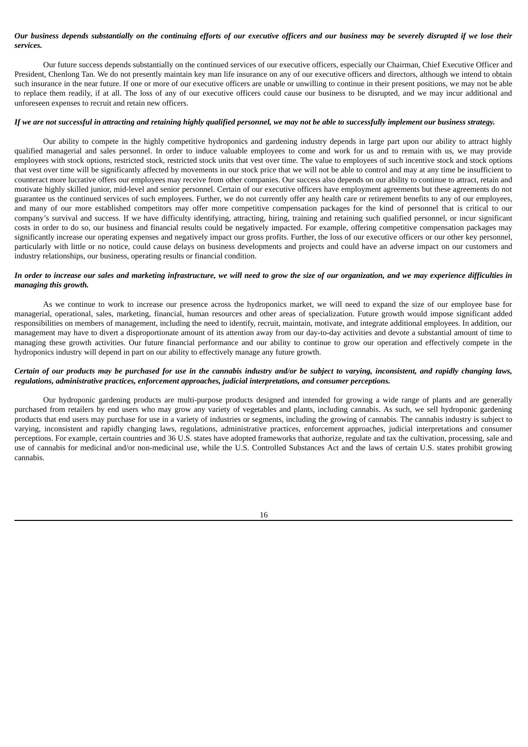# Our business depends substantially on the continuing efforts of our executive officers and our business may be severely disrupted if we lose their *services.*

Our future success depends substantially on the continued services of our executive officers, especially our Chairman, Chief Executive Officer and President, Chenlong Tan. We do not presently maintain key man life insurance on any of our executive officers and directors, although we intend to obtain such insurance in the near future. If one or more of our executive officers are unable or unwilling to continue in their present positions, we may not be able to replace them readily, if at all. The loss of any of our executive officers could cause our business to be disrupted, and we may incur additional and unforeseen expenses to recruit and retain new officers.

### If we are not successful in attracting and retaining highly qualified personnel, we may not be able to successfully implement our business strategy.

Our ability to compete in the highly competitive hydroponics and gardening industry depends in large part upon our ability to attract highly qualified managerial and sales personnel. In order to induce valuable employees to come and work for us and to remain with us, we may provide employees with stock options, restricted stock, restricted stock units that vest over time. The value to employees of such incentive stock and stock options that vest over time will be significantly affected by movements in our stock price that we will not be able to control and may at any time be insufficient to counteract more lucrative offers our employees may receive from other companies. Our success also depends on our ability to continue to attract, retain and motivate highly skilled junior, mid-level and senior personnel. Certain of our executive officers have employment agreements but these agreements do not guarantee us the continued services of such employees. Further, we do not currently offer any health care or retirement benefits to any of our employees, and many of our more established competitors may offer more competitive compensation packages for the kind of personnel that is critical to our company's survival and success. If we have difficulty identifying, attracting, hiring, training and retaining such qualified personnel, or incur significant costs in order to do so, our business and financial results could be negatively impacted. For example, offering competitive compensation packages may significantly increase our operating expenses and negatively impact our gross profits. Further, the loss of our executive officers or our other key personnel, particularly with little or no notice, could cause delays on business developments and projects and could have an adverse impact on our customers and industry relationships, our business, operating results or financial condition.

# In order to increase our sales and marketing infrastructure, we will need to grow the size of our organization, and we may experience difficulties in *managing this growth.*

As we continue to work to increase our presence across the hydroponics market, we will need to expand the size of our employee base for managerial, operational, sales, marketing, financial, human resources and other areas of specialization. Future growth would impose significant added responsibilities on members of management, including the need to identify, recruit, maintain, motivate, and integrate additional employees. In addition, our management may have to divert a disproportionate amount of its attention away from our day-to-day activities and devote a substantial amount of time to managing these growth activities. Our future financial performance and our ability to continue to grow our operation and effectively compete in the hydroponics industry will depend in part on our ability to effectively manage any future growth.

# Certain of our products may be purchased for use in the cannabis industry and/or be subject to varying, inconsistent, and rapidly changing laws, *regulations, administrative practices, enforcement approaches, judicial interpretations, and consumer perceptions.*

Our hydroponic gardening products are multi-purpose products designed and intended for growing a wide range of plants and are generally purchased from retailers by end users who may grow any variety of vegetables and plants, including cannabis. As such, we sell hydroponic gardening products that end users may purchase for use in a variety of industries or segments, including the growing of cannabis. The cannabis industry is subject to varying, inconsistent and rapidly changing laws, regulations, administrative practices, enforcement approaches, judicial interpretations and consumer perceptions. For example, certain countries and 36 U.S. states have adopted frameworks that authorize, regulate and tax the cultivation, processing, sale and use of cannabis for medicinal and/or non-medicinal use, while the U.S. Controlled Substances Act and the laws of certain U.S. states prohibit growing cannabis.

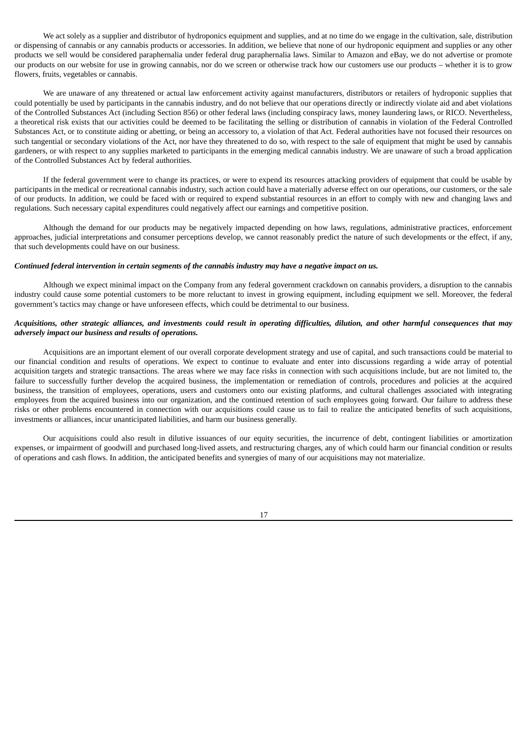We act solely as a supplier and distributor of hydroponics equipment and supplies, and at no time do we engage in the cultivation, sale, distribution or dispensing of cannabis or any cannabis products or accessories. In addition, we believe that none of our hydroponic equipment and supplies or any other products we sell would be considered paraphernalia under federal drug paraphernalia laws. Similar to Amazon and eBay, we do not advertise or promote our products on our website for use in growing cannabis, nor do we screen or otherwise track how our customers use our products – whether it is to grow flowers, fruits, vegetables or cannabis.

We are unaware of any threatened or actual law enforcement activity against manufacturers, distributors or retailers of hydroponic supplies that could potentially be used by participants in the cannabis industry, and do not believe that our operations directly or indirectly violate aid and abet violations of the Controlled Substances Act (including Section 856) or other federal laws (including conspiracy laws, money laundering laws, or RICO. Nevertheless, a theoretical risk exists that our activities could be deemed to be facilitating the selling or distribution of cannabis in violation of the Federal Controlled Substances Act, or to constitute aiding or abetting, or being an accessory to, a violation of that Act. Federal authorities have not focused their resources on such tangential or secondary violations of the Act, nor have they threatened to do so, with respect to the sale of equipment that might be used by cannabis gardeners, or with respect to any supplies marketed to participants in the emerging medical cannabis industry. We are unaware of such a broad application of the Controlled Substances Act by federal authorities.

If the federal government were to change its practices, or were to expend its resources attacking providers of equipment that could be usable by participants in the medical or recreational cannabis industry, such action could have a materially adverse effect on our operations, our customers, or the sale of our products. In addition, we could be faced with or required to expend substantial resources in an effort to comply with new and changing laws and regulations. Such necessary capital expenditures could negatively affect our earnings and competitive position.

Although the demand for our products may be negatively impacted depending on how laws, regulations, administrative practices, enforcement approaches, judicial interpretations and consumer perceptions develop, we cannot reasonably predict the nature of such developments or the effect, if any, that such developments could have on our business.

### Continued federal intervention in certain segments of the cannabis industry may have a negative impact on us.

Although we expect minimal impact on the Company from any federal government crackdown on cannabis providers, a disruption to the cannabis industry could cause some potential customers to be more reluctant to invest in growing equipment, including equipment we sell. Moreover, the federal government's tactics may change or have unforeseen effects, which could be detrimental to our business.

### Acquisitions, other strategic alliances, and investments could result in operating difficulties, dilution, and other harmful consequences that may *adversely impact our business and results of operations.*

Acquisitions are an important element of our overall corporate development strategy and use of capital, and such transactions could be material to our financial condition and results of operations. We expect to continue to evaluate and enter into discussions regarding a wide array of potential acquisition targets and strategic transactions. The areas where we may face risks in connection with such acquisitions include, but are not limited to, the failure to successfully further develop the acquired business, the implementation or remediation of controls, procedures and policies at the acquired business, the transition of employees, operations, users and customers onto our existing platforms, and cultural challenges associated with integrating employees from the acquired business into our organization, and the continued retention of such employees going forward. Our failure to address these risks or other problems encountered in connection with our acquisitions could cause us to fail to realize the anticipated benefits of such acquisitions, investments or alliances, incur unanticipated liabilities, and harm our business generally.

Our acquisitions could also result in dilutive issuances of our equity securities, the incurrence of debt, contingent liabilities or amortization expenses, or impairment of goodwill and purchased long-lived assets, and restructuring charges, any of which could harm our financial condition or results of operations and cash flows. In addition, the anticipated benefits and synergies of many of our acquisitions may not materialize.

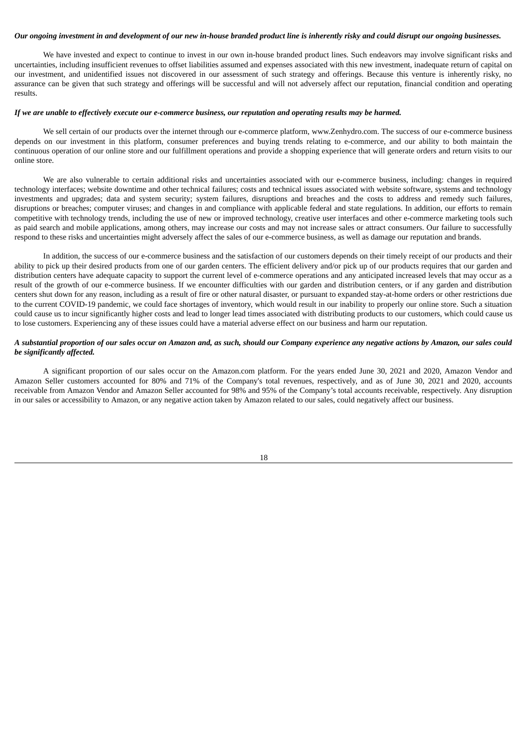# Our ongoing investment in and development of our new in-house branded product line is inherently risky and could disrupt our ongoing businesses.

We have invested and expect to continue to invest in our own in-house branded product lines. Such endeavors may involve significant risks and uncertainties, including insufficient revenues to offset liabilities assumed and expenses associated with this new investment, inadequate return of capital on our investment, and unidentified issues not discovered in our assessment of such strategy and offerings. Because this venture is inherently risky, no assurance can be given that such strategy and offerings will be successful and will not adversely affect our reputation, financial condition and operating results.

### If we are unable to effectively execute our e-commerce business, our reputation and operating results may be harmed.

We sell certain of our products over the internet through our e-commerce platform, www.Zenhydro.com. The success of our e-commerce business depends on our investment in this platform, consumer preferences and buying trends relating to e-commerce, and our ability to both maintain the continuous operation of our online store and our fulfillment operations and provide a shopping experience that will generate orders and return visits to our online store.

We are also vulnerable to certain additional risks and uncertainties associated with our e-commerce business, including: changes in required technology interfaces; website downtime and other technical failures; costs and technical issues associated with website software, systems and technology investments and upgrades; data and system security; system failures, disruptions and breaches and the costs to address and remedy such failures, disruptions or breaches; computer viruses; and changes in and compliance with applicable federal and state regulations. In addition, our efforts to remain competitive with technology trends, including the use of new or improved technology, creative user interfaces and other e-commerce marketing tools such as paid search and mobile applications, among others, may increase our costs and may not increase sales or attract consumers. Our failure to successfully respond to these risks and uncertainties might adversely affect the sales of our e-commerce business, as well as damage our reputation and brands.

In addition, the success of our e-commerce business and the satisfaction of our customers depends on their timely receipt of our products and their ability to pick up their desired products from one of our garden centers. The efficient delivery and/or pick up of our products requires that our garden and distribution centers have adequate capacity to support the current level of e-commerce operations and any anticipated increased levels that may occur as a result of the growth of our e-commerce business. If we encounter difficulties with our garden and distribution centers, or if any garden and distribution centers shut down for any reason, including as a result of fire or other natural disaster, or pursuant to expanded stay-at-home orders or other restrictions due to the current COVID-19 pandemic, we could face shortages of inventory, which would result in our inability to properly our online store. Such a situation could cause us to incur significantly higher costs and lead to longer lead times associated with distributing products to our customers, which could cause us to lose customers. Experiencing any of these issues could have a material adverse effect on our business and harm our reputation.

# A substantial proportion of our sales occur on Amazon and, as such, should our Company experience any negative actions by Amazon, our sales could *be significantly affected.*

A significant proportion of our sales occur on the Amazon.com platform. For the years ended June 30, 2021 and 2020, Amazon Vendor and Amazon Seller customers accounted for 80% and 71% of the Company's total revenues, respectively, and as of June 30, 2021 and 2020, accounts receivable from Amazon Vendor and Amazon Seller accounted for 98% and 95% of the Company's total accounts receivable, respectively. Any disruption in our sales or accessibility to Amazon, or any negative action taken by Amazon related to our sales, could negatively affect our business.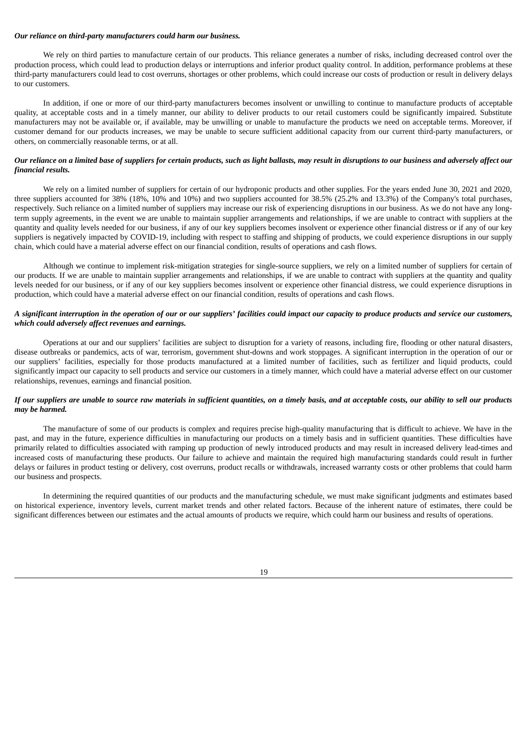## *Our reliance on third-party manufacturers could harm our business.*

We rely on third parties to manufacture certain of our products. This reliance generates a number of risks, including decreased control over the production process, which could lead to production delays or interruptions and inferior product quality control. In addition, performance problems at these third-party manufacturers could lead to cost overruns, shortages or other problems, which could increase our costs of production or result in delivery delays to our customers.

In addition, if one or more of our third-party manufacturers becomes insolvent or unwilling to continue to manufacture products of acceptable quality, at acceptable costs and in a timely manner, our ability to deliver products to our retail customers could be significantly impaired. Substitute manufacturers may not be available or, if available, may be unwilling or unable to manufacture the products we need on acceptable terms. Moreover, if customer demand for our products increases, we may be unable to secure sufficient additional capacity from our current third-party manufacturers, or others, on commercially reasonable terms, or at all.

# Our reliance on a limited base of suppliers for certain products, such as light ballasts, may result in disruptions to our business and adversely affect our *financial results.*

We rely on a limited number of suppliers for certain of our hydroponic products and other supplies. For the years ended June 30, 2021 and 2020, three suppliers accounted for 38% (18%, 10% and 10%) and two suppliers accounted for 38.5% (25.2% and 13.3%) of the Company's total purchases, respectively. Such reliance on a limited number of suppliers may increase our risk of experiencing disruptions in our business. As we do not have any longterm supply agreements, in the event we are unable to maintain supplier arrangements and relationships, if we are unable to contract with suppliers at the quantity and quality levels needed for our business, if any of our key suppliers becomes insolvent or experience other financial distress or if any of our key suppliers is negatively impacted by COVID-19, including with respect to staffing and shipping of products, we could experience disruptions in our supply chain, which could have a material adverse effect on our financial condition, results of operations and cash flows.

Although we continue to implement risk-mitigation strategies for single-source suppliers, we rely on a limited number of suppliers for certain of our products. If we are unable to maintain supplier arrangements and relationships, if we are unable to contract with suppliers at the quantity and quality levels needed for our business, or if any of our key suppliers becomes insolvent or experience other financial distress, we could experience disruptions in production, which could have a material adverse effect on our financial condition, results of operations and cash flows.

# A significant interruption in the operation of our or our suppliers' facilities could impact our capacity to produce products and service our customers, *which could adversely affect revenues and earnings.*

Operations at our and our suppliers' facilities are subject to disruption for a variety of reasons, including fire, flooding or other natural disasters, disease outbreaks or pandemics, acts of war, terrorism, government shut-downs and work stoppages. A significant interruption in the operation of our or our suppliers' facilities, especially for those products manufactured at a limited number of facilities, such as fertilizer and liquid products, could significantly impact our capacity to sell products and service our customers in a timely manner, which could have a material adverse effect on our customer relationships, revenues, earnings and financial position.

# If our suppliers are unable to source raw materials in sufficient quantities, on a timely basis, and at acceptable costs, our ability to sell our products *may be harmed.*

The manufacture of some of our products is complex and requires precise high-quality manufacturing that is difficult to achieve. We have in the past, and may in the future, experience difficulties in manufacturing our products on a timely basis and in sufficient quantities. These difficulties have primarily related to difficulties associated with ramping up production of newly introduced products and may result in increased delivery lead-times and increased costs of manufacturing these products. Our failure to achieve and maintain the required high manufacturing standards could result in further delays or failures in product testing or delivery, cost overruns, product recalls or withdrawals, increased warranty costs or other problems that could harm our business and prospects.

In determining the required quantities of our products and the manufacturing schedule, we must make significant judgments and estimates based on historical experience, inventory levels, current market trends and other related factors. Because of the inherent nature of estimates, there could be significant differences between our estimates and the actual amounts of products we require, which could harm our business and results of operations.

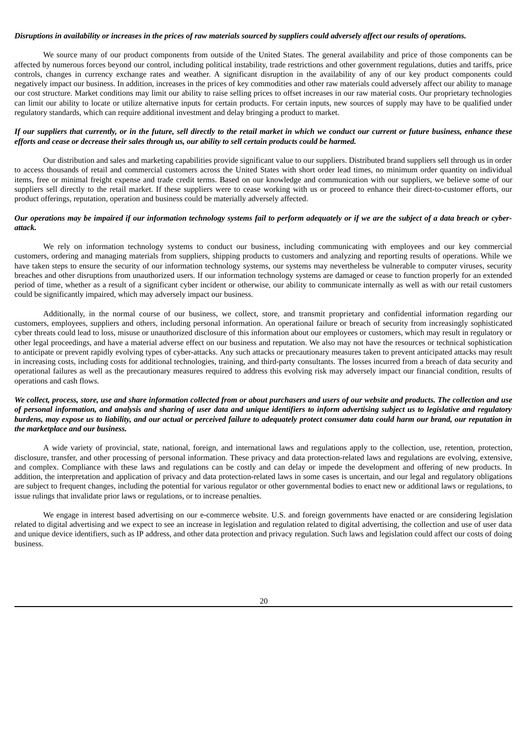# Disruptions in availability or increases in the prices of raw materials sourced by suppliers could adversely affect our results of operations.

We source many of our product components from outside of the United States. The general availability and price of those components can be affected by numerous forces beyond our control, including political instability, trade restrictions and other government regulations, duties and tariffs, price controls, changes in currency exchange rates and weather. A significant disruption in the availability of any of our key product components could negatively impact our business. In addition, increases in the prices of key commodities and other raw materials could adversely affect our ability to manage our cost structure. Market conditions may limit our ability to raise selling prices to offset increases in our raw material costs. Our proprietary technologies can limit our ability to locate or utilize alternative inputs for certain products. For certain inputs, new sources of supply may have to be qualified under regulatory standards, which can require additional investment and delay bringing a product to market.

# If our suppliers that currently, or in the future, sell directly to the retail market in which we conduct our current or future business, enhance these efforts and cease or decrease their sales through us, our ability to sell certain products could be harmed.

Our distribution and sales and marketing capabilities provide significant value to our suppliers. Distributed brand suppliers sell through us in order to access thousands of retail and commercial customers across the United States with short order lead times, no minimum order quantity on individual items, free or minimal freight expense and trade credit terms. Based on our knowledge and communication with our suppliers, we believe some of our suppliers sell directly to the retail market. If these suppliers were to cease working with us or proceed to enhance their direct-to-customer efforts, our product offerings, reputation, operation and business could be materially adversely affected.

# Our operations may be impaired if our information technology systems fail to perform adequately or if we are the subject of a data breach or cyber*attack.*

We rely on information technology systems to conduct our business, including communicating with employees and our key commercial customers, ordering and managing materials from suppliers, shipping products to customers and analyzing and reporting results of operations. While we have taken steps to ensure the security of our information technology systems, our systems may nevertheless be vulnerable to computer viruses, security breaches and other disruptions from unauthorized users. If our information technology systems are damaged or cease to function properly for an extended period of time, whether as a result of a significant cyber incident or otherwise, our ability to communicate internally as well as with our retail customers could be significantly impaired, which may adversely impact our business.

Additionally, in the normal course of our business, we collect, store, and transmit proprietary and confidential information regarding our customers, employees, suppliers and others, including personal information. An operational failure or breach of security from increasingly sophisticated cyber threats could lead to loss, misuse or unauthorized disclosure of this information about our employees or customers, which may result in regulatory or other legal proceedings, and have a material adverse effect on our business and reputation. We also may not have the resources or technical sophistication to anticipate or prevent rapidly evolving types of cyber-attacks. Any such attacks or precautionary measures taken to prevent anticipated attacks may result in increasing costs, including costs for additional technologies, training, and third-party consultants. The losses incurred from a breach of data security and operational failures as well as the precautionary measures required to address this evolving risk may adversely impact our financial condition, results of operations and cash flows.

# We collect, process, store, use and share information collected from or about purchasers and users of our website and products. The collection and use of personal information, and analysis and sharing of user data and unique identifiers to inform advertising subject us to legislative and regulatory burdens, may expose us to liability, and our actual or perceived failure to adequately protect consumer data could harm our brand, our reputation in *the marketplace and our business.*

A wide variety of provincial, state, national, foreign, and international laws and regulations apply to the collection, use, retention, protection, disclosure, transfer, and other processing of personal information. These privacy and data protection-related laws and regulations are evolving, extensive, and complex. Compliance with these laws and regulations can be costly and can delay or impede the development and offering of new products. In addition, the interpretation and application of privacy and data protection-related laws in some cases is uncertain, and our legal and regulatory obligations are subject to frequent changes, including the potential for various regulator or other governmental bodies to enact new or additional laws or regulations, to issue rulings that invalidate prior laws or regulations, or to increase penalties.

We engage in interest based advertising on our e-commerce website. U.S. and foreign governments have enacted or are considering legislation related to digital advertising and we expect to see an increase in legislation and regulation related to digital advertising, the collection and use of user data and unique device identifiers, such as IP address, and other data protection and privacy regulation. Such laws and legislation could affect our costs of doing business.

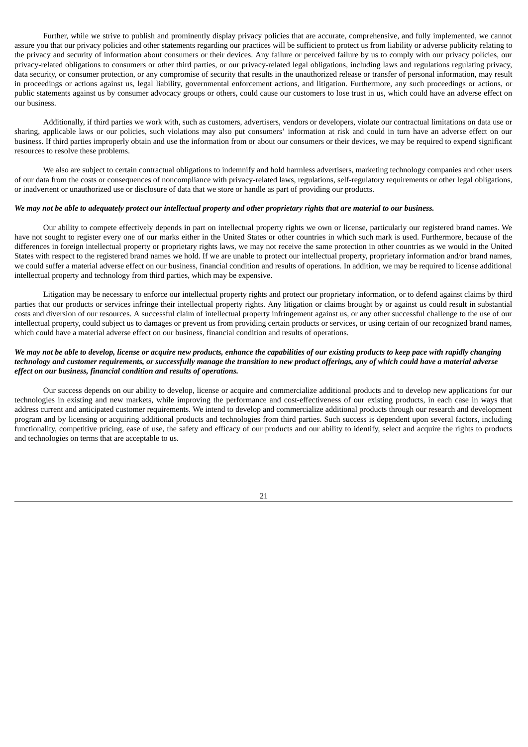Further, while we strive to publish and prominently display privacy policies that are accurate, comprehensive, and fully implemented, we cannot assure you that our privacy policies and other statements regarding our practices will be sufficient to protect us from liability or adverse publicity relating to the privacy and security of information about consumers or their devices. Any failure or perceived failure by us to comply with our privacy policies, our privacy-related obligations to consumers or other third parties, or our privacy-related legal obligations, including laws and regulations regulating privacy, data security, or consumer protection, or any compromise of security that results in the unauthorized release or transfer of personal information, may result in proceedings or actions against us, legal liability, governmental enforcement actions, and litigation. Furthermore, any such proceedings or actions, or public statements against us by consumer advocacy groups or others, could cause our customers to lose trust in us, which could have an adverse effect on our business.

Additionally, if third parties we work with, such as customers, advertisers, vendors or developers, violate our contractual limitations on data use or sharing, applicable laws or our policies, such violations may also put consumers' information at risk and could in turn have an adverse effect on our business. If third parties improperly obtain and use the information from or about our consumers or their devices, we may be required to expend significant resources to resolve these problems.

We also are subject to certain contractual obligations to indemnify and hold harmless advertisers, marketing technology companies and other users of our data from the costs or consequences of noncompliance with privacy-related laws, regulations, self-regulatory requirements or other legal obligations, or inadvertent or unauthorized use or disclosure of data that we store or handle as part of providing our products.

#### We may not be able to adequately protect our intellectual property and other proprietary rights that are material to our business.

Our ability to compete effectively depends in part on intellectual property rights we own or license, particularly our registered brand names. We have not sought to register every one of our marks either in the United States or other countries in which such mark is used. Furthermore, because of the differences in foreign intellectual property or proprietary rights laws, we may not receive the same protection in other countries as we would in the United States with respect to the registered brand names we hold. If we are unable to protect our intellectual property, proprietary information and/or brand names, we could suffer a material adverse effect on our business, financial condition and results of operations. In addition, we may be required to license additional intellectual property and technology from third parties, which may be expensive.

Litigation may be necessary to enforce our intellectual property rights and protect our proprietary information, or to defend against claims by third parties that our products or services infringe their intellectual property rights. Any litigation or claims brought by or against us could result in substantial costs and diversion of our resources. A successful claim of intellectual property infringement against us, or any other successful challenge to the use of our intellectual property, could subject us to damages or prevent us from providing certain products or services, or using certain of our recognized brand names, which could have a material adverse effect on our business, financial condition and results of operations.

# We may not be able to develop, license or acquire new products, enhance the capabilities of our existing products to keep pace with rapidly changing technology and customer requirements, or successfully manage the transition to new product offerings, any of which could have a material adverse *effect on our business, financial condition and results of operations.*

Our success depends on our ability to develop, license or acquire and commercialize additional products and to develop new applications for our technologies in existing and new markets, while improving the performance and cost-effectiveness of our existing products, in each case in ways that address current and anticipated customer requirements. We intend to develop and commercialize additional products through our research and development program and by licensing or acquiring additional products and technologies from third parties. Such success is dependent upon several factors, including functionality, competitive pricing, ease of use, the safety and efficacy of our products and our ability to identify, select and acquire the rights to products and technologies on terms that are acceptable to us.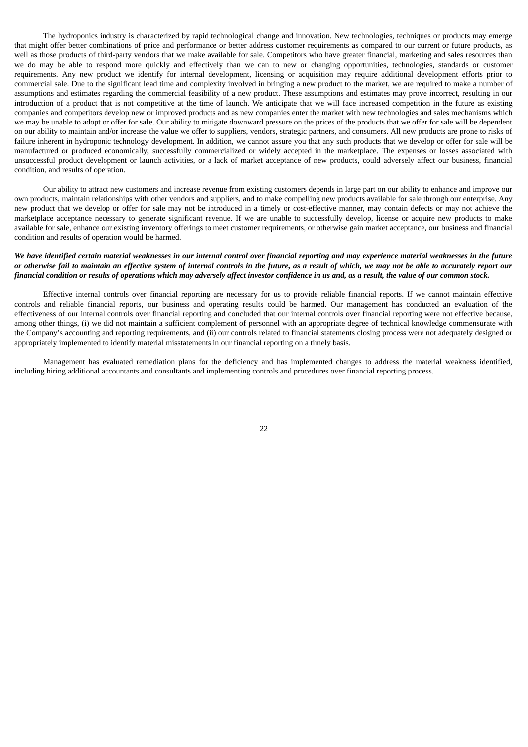The hydroponics industry is characterized by rapid technological change and innovation. New technologies, techniques or products may emerge that might offer better combinations of price and performance or better address customer requirements as compared to our current or future products, as well as those products of third-party vendors that we make available for sale. Competitors who have greater financial, marketing and sales resources than we do may be able to respond more quickly and effectively than we can to new or changing opportunities, technologies, standards or customer requirements. Any new product we identify for internal development, licensing or acquisition may require additional development efforts prior to commercial sale. Due to the significant lead time and complexity involved in bringing a new product to the market, we are required to make a number of assumptions and estimates regarding the commercial feasibility of a new product. These assumptions and estimates may prove incorrect, resulting in our introduction of a product that is not competitive at the time of launch. We anticipate that we will face increased competition in the future as existing companies and competitors develop new or improved products and as new companies enter the market with new technologies and sales mechanisms which we may be unable to adopt or offer for sale. Our ability to mitigate downward pressure on the prices of the products that we offer for sale will be dependent on our ability to maintain and/or increase the value we offer to suppliers, vendors, strategic partners, and consumers. All new products are prone to risks of failure inherent in hydroponic technology development. In addition, we cannot assure you that any such products that we develop or offer for sale will be manufactured or produced economically, successfully commercialized or widely accepted in the marketplace. The expenses or losses associated with unsuccessful product development or launch activities, or a lack of market acceptance of new products, could adversely affect our business, financial condition, and results of operation.

Our ability to attract new customers and increase revenue from existing customers depends in large part on our ability to enhance and improve our own products, maintain relationships with other vendors and suppliers, and to make compelling new products available for sale through our enterprise. Any new product that we develop or offer for sale may not be introduced in a timely or cost-effective manner, may contain defects or may not achieve the marketplace acceptance necessary to generate significant revenue. If we are unable to successfully develop, license or acquire new products to make available for sale, enhance our existing inventory offerings to meet customer requirements, or otherwise gain market acceptance, our business and financial condition and results of operation would be harmed.

# We have identified certain material weaknesses in our internal control over financial reporting and may experience material weaknesses in the future or otherwise fail to maintain an effective system of internal controls in the future, as a result of which, we may not be able to accurately report our financial condition or results of operations which may adversely affect investor confidence in us and, as a result, the value of our common stock.

Effective internal controls over financial reporting are necessary for us to provide reliable financial reports. If we cannot maintain effective controls and reliable financial reports, our business and operating results could be harmed. Our management has conducted an evaluation of the effectiveness of our internal controls over financial reporting and concluded that our internal controls over financial reporting were not effective because, among other things, (i) we did not maintain a sufficient complement of personnel with an appropriate degree of technical knowledge commensurate with the Company's accounting and reporting requirements, and (ii) our controls related to financial statements closing process were not adequately designed or appropriately implemented to identify material misstatements in our financial reporting on a timely basis.

Management has evaluated remediation plans for the deficiency and has implemented changes to address the material weakness identified, including hiring additional accountants and consultants and implementing controls and procedures over financial reporting process.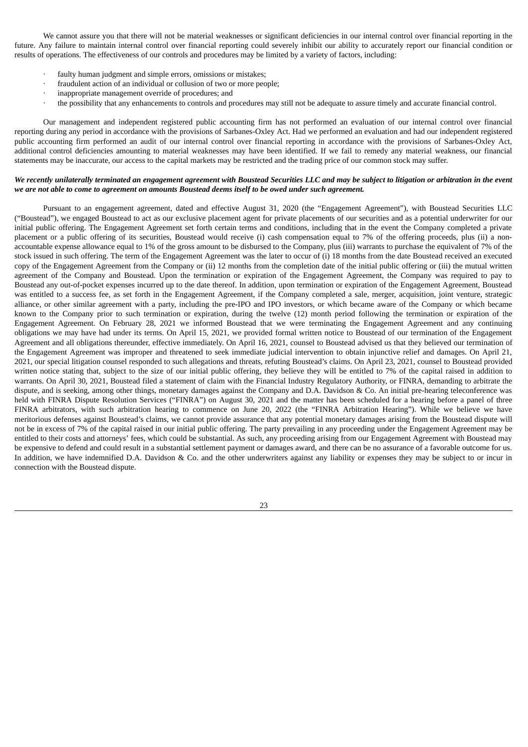We cannot assure you that there will not be material weaknesses or significant deficiencies in our internal control over financial reporting in the future. Any failure to maintain internal control over financial reporting could severely inhibit our ability to accurately report our financial condition or results of operations. The effectiveness of our controls and procedures may be limited by a variety of factors, including:

- faulty human judgment and simple errors, omissions or mistakes;
- fraudulent action of an individual or collusion of two or more people;
- inappropriate management override of procedures; and
- · the possibility that any enhancements to controls and procedures may still not be adequate to assure timely and accurate financial control.

Our management and independent registered public accounting firm has not performed an evaluation of our internal control over financial reporting during any period in accordance with the provisions of Sarbanes-Oxley Act. Had we performed an evaluation and had our independent registered public accounting firm performed an audit of our internal control over financial reporting in accordance with the provisions of Sarbanes-Oxley Act, additional control deficiencies amounting to material weaknesses may have been identified. If we fail to remedy any material weakness, our financial statements may be inaccurate, our access to the capital markets may be restricted and the trading price of our common stock may suffer.

# We recently unilaterally terminated an engagement agreement with Boustead Securities LLC and may be subject to litigation or arbitration in the event we are not able to come to agreement on amounts Boustead deems itself to be owed under such agreement.

Pursuant to an engagement agreement, dated and effective August 31, 2020 (the "Engagement Agreement"), with Boustead Securities LLC ("Boustead"), we engaged Boustead to act as our exclusive placement agent for private placements of our securities and as a potential underwriter for our initial public offering. The Engagement Agreement set forth certain terms and conditions, including that in the event the Company completed a private placement or a public offering of its securities, Boustead would receive (i) cash compensation equal to 7% of the offering proceeds, plus (ii) a nonaccountable expense allowance equal to 1% of the gross amount to be disbursed to the Company, plus (iii) warrants to purchase the equivalent of 7% of the stock issued in such offering. The term of the Engagement Agreement was the later to occur of (i) 18 months from the date Boustead received an executed copy of the Engagement Agreement from the Company or (ii) 12 months from the completion date of the initial public offering or (iii) the mutual written agreement of the Company and Boustead. Upon the termination or expiration of the Engagement Agreement, the Company was required to pay to Boustead any out-of-pocket expenses incurred up to the date thereof. In addition, upon termination or expiration of the Engagement Agreement, Boustead was entitled to a success fee, as set forth in the Engagement Agreement, if the Company completed a sale, merger, acquisition, joint venture, strategic alliance, or other similar agreement with a party, including the pre-IPO and IPO investors, or which became aware of the Company or which became known to the Company prior to such termination or expiration, during the twelve (12) month period following the termination or expiration of the Engagement Agreement. On February 28, 2021 we informed Boustead that we were terminating the Engagement Agreement and any continuing obligations we may have had under its terms. On April 15, 2021, we provided formal written notice to Boustead of our termination of the Engagement Agreement and all obligations thereunder, effective immediately. On April 16, 2021, counsel to Boustead advised us that they believed our termination of the Engagement Agreement was improper and threatened to seek immediate judicial intervention to obtain injunctive relief and damages. On April 21, 2021, our special litigation counsel responded to such allegations and threats, refuting Boustead's claims. On April 23, 2021, counsel to Boustead provided written notice stating that, subject to the size of our initial public offering, they believe they will be entitled to 7% of the capital raised in addition to warrants. On April 30, 2021, Boustead filed a statement of claim with the Financial Industry Regulatory Authority, or FINRA, demanding to arbitrate the dispute, and is seeking, among other things, monetary damages against the Company and D.A. Davidson & Co. An initial pre-hearing teleconference was held with FINRA Dispute Resolution Services ("FINRA") on August 30, 2021 and the matter has been scheduled for a hearing before a panel of three FINRA arbitrators, with such arbitration hearing to commence on June 20, 2022 (the "FINRA Arbitration Hearing"). While we believe we have meritorious defenses against Boustead's claims, we cannot provide assurance that any potential monetary damages arising from the Boustead dispute will not be in excess of 7% of the capital raised in our initial public offering. The party prevailing in any proceeding under the Engagement Agreement may be entitled to their costs and attorneys' fees, which could be substantial. As such, any proceeding arising from our Engagement Agreement with Boustead may be expensive to defend and could result in a substantial settlement payment or damages award, and there can be no assurance of a favorable outcome for us. In addition, we have indemnified D.A. Davidson & Co. and the other underwriters against any liability or expenses they may be subject to or incur in connection with the Boustead dispute.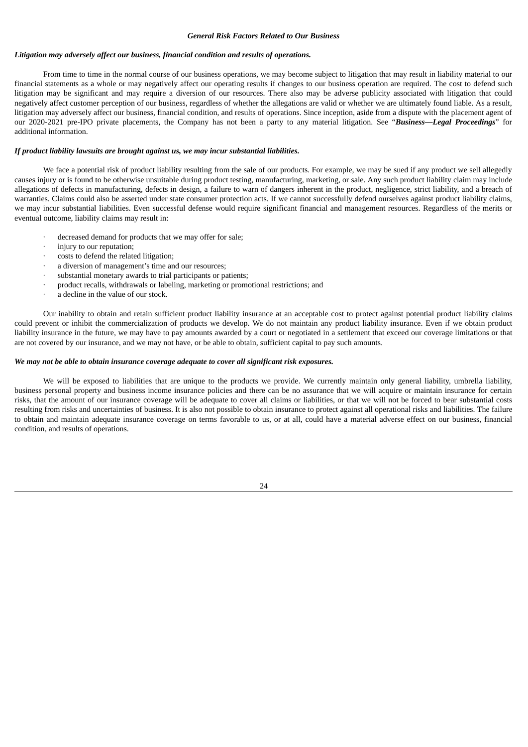#### *General Risk Factors Related to Our Business*

### *Litigation may adversely affect our business, financial condition and results of operations.*

From time to time in the normal course of our business operations, we may become subject to litigation that may result in liability material to our financial statements as a whole or may negatively affect our operating results if changes to our business operation are required. The cost to defend such litigation may be significant and may require a diversion of our resources. There also may be adverse publicity associated with litigation that could negatively affect customer perception of our business, regardless of whether the allegations are valid or whether we are ultimately found liable. As a result, litigation may adversely affect our business, financial condition, and results of operations. Since inception, aside from a dispute with the placement agent of our 2020-2021 pre-IPO private placements, the Company has not been a party to any material litigation. See "*Business—Legal Proceedings*" for additional information.

#### *If product liability lawsuits are brought against us, we may incur substantial liabilities.*

We face a potential risk of product liability resulting from the sale of our products. For example, we may be sued if any product we sell allegedly causes injury or is found to be otherwise unsuitable during product testing, manufacturing, marketing, or sale. Any such product liability claim may include allegations of defects in manufacturing, defects in design, a failure to warn of dangers inherent in the product, negligence, strict liability, and a breach of warranties. Claims could also be asserted under state consumer protection acts. If we cannot successfully defend ourselves against product liability claims, we may incur substantial liabilities. Even successful defense would require significant financial and management resources. Regardless of the merits or eventual outcome, liability claims may result in:

- decreased demand for products that we may offer for sale;
- injury to our reputation;
- costs to defend the related litigation;
- a diversion of management's time and our resources;
- substantial monetary awards to trial participants or patients;
- product recalls, withdrawals or labeling, marketing or promotional restrictions; and
- a decline in the value of our stock.

Our inability to obtain and retain sufficient product liability insurance at an acceptable cost to protect against potential product liability claims could prevent or inhibit the commercialization of products we develop. We do not maintain any product liability insurance. Even if we obtain product liability insurance in the future, we may have to pay amounts awarded by a court or negotiated in a settlement that exceed our coverage limitations or that are not covered by our insurance, and we may not have, or be able to obtain, sufficient capital to pay such amounts.

### *We may not be able to obtain insurance coverage adequate to cover all significant risk exposures.*

We will be exposed to liabilities that are unique to the products we provide. We currently maintain only general liability, umbrella liability, business personal property and business income insurance policies and there can be no assurance that we will acquire or maintain insurance for certain risks, that the amount of our insurance coverage will be adequate to cover all claims or liabilities, or that we will not be forced to bear substantial costs resulting from risks and uncertainties of business. It is also not possible to obtain insurance to protect against all operational risks and liabilities. The failure to obtain and maintain adequate insurance coverage on terms favorable to us, or at all, could have a material adverse effect on our business, financial condition, and results of operations.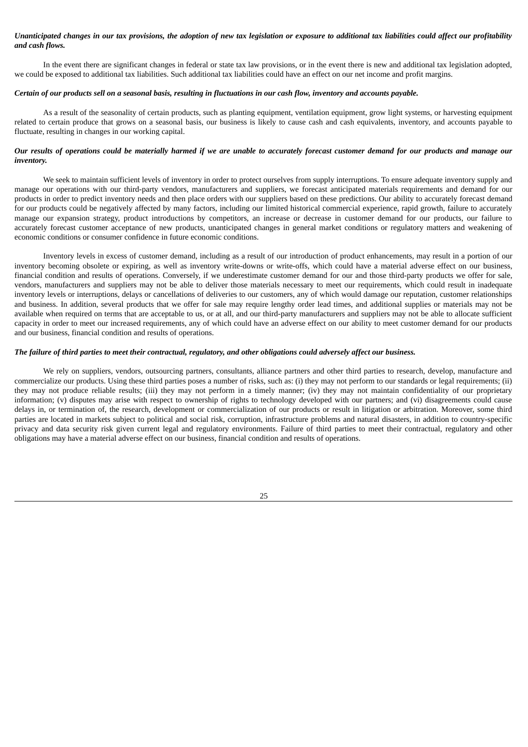# Unanticipated changes in our tax provisions, the adoption of new tax legislation or exposure to additional tax liabilities could affect our profitability *and cash flows.*

In the event there are significant changes in federal or state tax law provisions, or in the event there is new and additional tax legislation adopted, we could be exposed to additional tax liabilities. Such additional tax liabilities could have an effect on our net income and profit margins.

### Certain of our products sell on a seasonal basis, resulting in fluctuations in our cash flow, inventory and accounts payable.

As a result of the seasonality of certain products, such as planting equipment, ventilation equipment, grow light systems, or harvesting equipment related to certain produce that grows on a seasonal basis, our business is likely to cause cash and cash equivalents, inventory, and accounts payable to fluctuate, resulting in changes in our working capital.

# Our results of operations could be materially harmed if we are unable to accurately forecast customer demand for our products and manage our *inventory.*

We seek to maintain sufficient levels of inventory in order to protect ourselves from supply interruptions. To ensure adequate inventory supply and manage our operations with our third-party vendors, manufacturers and suppliers, we forecast anticipated materials requirements and demand for our products in order to predict inventory needs and then place orders with our suppliers based on these predictions. Our ability to accurately forecast demand for our products could be negatively affected by many factors, including our limited historical commercial experience, rapid growth, failure to accurately manage our expansion strategy, product introductions by competitors, an increase or decrease in customer demand for our products, our failure to accurately forecast customer acceptance of new products, unanticipated changes in general market conditions or regulatory matters and weakening of economic conditions or consumer confidence in future economic conditions.

Inventory levels in excess of customer demand, including as a result of our introduction of product enhancements, may result in a portion of our inventory becoming obsolete or expiring, as well as inventory write-downs or write-offs, which could have a material adverse effect on our business, financial condition and results of operations. Conversely, if we underestimate customer demand for our and those third-party products we offer for sale, vendors, manufacturers and suppliers may not be able to deliver those materials necessary to meet our requirements, which could result in inadequate inventory levels or interruptions, delays or cancellations of deliveries to our customers, any of which would damage our reputation, customer relationships and business. In addition, several products that we offer for sale may require lengthy order lead times, and additional supplies or materials may not be available when required on terms that are acceptable to us, or at all, and our third-party manufacturers and suppliers may not be able to allocate sufficient capacity in order to meet our increased requirements, any of which could have an adverse effect on our ability to meet customer demand for our products and our business, financial condition and results of operations.

# The failure of third parties to meet their contractual, regulatory, and other obligations could adversely affect our business.

We rely on suppliers, vendors, outsourcing partners, consultants, alliance partners and other third parties to research, develop, manufacture and commercialize our products. Using these third parties poses a number of risks, such as: (i) they may not perform to our standards or legal requirements; (ii) they may not produce reliable results; (iii) they may not perform in a timely manner; (iv) they may not maintain confidentiality of our proprietary information; (v) disputes may arise with respect to ownership of rights to technology developed with our partners; and (vi) disagreements could cause delays in, or termination of, the research, development or commercialization of our products or result in litigation or arbitration. Moreover, some third parties are located in markets subject to political and social risk, corruption, infrastructure problems and natural disasters, in addition to country-specific privacy and data security risk given current legal and regulatory environments. Failure of third parties to meet their contractual, regulatory and other obligations may have a material adverse effect on our business, financial condition and results of operations.

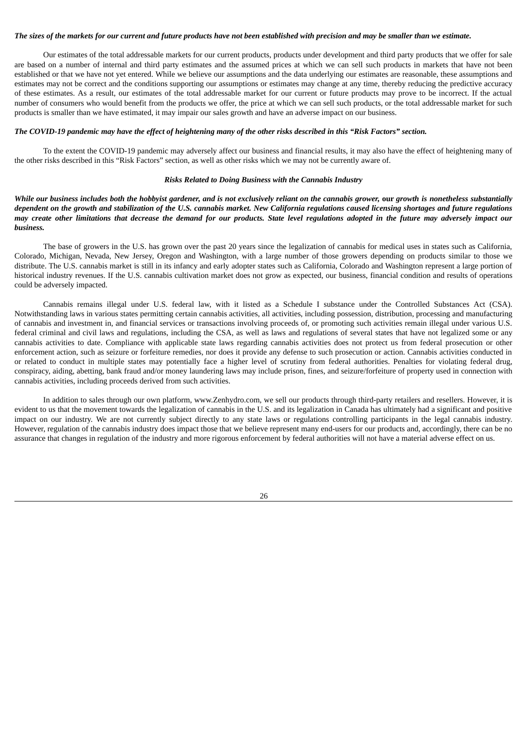# The sizes of the markets for our current and future products have not been established with precision and may be smaller than we estimate.

Our estimates of the total addressable markets for our current products, products under development and third party products that we offer for sale are based on a number of internal and third party estimates and the assumed prices at which we can sell such products in markets that have not been established or that we have not yet entered. While we believe our assumptions and the data underlying our estimates are reasonable, these assumptions and estimates may not be correct and the conditions supporting our assumptions or estimates may change at any time, thereby reducing the predictive accuracy of these estimates. As a result, our estimates of the total addressable market for our current or future products may prove to be incorrect. If the actual number of consumers who would benefit from the products we offer, the price at which we can sell such products, or the total addressable market for such products is smaller than we have estimated, it may impair our sales growth and have an adverse impact on our business.

#### The COVID-19 pandemic may have the effect of heightening many of the other risks described in this "Risk Factors" section.

To the extent the COVID-19 pandemic may adversely affect our business and financial results, it may also have the effect of heightening many of the other risks described in this "Risk Factors" section, as well as other risks which we may not be currently aware of.

#### *Risks Related to Doing Business with the Cannabis Industry*

While our business includes both the hobbyist gardener, and is not exclusively reliant on the cannabis grower, our growth is nonetheless substantially dependent on the growth and stabilization of the U.S. cannabis market. New California regulations caused licensing shortages and future regulations may create other limitations that decrease the demand for our products. State level regulations adopted in the future may adversely impact our *business.*

The base of growers in the U.S. has grown over the past 20 years since the legalization of cannabis for medical uses in states such as California, Colorado, Michigan, Nevada, New Jersey, Oregon and Washington, with a large number of those growers depending on products similar to those we distribute. The U.S. cannabis market is still in its infancy and early adopter states such as California, Colorado and Washington represent a large portion of historical industry revenues. If the U.S. cannabis cultivation market does not grow as expected, our business, financial condition and results of operations could be adversely impacted.

Cannabis remains illegal under U.S. federal law, with it listed as a Schedule I substance under the Controlled Substances Act (CSA). Notwithstanding laws in various states permitting certain cannabis activities, all activities, including possession, distribution, processing and manufacturing of cannabis and investment in, and financial services or transactions involving proceeds of, or promoting such activities remain illegal under various U.S. federal criminal and civil laws and regulations, including the CSA, as well as laws and regulations of several states that have not legalized some or any cannabis activities to date. Compliance with applicable state laws regarding cannabis activities does not protect us from federal prosecution or other enforcement action, such as seizure or forfeiture remedies, nor does it provide any defense to such prosecution or action. Cannabis activities conducted in or related to conduct in multiple states may potentially face a higher level of scrutiny from federal authorities. Penalties for violating federal drug, conspiracy, aiding, abetting, bank fraud and/or money laundering laws may include prison, fines, and seizure/forfeiture of property used in connection with cannabis activities, including proceeds derived from such activities.

In addition to sales through our own platform, www.Zenhydro.com, we sell our products through third-party retailers and resellers. However, it is evident to us that the movement towards the legalization of cannabis in the U.S. and its legalization in Canada has ultimately had a significant and positive impact on our industry. We are not currently subject directly to any state laws or regulations controlling participants in the legal cannabis industry. However, regulation of the cannabis industry does impact those that we believe represent many end-users for our products and, accordingly, there can be no assurance that changes in regulation of the industry and more rigorous enforcement by federal authorities will not have a material adverse effect on us.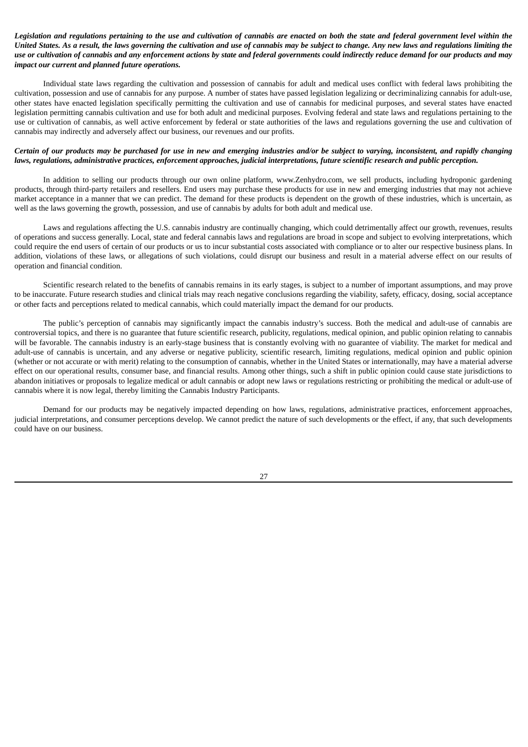# Legislation and regulations pertaining to the use and cultivation of cannabis are enacted on both the state and federal government level within the United States. As a result, the laws aoverning the cultivation and use of cannabis may be subject to change. Any new laws and regulations limiting the use or cultivation of cannabis and any enforcement actions by state and federal governments could indirectly reduce demand for our products and may *impact our current and planned future operations.*

Individual state laws regarding the cultivation and possession of cannabis for adult and medical uses conflict with federal laws prohibiting the cultivation, possession and use of cannabis for any purpose. A number of states have passed legislation legalizing or decriminalizing cannabis for adult-use, other states have enacted legislation specifically permitting the cultivation and use of cannabis for medicinal purposes, and several states have enacted legislation permitting cannabis cultivation and use for both adult and medicinal purposes. Evolving federal and state laws and regulations pertaining to the use or cultivation of cannabis, as well active enforcement by federal or state authorities of the laws and regulations governing the use and cultivation of cannabis may indirectly and adversely affect our business, our revenues and our profits.

# Certain of our products may be purchased for use in new and emerging industries and/or be subject to varying, inconsistent, and rapidly changing laws, regulations, administrative practices, enforcement approaches, judicial interpretations, future scientific research and public perception.

In addition to selling our products through our own online platform, www.Zenhydro.com, we sell products, including hydroponic gardening products, through third-party retailers and resellers. End users may purchase these products for use in new and emerging industries that may not achieve market acceptance in a manner that we can predict. The demand for these products is dependent on the growth of these industries, which is uncertain, as well as the laws governing the growth, possession, and use of cannabis by adults for both adult and medical use.

Laws and regulations affecting the U.S. cannabis industry are continually changing, which could detrimentally affect our growth, revenues, results of operations and success generally. Local, state and federal cannabis laws and regulations are broad in scope and subject to evolving interpretations, which could require the end users of certain of our products or us to incur substantial costs associated with compliance or to alter our respective business plans. In addition, violations of these laws, or allegations of such violations, could disrupt our business and result in a material adverse effect on our results of operation and financial condition.

Scientific research related to the benefits of cannabis remains in its early stages, is subject to a number of important assumptions, and may prove to be inaccurate. Future research studies and clinical trials may reach negative conclusions regarding the viability, safety, efficacy, dosing, social acceptance or other facts and perceptions related to medical cannabis, which could materially impact the demand for our products.

The public's perception of cannabis may significantly impact the cannabis industry's success. Both the medical and adult-use of cannabis are controversial topics, and there is no guarantee that future scientific research, publicity, regulations, medical opinion, and public opinion relating to cannabis will be favorable. The cannabis industry is an early-stage business that is constantly evolving with no guarantee of viability. The market for medical and adult-use of cannabis is uncertain, and any adverse or negative publicity, scientific research, limiting regulations, medical opinion and public opinion (whether or not accurate or with merit) relating to the consumption of cannabis, whether in the United States or internationally, may have a material adverse effect on our operational results, consumer base, and financial results. Among other things, such a shift in public opinion could cause state jurisdictions to abandon initiatives or proposals to legalize medical or adult cannabis or adopt new laws or regulations restricting or prohibiting the medical or adult-use of cannabis where it is now legal, thereby limiting the Cannabis Industry Participants.

Demand for our products may be negatively impacted depending on how laws, regulations, administrative practices, enforcement approaches, judicial interpretations, and consumer perceptions develop. We cannot predict the nature of such developments or the effect, if any, that such developments could have on our business.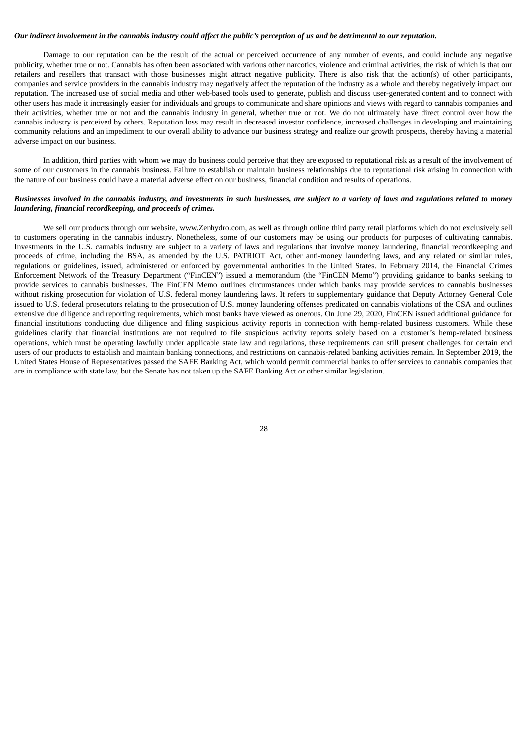# Our indirect involvement in the cannabis industry could affect the public's perception of us and be detrimental to our reputation.

Damage to our reputation can be the result of the actual or perceived occurrence of any number of events, and could include any negative publicity, whether true or not. Cannabis has often been associated with various other narcotics, violence and criminal activities, the risk of which is that our retailers and resellers that transact with those businesses might attract negative publicity. There is also risk that the action(s) of other participants, companies and service providers in the cannabis industry may negatively affect the reputation of the industry as a whole and thereby negatively impact our reputation. The increased use of social media and other web-based tools used to generate, publish and discuss user-generated content and to connect with other users has made it increasingly easier for individuals and groups to communicate and share opinions and views with regard to cannabis companies and their activities, whether true or not and the cannabis industry in general, whether true or not. We do not ultimately have direct control over how the cannabis industry is perceived by others. Reputation loss may result in decreased investor confidence, increased challenges in developing and maintaining community relations and an impediment to our overall ability to advance our business strategy and realize our growth prospects, thereby having a material adverse impact on our business.

In addition, third parties with whom we may do business could perceive that they are exposed to reputational risk as a result of the involvement of some of our customers in the cannabis business. Failure to establish or maintain business relationships due to reputational risk arising in connection with the nature of our business could have a material adverse effect on our business, financial condition and results of operations.

# Businesses involved in the cannabis industry, and investments in such businesses, are subject to a variety of laws and regulations related to money *laundering, financial recordkeeping, and proceeds of crimes.*

We sell our products through our website, www.Zenhydro.com, as well as through online third party retail platforms which do not exclusively sell to customers operating in the cannabis industry. Nonetheless, some of our customers may be using our products for purposes of cultivating cannabis. Investments in the U.S. cannabis industry are subject to a variety of laws and regulations that involve money laundering, financial recordkeeping and proceeds of crime, including the BSA, as amended by the U.S. PATRIOT Act, other anti-money laundering laws, and any related or similar rules, regulations or guidelines, issued, administered or enforced by governmental authorities in the United States. In February 2014, the Financial Crimes Enforcement Network of the Treasury Department ("FinCEN") issued a memorandum (the "FinCEN Memo") providing guidance to banks seeking to provide services to cannabis businesses. The FinCEN Memo outlines circumstances under which banks may provide services to cannabis businesses without risking prosecution for violation of U.S. federal money laundering laws. It refers to supplementary guidance that Deputy Attorney General Cole issued to U.S. federal prosecutors relating to the prosecution of U.S. money laundering offenses predicated on cannabis violations of the CSA and outlines extensive due diligence and reporting requirements, which most banks have viewed as onerous. On June 29, 2020, FinCEN issued additional guidance for financial institutions conducting due diligence and filing suspicious activity reports in connection with hemp-related business customers. While these guidelines clarify that financial institutions are not required to file suspicious activity reports solely based on a customer's hemp-related business operations, which must be operating lawfully under applicable state law and regulations, these requirements can still present challenges for certain end users of our products to establish and maintain banking connections, and restrictions on cannabis-related banking activities remain. In September 2019, the United States House of Representatives passed the SAFE Banking Act, which would permit commercial banks to offer services to cannabis companies that are in compliance with state law, but the Senate has not taken up the SAFE Banking Act or other similar legislation.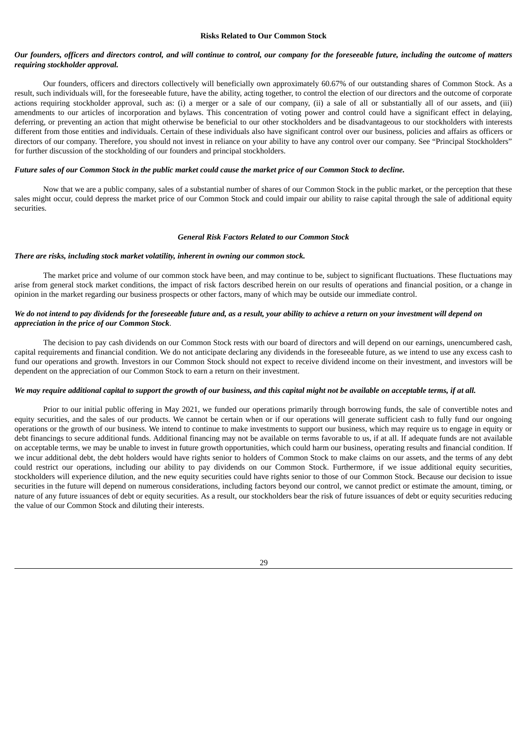#### **Risks Related to Our Common Stock**

# Our founders, officers and directors control, and will continue to control, our company for the foreseeable future, including the outcome of matters *requiring stockholder approval.*

Our founders, officers and directors collectively will beneficially own approximately 60.67% of our outstanding shares of Common Stock. As a result, such individuals will, for the foreseeable future, have the ability, acting together, to control the election of our directors and the outcome of corporate actions requiring stockholder approval, such as: (i) a merger or a sale of our company, (ii) a sale of all or substantially all of our assets, and (iii) amendments to our articles of incorporation and bylaws. This concentration of voting power and control could have a significant effect in delaying, deferring, or preventing an action that might otherwise be beneficial to our other stockholders and be disadvantageous to our stockholders with interests different from those entities and individuals. Certain of these individuals also have significant control over our business, policies and affairs as officers or directors of our company. Therefore, you should not invest in reliance on your ability to have any control over our company. See "Principal Stockholders" for further discussion of the stockholding of our founders and principal stockholders.

### Future sales of our Common Stock in the public market could cause the market price of our Common Stock to decline.

Now that we are a public company, sales of a substantial number of shares of our Common Stock in the public market, or the perception that these sales might occur, could depress the market price of our Common Stock and could impair our ability to raise capital through the sale of additional equity securities.

#### *General Risk Factors Related to our Common Stock*

### *There are risks, including stock market volatility, inherent in owning our common stock.*

The market price and volume of our common stock have been, and may continue to be, subject to significant fluctuations. These fluctuations may arise from general stock market conditions, the impact of risk factors described herein on our results of operations and financial position, or a change in opinion in the market regarding our business prospects or other factors, many of which may be outside our immediate control.

# We do not intend to pay dividends for the foreseeable future and, as a result, your ability to achieve a return on your investment will depend on *appreciation in the price of our Common Stock*.

The decision to pay cash dividends on our Common Stock rests with our board of directors and will depend on our earnings, unencumbered cash, capital requirements and financial condition. We do not anticipate declaring any dividends in the foreseeable future, as we intend to use any excess cash to fund our operations and growth. Investors in our Common Stock should not expect to receive dividend income on their investment, and investors will be dependent on the appreciation of our Common Stock to earn a return on their investment.

#### We may require additional capital to support the growth of our business, and this capital might not be available on acceptable terms, if at all.

Prior to our initial public offering in May 2021, we funded our operations primarily through borrowing funds, the sale of convertible notes and equity securities, and the sales of our products. We cannot be certain when or if our operations will generate sufficient cash to fully fund our ongoing operations or the growth of our business. We intend to continue to make investments to support our business, which may require us to engage in equity or debt financings to secure additional funds. Additional financing may not be available on terms favorable to us, if at all. If adequate funds are not available on acceptable terms, we may be unable to invest in future growth opportunities, which could harm our business, operating results and financial condition. If we incur additional debt, the debt holders would have rights senior to holders of Common Stock to make claims on our assets, and the terms of any debt could restrict our operations, including our ability to pay dividends on our Common Stock. Furthermore, if we issue additional equity securities, stockholders will experience dilution, and the new equity securities could have rights senior to those of our Common Stock. Because our decision to issue securities in the future will depend on numerous considerations, including factors beyond our control, we cannot predict or estimate the amount, timing, or nature of any future issuances of debt or equity securities. As a result, our stockholders bear the risk of future issuances of debt or equity securities reducing the value of our Common Stock and diluting their interests.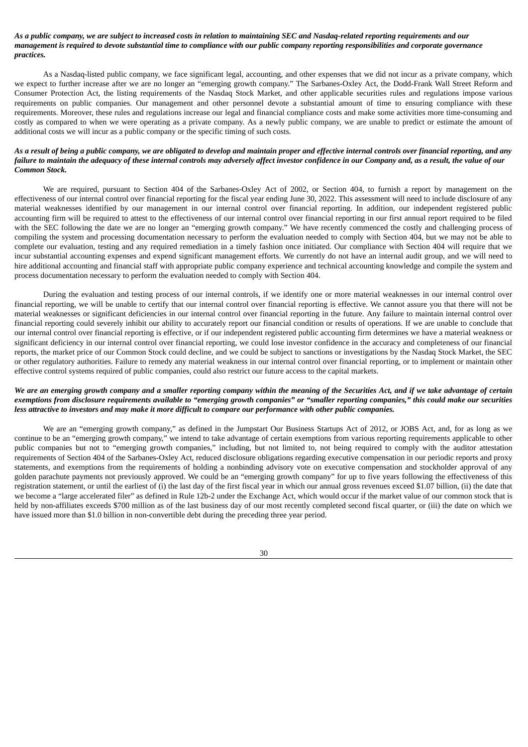# As a public company, we are subject to increased costs in relation to maintaining SEC and Nasdaq-related reporting requirements and our management is required to devote substantial time to compliance with our public company reporting responsibilities and corporate governance *practices.*

As a Nasdaq-listed public company, we face significant legal, accounting, and other expenses that we did not incur as a private company, which we expect to further increase after we are no longer an "emerging growth company." The Sarbanes-Oxley Act, the Dodd-Frank Wall Street Reform and Consumer Protection Act, the listing requirements of the Nasdaq Stock Market, and other applicable securities rules and regulations impose various requirements on public companies. Our management and other personnel devote a substantial amount of time to ensuring compliance with these requirements. Moreover, these rules and regulations increase our legal and financial compliance costs and make some activities more time-consuming and costly as compared to when we were operating as a private company. As a newly public company, we are unable to predict or estimate the amount of additional costs we will incur as a public company or the specific timing of such costs.

# As a result of being a public company, we are obligated to develop and maintain proper and effective internal controls over financial reporting, and any failure to maintain the adequacy of these internal controls may adversely affect investor confidence in our Company and, as a result, the value of our *Common Stock.*

We are required, pursuant to Section 404 of the Sarbanes-Oxley Act of 2002, or Section 404, to furnish a report by management on the effectiveness of our internal control over financial reporting for the fiscal year ending June 30, 2022. This assessment will need to include disclosure of any material weaknesses identified by our management in our internal control over financial reporting. In addition, our independent registered public accounting firm will be required to attest to the effectiveness of our internal control over financial reporting in our first annual report required to be filed with the SEC following the date we are no longer an "emerging growth company." We have recently commenced the costly and challenging process of compiling the system and processing documentation necessary to perform the evaluation needed to comply with Section 404, but we may not be able to complete our evaluation, testing and any required remediation in a timely fashion once initiated. Our compliance with Section 404 will require that we incur substantial accounting expenses and expend significant management efforts. We currently do not have an internal audit group, and we will need to hire additional accounting and financial staff with appropriate public company experience and technical accounting knowledge and compile the system and process documentation necessary to perform the evaluation needed to comply with Section 404.

During the evaluation and testing process of our internal controls, if we identify one or more material weaknesses in our internal control over financial reporting, we will be unable to certify that our internal control over financial reporting is effective. We cannot assure you that there will not be material weaknesses or significant deficiencies in our internal control over financial reporting in the future. Any failure to maintain internal control over financial reporting could severely inhibit our ability to accurately report our financial condition or results of operations. If we are unable to conclude that our internal control over financial reporting is effective, or if our independent registered public accounting firm determines we have a material weakness or significant deficiency in our internal control over financial reporting, we could lose investor confidence in the accuracy and completeness of our financial reports, the market price of our Common Stock could decline, and we could be subject to sanctions or investigations by the Nasdaq Stock Market, the SEC or other regulatory authorities. Failure to remedy any material weakness in our internal control over financial reporting, or to implement or maintain other effective control systems required of public companies, could also restrict our future access to the capital markets.

# We are an emerging growth company and a smaller reporting company within the meaning of the Securities Act, and if we take advantage of certain exemptions from disclosure requirements available to "emerging growth companies" or "smaller reporting companies," this could make our securities less attractive to investors and may make it more difficult to compare our performance with other public companies.

We are an "emerging growth company," as defined in the Jumpstart Our Business Startups Act of 2012, or JOBS Act, and, for as long as we continue to be an "emerging growth company," we intend to take advantage of certain exemptions from various reporting requirements applicable to other public companies but not to "emerging growth companies," including, but not limited to, not being required to comply with the auditor attestation requirements of Section 404 of the Sarbanes-Oxley Act, reduced disclosure obligations regarding executive compensation in our periodic reports and proxy statements, and exemptions from the requirements of holding a nonbinding advisory vote on executive compensation and stockholder approval of any golden parachute payments not previously approved. We could be an "emerging growth company" for up to five years following the effectiveness of this registration statement, or until the earliest of (i) the last day of the first fiscal year in which our annual gross revenues exceed \$1.07 billion, (ii) the date that we become a "large accelerated filer" as defined in Rule 12b-2 under the Exchange Act, which would occur if the market value of our common stock that is held by non-affiliates exceeds \$700 million as of the last business day of our most recently completed second fiscal quarter, or (iii) the date on which we have issued more than \$1.0 billion in non-convertible debt during the preceding three year period.

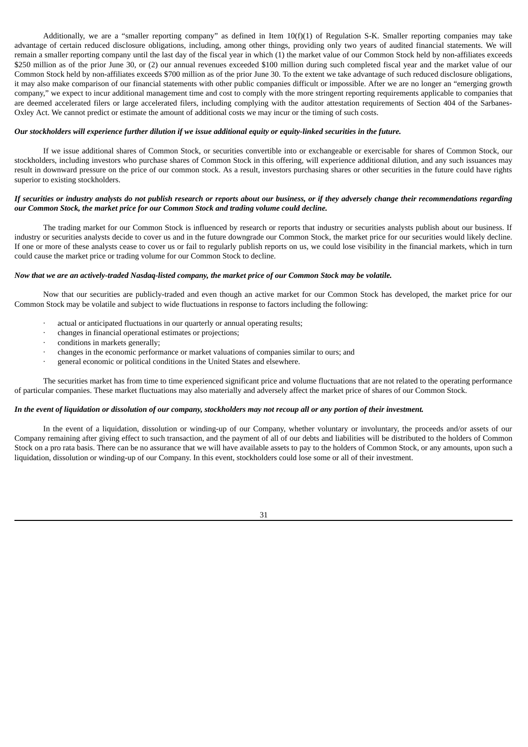Additionally, we are a "smaller reporting company" as defined in Item 10(f)(1) of Regulation S-K. Smaller reporting companies may take advantage of certain reduced disclosure obligations, including, among other things, providing only two years of audited financial statements. We will remain a smaller reporting company until the last day of the fiscal year in which (1) the market value of our Common Stock held by non-affiliates exceeds \$250 million as of the prior June 30, or (2) our annual revenues exceeded \$100 million during such completed fiscal year and the market value of our Common Stock held by non-affiliates exceeds \$700 million as of the prior June 30. To the extent we take advantage of such reduced disclosure obligations, it may also make comparison of our financial statements with other public companies difficult or impossible. After we are no longer an "emerging growth company," we expect to incur additional management time and cost to comply with the more stringent reporting requirements applicable to companies that are deemed accelerated filers or large accelerated filers, including complying with the auditor attestation requirements of Section 404 of the Sarbanes-Oxley Act. We cannot predict or estimate the amount of additional costs we may incur or the timing of such costs.

### Our stockholders will experience further dilution if we issue additional equity or equity-linked securities in the future.

If we issue additional shares of Common Stock, or securities convertible into or exchangeable or exercisable for shares of Common Stock, our stockholders, including investors who purchase shares of Common Stock in this offering, will experience additional dilution, and any such issuances may result in downward pressure on the price of our common stock. As a result, investors purchasing shares or other securities in the future could have rights superior to existing stockholders.

# If securities or industry analysts do not publish research or reports about our business, or if they adversely change their recommendations regarding *our Common Stock, the market price for our Common Stock and trading volume could decline.*

The trading market for our Common Stock is influenced by research or reports that industry or securities analysts publish about our business. If industry or securities analysts decide to cover us and in the future downgrade our Common Stock, the market price for our securities would likely decline. If one or more of these analysts cease to cover us or fail to regularly publish reports on us, we could lose visibility in the financial markets, which in turn could cause the market price or trading volume for our Common Stock to decline.

#### Now that we are an actively-traded Nasdaq-listed company, the market price of our Common Stock may be volatile.

Now that our securities are publicly-traded and even though an active market for our Common Stock has developed, the market price for our Common Stock may be volatile and subject to wide fluctuations in response to factors including the following:

- actual or anticipated fluctuations in our quarterly or annual operating results;
- changes in financial operational estimates or projections;
- · conditions in markets generally;
- · changes in the economic performance or market valuations of companies similar to ours; and
- general economic or political conditions in the United States and elsewhere.

The securities market has from time to time experienced significant price and volume fluctuations that are not related to the operating performance of particular companies. These market fluctuations may also materially and adversely affect the market price of shares of our Common Stock.

#### In the event of liquidation or dissolution of our company, stockholders may not recoup all or any portion of their investment.

In the event of a liquidation, dissolution or winding-up of our Company, whether voluntary or involuntary, the proceeds and/or assets of our Company remaining after giving effect to such transaction, and the payment of all of our debts and liabilities will be distributed to the holders of Common Stock on a pro rata basis. There can be no assurance that we will have available assets to pay to the holders of Common Stock, or any amounts, upon such a liquidation, dissolution or winding-up of our Company. In this event, stockholders could lose some or all of their investment.

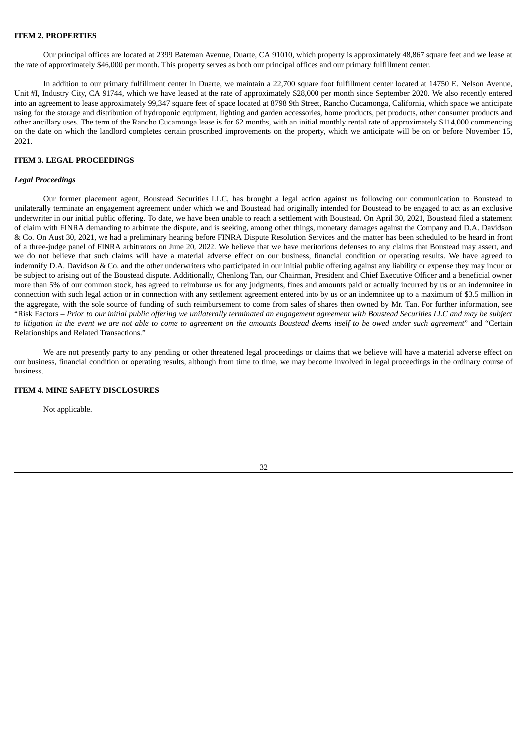# <span id="page-32-0"></span>**ITEM 2. PROPERTIES**

Our principal offices are located at 2399 Bateman Avenue, Duarte, CA 91010, which property is approximately 48,867 square feet and we lease at the rate of approximately \$46,000 per month. This property serves as both our principal offices and our primary fulfillment center.

In addition to our primary fulfillment center in Duarte, we maintain a 22,700 square foot fulfillment center located at 14750 E. Nelson Avenue, Unit #I, Industry City, CA 91744, which we have leased at the rate of approximately \$28,000 per month since September 2020. We also recently entered into an agreement to lease approximately 99,347 square feet of space located at 8798 9th Street, Rancho Cucamonga, California, which space we anticipate using for the storage and distribution of hydroponic equipment, lighting and garden accessories, home products, pet products, other consumer products and other ancillary uses. The term of the Rancho Cucamonga lease is for 62 months, with an initial monthly rental rate of approximately \$114,000 commencing on the date on which the landlord completes certain proscribed improvements on the property, which we anticipate will be on or before November 15, 2021.

# <span id="page-32-1"></span>**ITEM 3. LEGAL PROCEEDINGS**

## *Legal Proceedings*

Our former placement agent, Boustead Securities LLC, has brought a legal action against us following our communication to Boustead to unilaterally terminate an engagement agreement under which we and Boustead had originally intended for Boustead to be engaged to act as an exclusive underwriter in our initial public offering. To date, we have been unable to reach a settlement with Boustead. On April 30, 2021, Boustead filed a statement of claim with FINRA demanding to arbitrate the dispute, and is seeking, among other things, monetary damages against the Company and D.A. Davidson & Co. On Aust 30, 2021, we had a preliminary hearing before FINRA Dispute Resolution Services and the matter has been scheduled to be heard in front of a three-judge panel of FINRA arbitrators on June 20, 2022. We believe that we have meritorious defenses to any claims that Boustead may assert, and we do not believe that such claims will have a material adverse effect on our business, financial condition or operating results. We have agreed to indemnify D.A. Davidson & Co. and the other underwriters who participated in our initial public offering against any liability or expense they may incur or be subject to arising out of the Boustead dispute. Additionally, Chenlong Tan, our Chairman, President and Chief Executive Officer and a beneficial owner more than 5% of our common stock, has agreed to reimburse us for any judgments, fines and amounts paid or actually incurred by us or an indemnitee in connection with such legal action or in connection with any settlement agreement entered into by us or an indemnitee up to a maximum of \$3.5 million in the aggregate, with the sole source of funding of such reimbursement to come from sales of shares then owned by Mr. Tan. For further information, see "Risk Factors – Prior to our initial public offering we unilaterally terminated an engagement agreement with Boustead Securities LLC and may be subject to litigation in the event we are not able to come to agreement on the amounts Boustead deems itself to be owed under such agreement" and "Certain Relationships and Related Transactions."

We are not presently party to any pending or other threatened legal proceedings or claims that we believe will have a material adverse effect on our business, financial condition or operating results, although from time to time, we may become involved in legal proceedings in the ordinary course of business.

#### <span id="page-32-2"></span>**ITEM 4. MINE SAFETY DISCLOSURES**

Not applicable.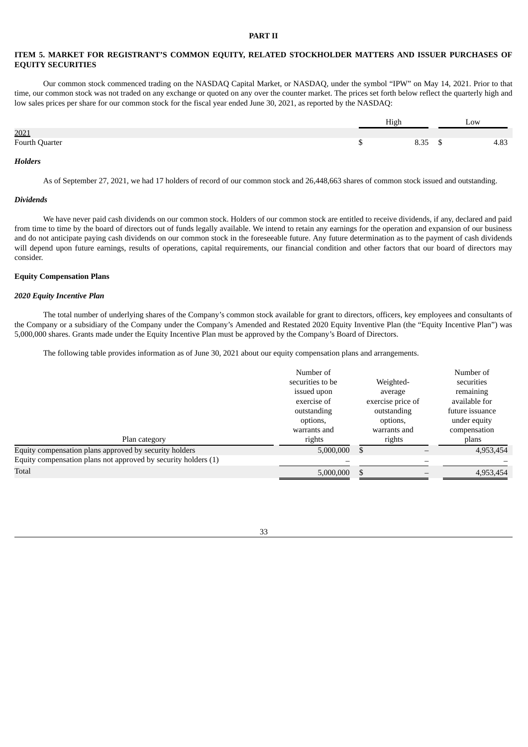# **PART II**

# <span id="page-33-1"></span><span id="page-33-0"></span>**ITEM 5. MARKET FOR REGISTRANT'S COMMON EQUITY, RELATED STOCKHOLDER MATTERS AND ISSUER PURCHASES OF EQUITY SECURITIES**

Our common stock commenced trading on the NASDAQ Capital Market, or NASDAQ, under the symbol "IPW" on May 14, 2021. Prior to that time, our common stock was not traded on any exchange or quoted on any over the counter market. The prices set forth below reflect the quarterly high and low sales prices per share for our common stock for the fiscal year ended June 30, 2021, as reported by the NASDAQ:

|                | High                         | $L$ 0W |
|----------------|------------------------------|--------|
| 2021           |                              |        |
| Fourth Quarter | $\sim$ $-$<br>$\sim$<br>ບ.ບບ | 4.83   |
|                |                              |        |

## *Holders*

As of September 27, 2021, we had 17 holders of record of our common stock and 26,448,663 shares of common stock issued and outstanding.

# *Dividends*

We have never paid cash dividends on our common stock. Holders of our common stock are entitled to receive dividends, if any, declared and paid from time to time by the board of directors out of funds legally available. We intend to retain any earnings for the operation and expansion of our business and do not anticipate paying cash dividends on our common stock in the foreseeable future. Any future determination as to the payment of cash dividends will depend upon future earnings, results of operations, capital requirements, our financial condition and other factors that our board of directors may consider.

# **Equity Compensation Plans**

### *2020 Equity Incentive Plan*

The total number of underlying shares of the Company's common stock available for grant to directors, officers, key employees and consultants of the Company or a subsidiary of the Company under the Company's Amended and Restated 2020 Equity Inventive Plan (the "Equity Incentive Plan") was 5,000,000 shares. Grants made under the Equity Incentive Plan must be approved by the Company's Board of Directors.

The following table provides information as of June 30, 2021 about our equity compensation plans and arrangements.

|                                                                | Number of        |                   | Number of       |
|----------------------------------------------------------------|------------------|-------------------|-----------------|
|                                                                | securities to be | Weighted-         | securities      |
|                                                                | issued upon      | average           | remaining       |
|                                                                | exercise of      | exercise price of | available for   |
|                                                                | outstanding      | outstanding       | future issuance |
|                                                                | options,         | options,          | under equity    |
|                                                                | warrants and     | warrants and      | compensation    |
| Plan category                                                  | rights           | rights            | plans           |
| Equity compensation plans approved by security holders         | 5,000,000        | S                 | 4,953,454       |
| Equity compensation plans not approved by security holders (1) |                  |                   |                 |
| Total                                                          | 5,000,000        | \$                | 4,953,454       |

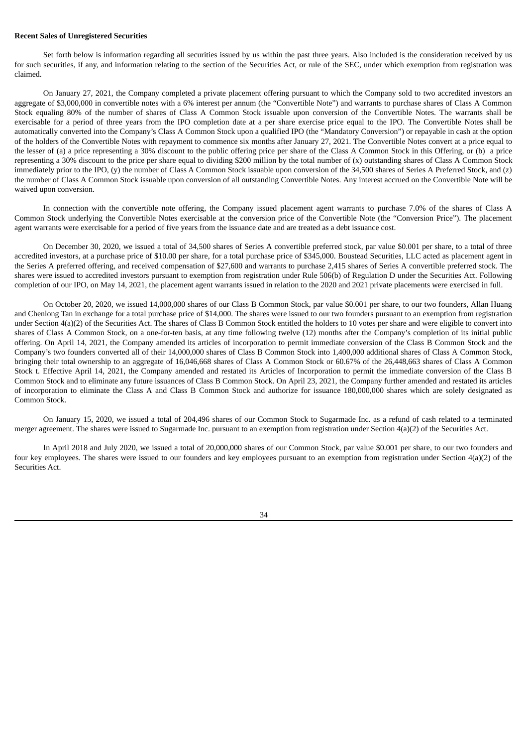## **Recent Sales of Unregistered Securities**

Set forth below is information regarding all securities issued by us within the past three years. Also included is the consideration received by us for such securities, if any, and information relating to the section of the Securities Act, or rule of the SEC, under which exemption from registration was claimed.

On January 27, 2021, the Company completed a private placement offering pursuant to which the Company sold to two accredited investors an aggregate of \$3,000,000 in convertible notes with a 6% interest per annum (the "Convertible Note") and warrants to purchase shares of Class A Common Stock equaling 80% of the number of shares of Class A Common Stock issuable upon conversion of the Convertible Notes. The warrants shall be exercisable for a period of three years from the IPO completion date at a per share exercise price equal to the IPO. The Convertible Notes shall be automatically converted into the Company's Class A Common Stock upon a qualified IPO (the "Mandatory Conversion") or repayable in cash at the option of the holders of the Convertible Notes with repayment to commence six months after January 27, 2021. The Convertible Notes convert at a price equal to the lesser of (a) a price representing a 30% discount to the public offering price per share of the Class A Common Stock in this Offering, or (b) a price representing a 30% discount to the price per share equal to dividing \$200 million by the total number of (x) outstanding shares of Class A Common Stock immediately prior to the IPO, (y) the number of Class A Common Stock issuable upon conversion of the 34,500 shares of Series A Preferred Stock, and (z) the number of Class A Common Stock issuable upon conversion of all outstanding Convertible Notes. Any interest accrued on the Convertible Note will be waived upon conversion.

In connection with the convertible note offering, the Company issued placement agent warrants to purchase 7.0% of the shares of Class A Common Stock underlying the Convertible Notes exercisable at the conversion price of the Convertible Note (the "Conversion Price"). The placement agent warrants were exercisable for a period of five years from the issuance date and are treated as a debt issuance cost.

On December 30, 2020, we issued a total of 34,500 shares of Series A convertible preferred stock, par value \$0.001 per share, to a total of three accredited investors, at a purchase price of \$10.00 per share, for a total purchase price of \$345,000. Boustead Securities, LLC acted as placement agent in the Series A preferred offering, and received compensation of \$27,600 and warrants to purchase 2,415 shares of Series A convertible preferred stock. The shares were issued to accredited investors pursuant to exemption from registration under Rule 506(b) of Regulation D under the Securities Act. Following completion of our IPO, on May 14, 2021, the placement agent warrants issued in relation to the 2020 and 2021 private placements were exercised in full.

On October 20, 2020, we issued 14,000,000 shares of our Class B Common Stock, par value \$0.001 per share, to our two founders, Allan Huang and Chenlong Tan in exchange for a total purchase price of \$14,000. The shares were issued to our two founders pursuant to an exemption from registration under Section 4(a)(2) of the Securities Act. The shares of Class B Common Stock entitled the holders to 10 votes per share and were eligible to convert into shares of Class A Common Stock, on a one-for-ten basis, at any time following twelve (12) months after the Company's completion of its initial public offering. On April 14, 2021, the Company amended its articles of incorporation to permit immediate conversion of the Class B Common Stock and the Company's two founders converted all of their 14,000,000 shares of Class B Common Stock into 1,400,000 additional shares of Class A Common Stock, bringing their total ownership to an aggregate of 16,046,668 shares of Class A Common Stock or 60.67% of the 26,448,663 shares of Class A Common Stock t. Effective April 14, 2021, the Company amended and restated its Articles of Incorporation to permit the immediate conversion of the Class B Common Stock and to eliminate any future issuances of Class B Common Stock. On April 23, 2021, the Company further amended and restated its articles of incorporation to eliminate the Class A and Class B Common Stock and authorize for issuance 180,000,000 shares which are solely designated as Common Stock.

On January 15, 2020, we issued a total of 204,496 shares of our Common Stock to Sugarmade Inc. as a refund of cash related to a terminated merger agreement. The shares were issued to Sugarmade Inc. pursuant to an exemption from registration under Section 4(a)(2) of the Securities Act.

In April 2018 and July 2020, we issued a total of 20,000,000 shares of our Common Stock, par value \$0.001 per share, to our two founders and four key employees. The shares were issued to our founders and key employees pursuant to an exemption from registration under Section 4(a)(2) of the Securities Act.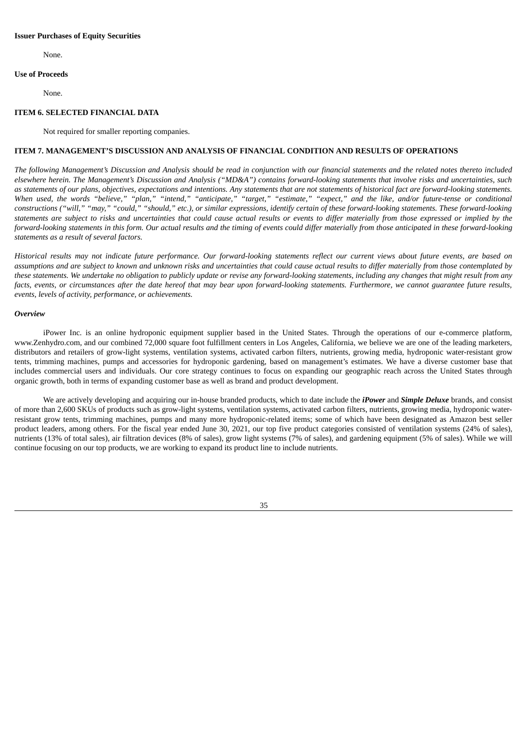### **Issuer Purchases of Equity Securities**

None.

### **Use of Proceeds**

None.

# <span id="page-35-0"></span>**ITEM 6. SELECTED FINANCIAL DATA**

Not required for smaller reporting companies.

# <span id="page-35-1"></span>**ITEM 7. MANAGEMENT'S DISCUSSION AND ANALYSIS OF FINANCIAL CONDITION AND RESULTS OF OPERATIONS**

The following Management's Discussion and Analysis should be read in conjunction with our financial statements and the related notes thereto included elsewhere herein. The Management's Discussion and Analysis ("MD&A") contains forward-looking statements that involve risks and uncertainties, such as statements of our plans, objectives, expectations and intentions. Any statements that are not statements of historical fact are forward-looking statements. When used, the words "believe," "plan," "intend," "anticipate," "target," "estimate," "expect," and the like, and/or future-tense or conditional constructions ("will," "may," "could," "should," etc.), or similar expressions, identify certain of these forward-looking statements. These forward-looking statements are subject to risks and uncertainties that could cause actual results or events to differ materially from those expressed or implied by the forward-looking statements in this form. Our actual results and the timing of events could differ materially from those anticipated in these forward-looking *statements as a result of several factors.*

Historical results may not indicate future performance. Our forward-looking statements reflect our current views about future events, are based on assumptions and are subject to known and unknown risks and uncertainties that could cause actual results to differ materially from those contemplated by these statements. We undertake no obligation to publicly update or revise any forward-looking statements, including any changes that might result from any facts, events, or circumstances after the date hereof that may bear upon forward-looking statements. Furthermore, we cannot guarantee future results, *events, levels of activity, performance, or achievements.*

#### *Overview*

iPower Inc. is an online hydroponic equipment supplier based in the United States. Through the operations of our e-commerce platform, www.Zenhydro.com, and our combined 72,000 square foot fulfillment centers in Los Angeles, California, we believe we are one of the leading marketers, distributors and retailers of grow-light systems, ventilation systems, activated carbon filters, nutrients, growing media, hydroponic water-resistant grow tents, trimming machines, pumps and accessories for hydroponic gardening, based on management's estimates. We have a diverse customer base that includes commercial users and individuals. Our core strategy continues to focus on expanding our geographic reach across the United States through organic growth, both in terms of expanding customer base as well as brand and product development.

We are actively developing and acquiring our in-house branded products, which to date include the *iPower* and *Simple Deluxe* brands, and consist of more than 2,600 SKUs of products such as grow-light systems, ventilation systems, activated carbon filters, nutrients, growing media, hydroponic waterresistant grow tents, trimming machines, pumps and many more hydroponic-related items; some of which have been designated as Amazon best seller product leaders, among others. For the fiscal year ended June 30, 2021, our top five product categories consisted of ventilation systems (24% of sales), nutrients (13% of total sales), air filtration devices (8% of sales), grow light systems (7% of sales), and gardening equipment (5% of sales). While we will continue focusing on our top products, we are working to expand its product line to include nutrients.

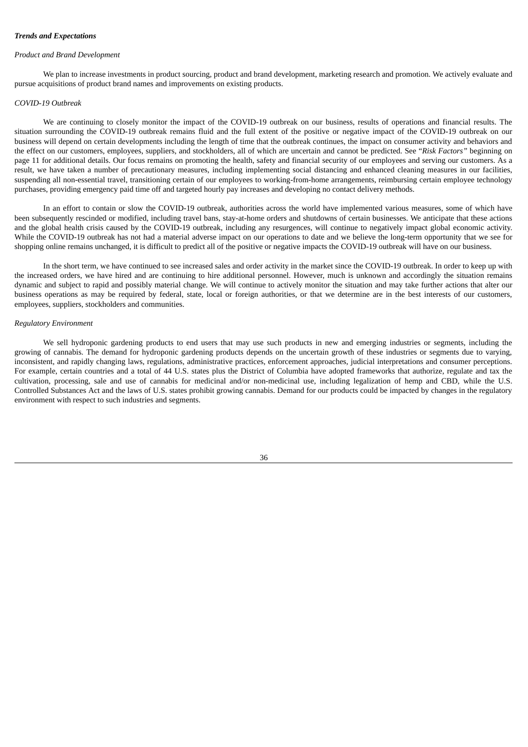#### *Trends and Expectations*

#### *Product and Brand Development*

We plan to increase investments in product sourcing, product and brand development, marketing research and promotion. We actively evaluate and pursue acquisitions of product brand names and improvements on existing products.

#### *COVID-19 Outbreak*

We are continuing to closely monitor the impact of the COVID-19 outbreak on our business, results of operations and financial results. The situation surrounding the COVID-19 outbreak remains fluid and the full extent of the positive or negative impact of the COVID-19 outbreak on our business will depend on certain developments including the length of time that the outbreak continues, the impact on consumer activity and behaviors and the effect on our customers, employees, suppliers, and stockholders, all of which are uncertain and cannot be predicted. See "*Risk Factors"* beginning on page 11 for additional details. Our focus remains on promoting the health, safety and financial security of our employees and serving our customers. As a result, we have taken a number of precautionary measures, including implementing social distancing and enhanced cleaning measures in our facilities, suspending all non-essential travel, transitioning certain of our employees to working-from-home arrangements, reimbursing certain employee technology purchases, providing emergency paid time off and targeted hourly pay increases and developing no contact delivery methods.

In an effort to contain or slow the COVID-19 outbreak, authorities across the world have implemented various measures, some of which have been subsequently rescinded or modified, including travel bans, stay-at-home orders and shutdowns of certain businesses. We anticipate that these actions and the global health crisis caused by the COVID-19 outbreak, including any resurgences, will continue to negatively impact global economic activity. While the COVID-19 outbreak has not had a material adverse impact on our operations to date and we believe the long-term opportunity that we see for shopping online remains unchanged, it is difficult to predict all of the positive or negative impacts the COVID-19 outbreak will have on our business.

In the short term, we have continued to see increased sales and order activity in the market since the COVID-19 outbreak. In order to keep up with the increased orders, we have hired and are continuing to hire additional personnel. However, much is unknown and accordingly the situation remains dynamic and subject to rapid and possibly material change. We will continue to actively monitor the situation and may take further actions that alter our business operations as may be required by federal, state, local or foreign authorities, or that we determine are in the best interests of our customers, employees, suppliers, stockholders and communities.

#### *Regulatory Environment*

We sell hydroponic gardening products to end users that may use such products in new and emerging industries or segments, including the growing of cannabis. The demand for hydroponic gardening products depends on the uncertain growth of these industries or segments due to varying, inconsistent, and rapidly changing laws, regulations, administrative practices, enforcement approaches, judicial interpretations and consumer perceptions. For example, certain countries and a total of 44 U.S. states plus the District of Columbia have adopted frameworks that authorize, regulate and tax the cultivation, processing, sale and use of cannabis for medicinal and/or non-medicinal use, including legalization of hemp and CBD, while the U.S. Controlled Substances Act and the laws of U.S. states prohibit growing cannabis. Demand for our products could be impacted by changes in the regulatory environment with respect to such industries and segments.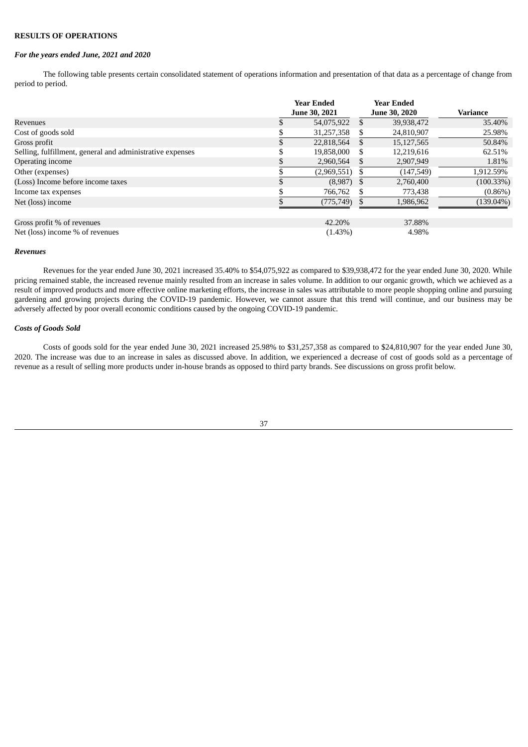# **RESULTS OF OPERATIONS**

# *For the years ended June, 2021 and 2020*

The following table presents certain consolidated statement of operations information and presentation of that data as a percentage of change from period to period.

|                                                           | <b>Year Ended</b><br>June 30, 2021 |     | <b>Year Ended</b><br><b>June 30, 2020</b> | Variance     |
|-----------------------------------------------------------|------------------------------------|-----|-------------------------------------------|--------------|
| Revenues                                                  | 54,075,922                         | \$  | 39,938,472                                | 35.40%       |
| Cost of goods sold                                        | 31,257,358                         | \$. | 24,810,907                                | 25.98%       |
| Gross profit                                              | 22,818,564                         |     | 15,127,565                                | 50.84%       |
| Selling, fulfillment, general and administrative expenses | 19,858,000                         | \$. | 12,219,616                                | 62.51%       |
| Operating income                                          | 2,960,564                          |     | 2,907,949                                 | 1.81%        |
| Other (expenses)                                          | (2,969,551)                        |     | (147, 549)                                | 1,912.59%    |
| (Loss) Income before income taxes                         | (8,987)                            | S   | 2,760,400                                 | (100.33%)    |
| Income tax expenses                                       | 766,762                            |     | 773,438                                   | $(0.86\%)$   |
| Net (loss) income                                         | (775, 749)                         |     | 1,986,962                                 | $(139.04\%)$ |
| Gross profit % of revenues                                | 42.20%                             |     | 37.88%                                    |              |
| Net (loss) income % of revenues                           | (1.43%)                            |     | 4.98%                                     |              |

## *Revenues*

Revenues for the year ended June 30, 2021 increased 35.40% to \$54,075,922 as compared to \$39,938,472 for the year ended June 30, 2020. While pricing remained stable, the increased revenue mainly resulted from an increase in sales volume. In addition to our organic growth, which we achieved as a result of improved products and more effective online marketing efforts, the increase in sales was attributable to more people shopping online and pursuing gardening and growing projects during the COVID-19 pandemic. However, we cannot assure that this trend will continue, and our business may be adversely affected by poor overall economic conditions caused by the ongoing COVID-19 pandemic.

#### *Costs of Goods Sold*

Costs of goods sold for the year ended June 30, 2021 increased 25.98% to \$31,257,358 as compared to \$24,810,907 for the year ended June 30, 2020. The increase was due to an increase in sales as discussed above. In addition, we experienced a decrease of cost of goods sold as a percentage of revenue as a result of selling more products under in-house brands as opposed to third party brands. See discussions on gross profit below.

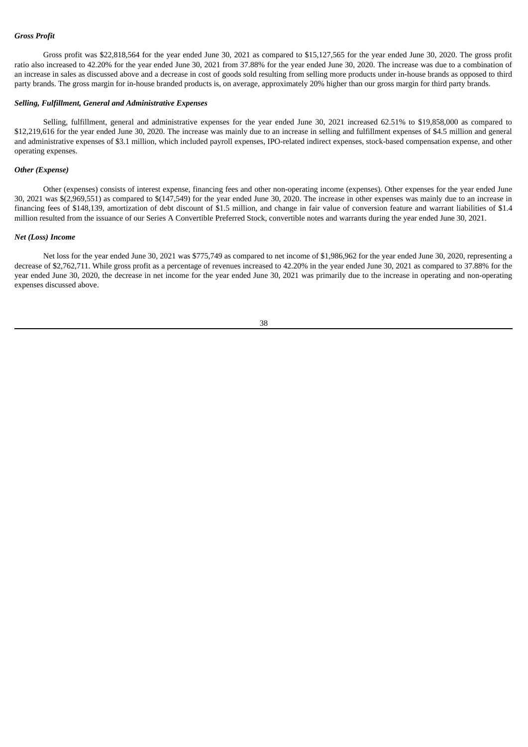## *Gross Profit*

Gross profit was \$22,818,564 for the year ended June 30, 2021 as compared to \$15,127,565 for the year ended June 30, 2020. The gross profit ratio also increased to 42.20% for the year ended June 30, 2021 from 37.88% for the year ended June 30, 2020. The increase was due to a combination of an increase in sales as discussed above and a decrease in cost of goods sold resulting from selling more products under in-house brands as opposed to third party brands. The gross margin for in-house branded products is, on average, approximately 20% higher than our gross margin for third party brands.

#### *Selling, Fulfillment, General and Administrative Expenses*

Selling, fulfillment, general and administrative expenses for the year ended June 30, 2021 increased 62.51% to \$19,858,000 as compared to \$12,219,616 for the year ended June 30, 2020. The increase was mainly due to an increase in selling and fulfillment expenses of \$4.5 million and general and administrative expenses of \$3.1 million, which included payroll expenses, IPO-related indirect expenses, stock-based compensation expense, and other operating expenses.

## *Other (Expense)*

Other (expenses) consists of interest expense, financing fees and other non-operating income (expenses). Other expenses for the year ended June 30, 2021 was \$(2,969,551) as compared to \$(147,549) for the year ended June 30, 2020. The increase in other expenses was mainly due to an increase in financing fees of \$148,139, amortization of debt discount of \$1.5 million, and change in fair value of conversion feature and warrant liabilities of \$1.4 million resulted from the issuance of our Series A Convertible Preferred Stock, convertible notes and warrants during the year ended June 30, 2021.

## *Net (Loss) Income*

Net loss for the year ended June 30, 2021 was \$775,749 as compared to net income of \$1,986,962 for the year ended June 30, 2020, representing a decrease of \$2,762,711. While gross profit as a percentage of revenues increased to 42.20% in the year ended June 30, 2021 as compared to 37.88% for the year ended June 30, 2020, the decrease in net income for the year ended June 30, 2021 was primarily due to the increase in operating and non-operating expenses discussed above.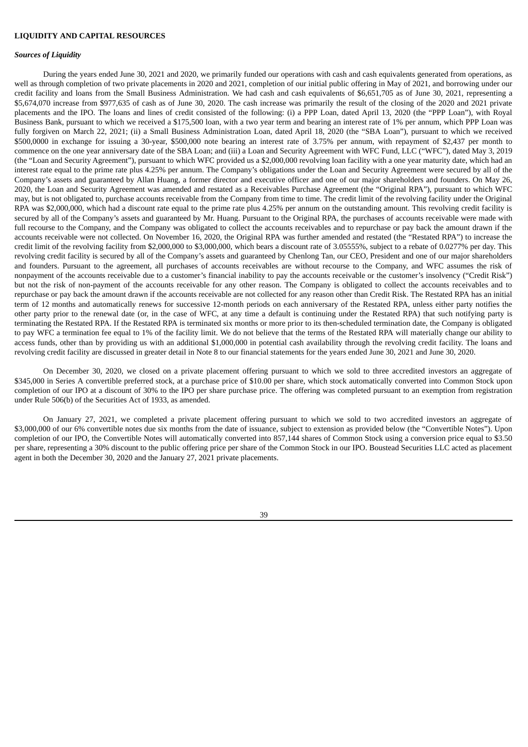# **LIQUIDITY AND CAPITAL RESOURCES**

## *Sources of Liquidity*

During the years ended June 30, 2021 and 2020, we primarily funded our operations with cash and cash equivalents generated from operations, as well as through completion of two private placements in 2020 and 2021, completion of our initial public offering in May of 2021, and borrowing under our credit facility and loans from the Small Business Administration. We had cash and cash equivalents of \$6,651,705 as of June 30, 2021, representing a \$5,674,070 increase from \$977,635 of cash as of June 30, 2020. The cash increase was primarily the result of the closing of the 2020 and 2021 private placements and the IPO. The loans and lines of credit consisted of the following: (i) a PPP Loan, dated April 13, 2020 (the "PPP Loan"), with Royal Business Bank, pursuant to which we received a \$175,500 loan, with a two year term and bearing an interest rate of 1% per annum, which PPP Loan was fully forgiven on March 22, 2021; (ii) a Small Business Administration Loan, dated April 18, 2020 (the "SBA Loan"), pursuant to which we received \$500,0000 in exchange for issuing a 30-year, \$500,000 note bearing an interest rate of 3.75% per annum, with repayment of \$2,437 per month to commence on the one year anniversary date of the SBA Loan; and (iii) a Loan and Security Agreement with WFC Fund, LLC ("WFC"), dated May 3, 2019 (the "Loan and Security Agreement"), pursuant to which WFC provided us a \$2,000,000 revolving loan facility with a one year maturity date, which had an interest rate equal to the prime rate plus 4.25% per annum. The Company's obligations under the Loan and Security Agreement were secured by all of the Company's assets and guaranteed by Allan Huang, a former director and executive officer and one of our major shareholders and founders. On May 26, 2020, the Loan and Security Agreement was amended and restated as a Receivables Purchase Agreement (the "Original RPA"), pursuant to which WFC may, but is not obligated to, purchase accounts receivable from the Company from time to time. The credit limit of the revolving facility under the Original RPA was \$2,000,000, which had a discount rate equal to the prime rate plus 4.25% per annum on the outstanding amount. This revolving credit facility is secured by all of the Company's assets and guaranteed by Mr. Huang. Pursuant to the Original RPA, the purchases of accounts receivable were made with full recourse to the Company, and the Company was obligated to collect the accounts receivables and to repurchase or pay back the amount drawn if the accounts receivable were not collected. On November 16, 2020, the Original RPA was further amended and restated (the "Restated RPA") to increase the credit limit of the revolving facility from \$2,000,000 to \$3,000,000, which bears a discount rate of 3.05555%, subject to a rebate of 0.0277% per day. This revolving credit facility is secured by all of the Company's assets and guaranteed by Chenlong Tan, our CEO, President and one of our major shareholders and founders. Pursuant to the agreement, all purchases of accounts receivables are without recourse to the Company, and WFC assumes the risk of nonpayment of the accounts receivable due to a customer's financial inability to pay the accounts receivable or the customer's insolvency ("Credit Risk") but not the risk of non-payment of the accounts receivable for any other reason. The Company is obligated to collect the accounts receivables and to repurchase or pay back the amount drawn if the accounts receivable are not collected for any reason other than Credit Risk. The Restated RPA has an initial term of 12 months and automatically renews for successive 12-month periods on each anniversary of the Restated RPA, unless either party notifies the other party prior to the renewal date (or, in the case of WFC, at any time a default is continuing under the Restated RPA) that such notifying party is terminating the Restated RPA. If the Restated RPA is terminated six months or more prior to its then-scheduled termination date, the Company is obligated to pay WFC a termination fee equal to 1% of the facility limit. We do not believe that the terms of the Restated RPA will materially change our ability to access funds, other than by providing us with an additional \$1,000,000 in potential cash availability through the revolving credit facility. The loans and revolving credit facility are discussed in greater detail in Note 8 to our financial statements for the years ended June 30, 2021 and June 30, 2020.

On December 30, 2020, we closed on a private placement offering pursuant to which we sold to three accredited investors an aggregate of \$345,000 in Series A convertible preferred stock, at a purchase price of \$10.00 per share, which stock automatically converted into Common Stock upon completion of our IPO at a discount of 30% to the IPO per share purchase price. The offering was completed pursuant to an exemption from registration under Rule 506(b) of the Securities Act of 1933, as amended.

On January 27, 2021, we completed a private placement offering pursuant to which we sold to two accredited investors an aggregate of \$3,000,000 of our 6% convertible notes due six months from the date of issuance, subject to extension as provided below (the "Convertible Notes"). Upon completion of our IPO, the Convertible Notes will automatically converted into 857,144 shares of Common Stock using a conversion price equal to \$3.50 per share, representing a 30% discount to the public offering price per share of the Common Stock in our IPO. Boustead Securities LLC acted as placement agent in both the December 30, 2020 and the January 27, 2021 private placements.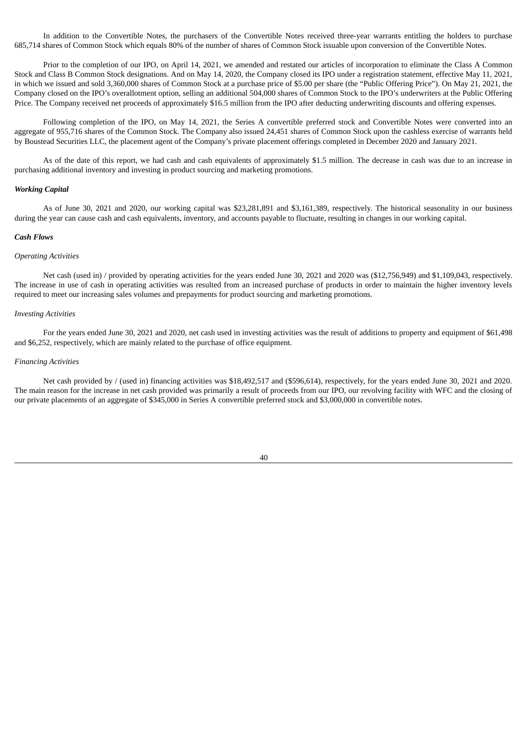In addition to the Convertible Notes, the purchasers of the Convertible Notes received three-year warrants entitling the holders to purchase 685,714 shares of Common Stock which equals 80% of the number of shares of Common Stock issuable upon conversion of the Convertible Notes.

Prior to the completion of our IPO, on April 14, 2021, we amended and restated our articles of incorporation to eliminate the Class A Common Stock and Class B Common Stock designations. And on May 14, 2020, the Company closed its IPO under a registration statement, effective May 11, 2021, in which we issued and sold 3,360,000 shares of Common Stock at a purchase price of \$5.00 per share (the "Public Offering Price"). On May 21, 2021, the Company closed on the IPO's overallotment option, selling an additional 504,000 shares of Common Stock to the IPO's underwriters at the Public Offering Price. The Company received net proceeds of approximately \$16.5 million from the IPO after deducting underwriting discounts and offering expenses.

Following completion of the IPO, on May 14, 2021, the Series A convertible preferred stock and Convertible Notes were converted into an aggregate of 955,716 shares of the Common Stock. The Company also issued 24,451 shares of Common Stock upon the cashless exercise of warrants held by Boustead Securities LLC, the placement agent of the Company's private placement offerings completed in December 2020 and January 2021.

As of the date of this report, we had cash and cash equivalents of approximately \$1.5 million. The decrease in cash was due to an increase in purchasing additional inventory and investing in product sourcing and marketing promotions.

## *Working Capital*

As of June 30, 2021 and 2020, our working capital was \$23,281,891 and \$3,161,389, respectively. The historical seasonality in our business during the year can cause cash and cash equivalents, inventory, and accounts payable to fluctuate, resulting in changes in our working capital.

## *Cash Flows*

## *Operating Activities*

Net cash (used in) / provided by operating activities for the years ended June 30, 2021 and 2020 was (\$12,756,949) and \$1,109,043, respectively. The increase in use of cash in operating activities was resulted from an increased purchase of products in order to maintain the higher inventory levels required to meet our increasing sales volumes and prepayments for product sourcing and marketing promotions.

## *Investing Activities*

For the years ended June 30, 2021 and 2020, net cash used in investing activities was the result of additions to property and equipment of \$61,498 and \$6,252, respectively, which are mainly related to the purchase of office equipment.

#### *Financing Activities*

Net cash provided by / (used in) financing activities was \$18,492,517 and (\$596,614), respectively, for the years ended June 30, 2021 and 2020. The main reason for the increase in net cash provided was primarily a result of proceeds from our IPO, our revolving facility with WFC and the closing of our private placements of an aggregate of \$345,000 in Series A convertible preferred stock and \$3,000,000 in convertible notes.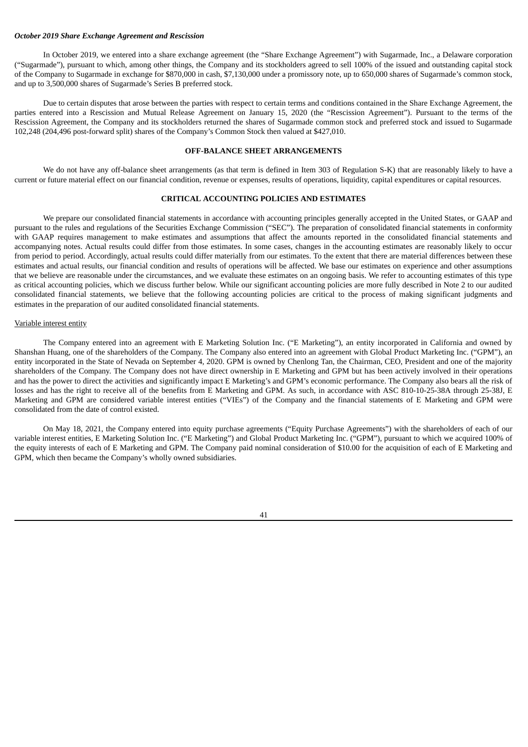## *October 2019 Share Exchange Agreement and Rescission*

In October 2019, we entered into a share exchange agreement (the "Share Exchange Agreement") with Sugarmade, Inc., a Delaware corporation ("Sugarmade"), pursuant to which, among other things, the Company and its stockholders agreed to sell 100% of the issued and outstanding capital stock of the Company to Sugarmade in exchange for \$870,000 in cash, \$7,130,000 under a promissory note, up to 650,000 shares of Sugarmade's common stock, and up to 3,500,000 shares of Sugarmade's Series B preferred stock.

Due to certain disputes that arose between the parties with respect to certain terms and conditions contained in the Share Exchange Agreement, the parties entered into a Rescission and Mutual Release Agreement on January 15, 2020 (the "Rescission Agreement"). Pursuant to the terms of the Rescission Agreement, the Company and its stockholders returned the shares of Sugarmade common stock and preferred stock and issued to Sugarmade 102,248 (204,496 post-forward split) shares of the Company's Common Stock then valued at \$427,010.

## **OFF-BALANCE SHEET ARRANGEMENTS**

We do not have any off-balance sheet arrangements (as that term is defined in Item 303 of Regulation S-K) that are reasonably likely to have a current or future material effect on our financial condition, revenue or expenses, results of operations, liquidity, capital expenditures or capital resources.

#### **CRITICAL ACCOUNTING POLICIES AND ESTIMATES**

We prepare our consolidated financial statements in accordance with accounting principles generally accepted in the United States, or GAAP and pursuant to the rules and regulations of the Securities Exchange Commission ("SEC"). The preparation of consolidated financial statements in conformity with GAAP requires management to make estimates and assumptions that affect the amounts reported in the consolidated financial statements and accompanying notes. Actual results could differ from those estimates. In some cases, changes in the accounting estimates are reasonably likely to occur from period to period. Accordingly, actual results could differ materially from our estimates. To the extent that there are material differences between these estimates and actual results, our financial condition and results of operations will be affected. We base our estimates on experience and other assumptions that we believe are reasonable under the circumstances, and we evaluate these estimates on an ongoing basis. We refer to accounting estimates of this type as critical accounting policies, which we discuss further below. While our significant accounting policies are more fully described in Note 2 to our audited consolidated financial statements, we believe that the following accounting policies are critical to the process of making significant judgments and estimates in the preparation of our audited consolidated financial statements.

#### Variable interest entity

The Company entered into an agreement with E Marketing Solution Inc. ("E Marketing"), an entity incorporated in California and owned by Shanshan Huang, one of the shareholders of the Company. The Company also entered into an agreement with Global Product Marketing Inc. ("GPM"), an entity incorporated in the State of Nevada on September 4, 2020. GPM is owned by Chenlong Tan, the Chairman, CEO, President and one of the majority shareholders of the Company. The Company does not have direct ownership in E Marketing and GPM but has been actively involved in their operations and has the power to direct the activities and significantly impact E Marketing's and GPM's economic performance. The Company also bears all the risk of losses and has the right to receive all of the benefits from E Marketing and GPM. As such, in accordance with ASC 810-10-25-38A through 25-38J, E Marketing and GPM are considered variable interest entities ("VIEs") of the Company and the financial statements of E Marketing and GPM were consolidated from the date of control existed.

On May 18, 2021, the Company entered into equity purchase agreements ("Equity Purchase Agreements") with the shareholders of each of our variable interest entities, E Marketing Solution Inc. ("E Marketing") and Global Product Marketing Inc. ("GPM"), pursuant to which we acquired 100% of the equity interests of each of E Marketing and GPM. The Company paid nominal consideration of \$10.00 for the acquisition of each of E Marketing and GPM, which then became the Company's wholly owned subsidiaries.

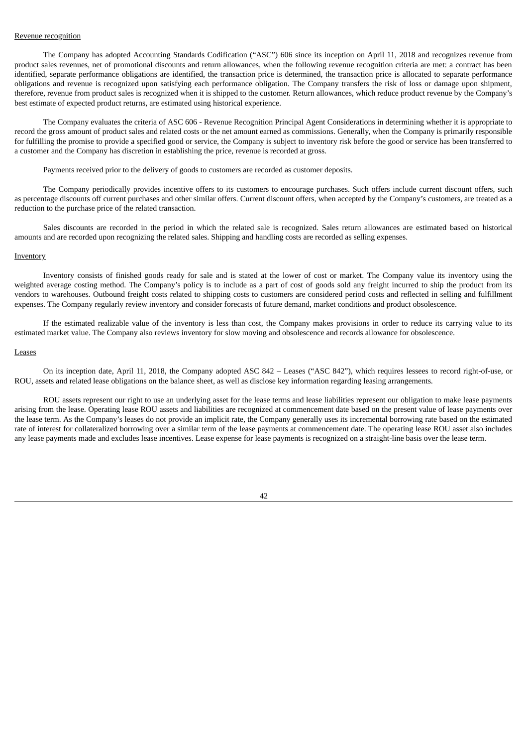## Revenue recognition

The Company has adopted Accounting Standards Codification ("ASC") 606 since its inception on April 11, 2018 and recognizes revenue from product sales revenues, net of promotional discounts and return allowances, when the following revenue recognition criteria are met: a contract has been identified, separate performance obligations are identified, the transaction price is determined, the transaction price is allocated to separate performance obligations and revenue is recognized upon satisfying each performance obligation. The Company transfers the risk of loss or damage upon shipment, therefore, revenue from product sales is recognized when it is shipped to the customer. Return allowances, which reduce product revenue by the Company's best estimate of expected product returns, are estimated using historical experience.

The Company evaluates the criteria of ASC 606 - Revenue Recognition Principal Agent Considerations in determining whether it is appropriate to record the gross amount of product sales and related costs or the net amount earned as commissions. Generally, when the Company is primarily responsible for fulfilling the promise to provide a specified good or service, the Company is subject to inventory risk before the good or service has been transferred to a customer and the Company has discretion in establishing the price, revenue is recorded at gross.

Payments received prior to the delivery of goods to customers are recorded as customer deposits.

The Company periodically provides incentive offers to its customers to encourage purchases. Such offers include current discount offers, such as percentage discounts off current purchases and other similar offers. Current discount offers, when accepted by the Company's customers, are treated as a reduction to the purchase price of the related transaction.

Sales discounts are recorded in the period in which the related sale is recognized. Sales return allowances are estimated based on historical amounts and are recorded upon recognizing the related sales. Shipping and handling costs are recorded as selling expenses.

#### **Inventory**

Inventory consists of finished goods ready for sale and is stated at the lower of cost or market. The Company value its inventory using the weighted average costing method. The Company's policy is to include as a part of cost of goods sold any freight incurred to ship the product from its vendors to warehouses. Outbound freight costs related to shipping costs to customers are considered period costs and reflected in selling and fulfillment expenses. The Company regularly review inventory and consider forecasts of future demand, market conditions and product obsolescence.

If the estimated realizable value of the inventory is less than cost, the Company makes provisions in order to reduce its carrying value to its estimated market value. The Company also reviews inventory for slow moving and obsolescence and records allowance for obsolescence.

#### Leases

On its inception date, April 11, 2018, the Company adopted ASC 842 – Leases ("ASC 842"), which requires lessees to record right-of-use, or ROU, assets and related lease obligations on the balance sheet, as well as disclose key information regarding leasing arrangements.

ROU assets represent our right to use an underlying asset for the lease terms and lease liabilities represent our obligation to make lease payments arising from the lease. Operating lease ROU assets and liabilities are recognized at commencement date based on the present value of lease payments over the lease term. As the Company's leases do not provide an implicit rate, the Company generally uses its incremental borrowing rate based on the estimated rate of interest for collateralized borrowing over a similar term of the lease payments at commencement date. The operating lease ROU asset also includes any lease payments made and excludes lease incentives. Lease expense for lease payments is recognized on a straight-line basis over the lease term.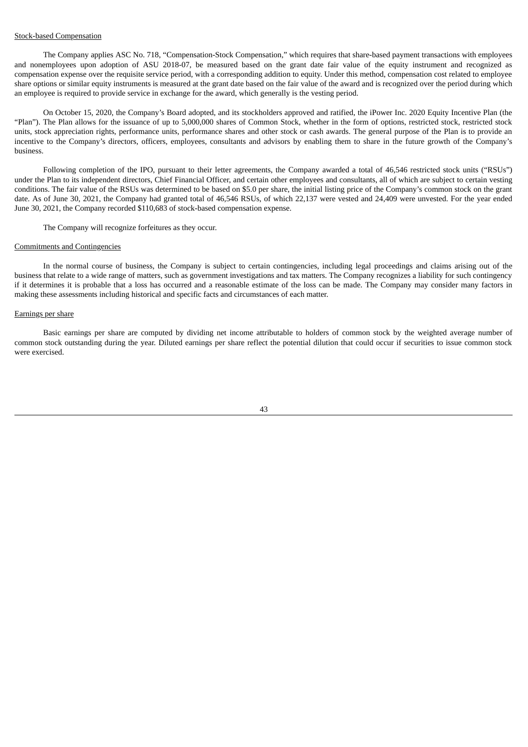# Stock-based Compensation

The Company applies ASC No. 718, "Compensation-Stock Compensation," which requires that share-based payment transactions with employees and nonemployees upon adoption of ASU 2018-07, be measured based on the grant date fair value of the equity instrument and recognized as compensation expense over the requisite service period, with a corresponding addition to equity. Under this method, compensation cost related to employee share options or similar equity instruments is measured at the grant date based on the fair value of the award and is recognized over the period during which an employee is required to provide service in exchange for the award, which generally is the vesting period.

On October 15, 2020, the Company's Board adopted, and its stockholders approved and ratified, the iPower Inc. 2020 Equity Incentive Plan (the "Plan"). The Plan allows for the issuance of up to 5,000,000 shares of Common Stock, whether in the form of options, restricted stock, restricted stock units, stock appreciation rights, performance units, performance shares and other stock or cash awards. The general purpose of the Plan is to provide an incentive to the Company's directors, officers, employees, consultants and advisors by enabling them to share in the future growth of the Company's business.

Following completion of the IPO, pursuant to their letter agreements, the Company awarded a total of 46,546 restricted stock units ("RSUs") under the Plan to its independent directors, Chief Financial Officer, and certain other employees and consultants, all of which are subject to certain vesting conditions. The fair value of the RSUs was determined to be based on \$5.0 per share, the initial listing price of the Company's common stock on the grant date. As of June 30, 2021, the Company had granted total of 46,546 RSUs, of which 22,137 were vested and 24,409 were unvested. For the year ended June 30, 2021, the Company recorded \$110,683 of stock-based compensation expense.

The Company will recognize forfeitures as they occur.

#### Commitments and Contingencies

In the normal course of business, the Company is subject to certain contingencies, including legal proceedings and claims arising out of the business that relate to a wide range of matters, such as government investigations and tax matters. The Company recognizes a liability for such contingency if it determines it is probable that a loss has occurred and a reasonable estimate of the loss can be made. The Company may consider many factors in making these assessments including historical and specific facts and circumstances of each matter.

# Earnings per share

Basic earnings per share are computed by dividing net income attributable to holders of common stock by the weighted average number of common stock outstanding during the year. Diluted earnings per share reflect the potential dilution that could occur if securities to issue common stock were exercised.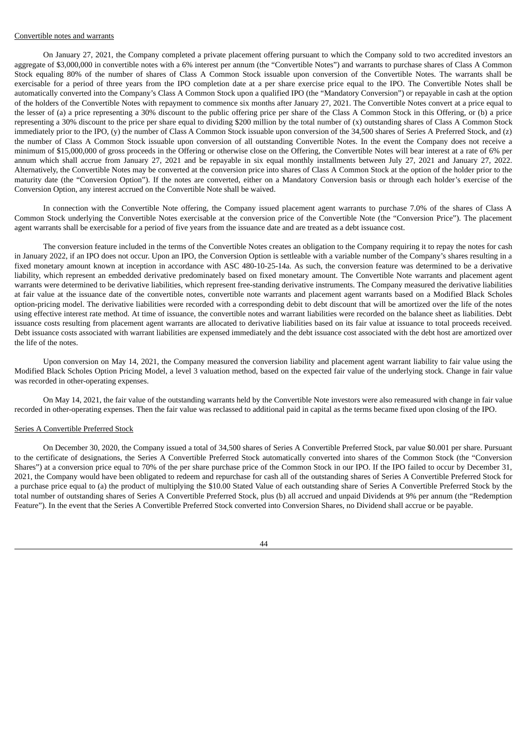## Convertible notes and warrants

On January 27, 2021, the Company completed a private placement offering pursuant to which the Company sold to two accredited investors an aggregate of \$3,000,000 in convertible notes with a 6% interest per annum (the "Convertible Notes") and warrants to purchase shares of Class A Common Stock equaling 80% of the number of shares of Class A Common Stock issuable upon conversion of the Convertible Notes. The warrants shall be exercisable for a period of three years from the IPO completion date at a per share exercise price equal to the IPO. The Convertible Notes shall be automatically converted into the Company's Class A Common Stock upon a qualified IPO (the "Mandatory Conversion") or repayable in cash at the option of the holders of the Convertible Notes with repayment to commence six months after January 27, 2021. The Convertible Notes convert at a price equal to the lesser of (a) a price representing a 30% discount to the public offering price per share of the Class A Common Stock in this Offering, or (b) a price representing a 30% discount to the price per share equal to dividing \$200 million by the total number of (x) outstanding shares of Class A Common Stock immediately prior to the IPO, (y) the number of Class A Common Stock issuable upon conversion of the 34,500 shares of Series A Preferred Stock, and (z) the number of Class A Common Stock issuable upon conversion of all outstanding Convertible Notes. In the event the Company does not receive a minimum of \$15,000,000 of gross proceeds in the Offering or otherwise close on the Offering, the Convertible Notes will bear interest at a rate of 6% per annum which shall accrue from January 27, 2021 and be repayable in six equal monthly installments between July 27, 2021 and January 27, 2022. Alternatively, the Convertible Notes may be converted at the conversion price into shares of Class A Common Stock at the option of the holder prior to the maturity date (the "Conversion Option"). If the notes are converted, either on a Mandatory Conversion basis or through each holder's exercise of the Conversion Option, any interest accrued on the Convertible Note shall be waived.

In connection with the Convertible Note offering, the Company issued placement agent warrants to purchase 7.0% of the shares of Class A Common Stock underlying the Convertible Notes exercisable at the conversion price of the Convertible Note (the "Conversion Price"). The placement agent warrants shall be exercisable for a period of five years from the issuance date and are treated as a debt issuance cost.

The conversion feature included in the terms of the Convertible Notes creates an obligation to the Company requiring it to repay the notes for cash in January 2022, if an IPO does not occur. Upon an IPO, the Conversion Option is settleable with a variable number of the Company's shares resulting in a fixed monetary amount known at inception in accordance with ASC 480-10-25-14a. As such, the conversion feature was determined to be a derivative liability, which represent an embedded derivative predominately based on fixed monetary amount. The Convertible Note warrants and placement agent warrants were determined to be derivative liabilities, which represent free-standing derivative instruments. The Company measured the derivative liabilities at fair value at the issuance date of the convertible notes, convertible note warrants and placement agent warrants based on a Modified Black Scholes option-pricing model. The derivative liabilities were recorded with a corresponding debit to debt discount that will be amortized over the life of the notes using effective interest rate method. At time of issuance, the convertible notes and warrant liabilities were recorded on the balance sheet as liabilities. Debt issuance costs resulting from placement agent warrants are allocated to derivative liabilities based on its fair value at issuance to total proceeds received. Debt issuance costs associated with warrant liabilities are expensed immediately and the debt issuance cost associated with the debt host are amortized over the life of the notes.

Upon conversion on May 14, 2021, the Company measured the conversion liability and placement agent warrant liability to fair value using the Modified Black Scholes Option Pricing Model, a level 3 valuation method, based on the expected fair value of the underlying stock. Change in fair value was recorded in other-operating expenses.

On May 14, 2021, the fair value of the outstanding warrants held by the Convertible Note investors were also remeasured with change in fair value recorded in other-operating expenses. Then the fair value was reclassed to additional paid in capital as the terms became fixed upon closing of the IPO.

# Series A Convertible Preferred Stock

On December 30, 2020, the Company issued a total of 34,500 shares of Series A Convertible Preferred Stock, par value \$0.001 per share. Pursuant to the certificate of designations, the Series A Convertible Preferred Stock automatically converted into shares of the Common Stock (the "Conversion Shares") at a conversion price equal to 70% of the per share purchase price of the Common Stock in our IPO. If the IPO failed to occur by December 31, 2021, the Company would have been obligated to redeem and repurchase for cash all of the outstanding shares of Series A Convertible Preferred Stock for a purchase price equal to (a) the product of multiplying the \$10.00 Stated Value of each outstanding share of Series A Convertible Preferred Stock by the total number of outstanding shares of Series A Convertible Preferred Stock, plus (b) all accrued and unpaid Dividends at 9% per annum (the "Redemption Feature"). In the event that the Series A Convertible Preferred Stock converted into Conversion Shares, no Dividend shall accrue or be payable.

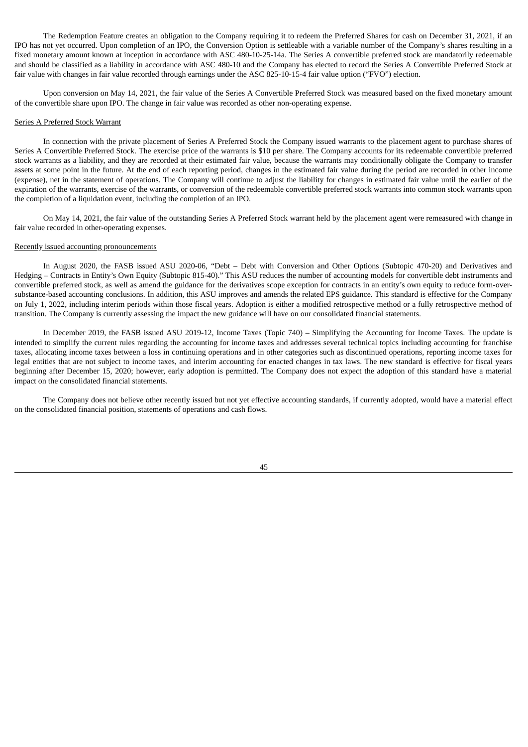The Redemption Feature creates an obligation to the Company requiring it to redeem the Preferred Shares for cash on December 31, 2021, if an IPO has not yet occurred. Upon completion of an IPO, the Conversion Option is settleable with a variable number of the Company's shares resulting in a fixed monetary amount known at inception in accordance with ASC 480-10-25-14a. The Series A convertible preferred stock are mandatorily redeemable and should be classified as a liability in accordance with ASC 480-10 and the Company has elected to record the Series A Convertible Preferred Stock at fair value with changes in fair value recorded through earnings under the ASC 825-10-15-4 fair value option ("FVO") election.

Upon conversion on May 14, 2021, the fair value of the Series A Convertible Preferred Stock was measured based on the fixed monetary amount of the convertible share upon IPO. The change in fair value was recorded as other non-operating expense.

#### Series A Preferred Stock Warrant

In connection with the private placement of Series A Preferred Stock the Company issued warrants to the placement agent to purchase shares of Series A Convertible Preferred Stock. The exercise price of the warrants is \$10 per share. The Company accounts for its redeemable convertible preferred stock warrants as a liability, and they are recorded at their estimated fair value, because the warrants may conditionally obligate the Company to transfer assets at some point in the future. At the end of each reporting period, changes in the estimated fair value during the period are recorded in other income (expense), net in the statement of operations. The Company will continue to adjust the liability for changes in estimated fair value until the earlier of the expiration of the warrants, exercise of the warrants, or conversion of the redeemable convertible preferred stock warrants into common stock warrants upon the completion of a liquidation event, including the completion of an IPO.

On May 14, 2021, the fair value of the outstanding Series A Preferred Stock warrant held by the placement agent were remeasured with change in fair value recorded in other-operating expenses.

## Recently issued accounting pronouncements

In August 2020, the FASB issued ASU 2020-06, "Debt – Debt with Conversion and Other Options (Subtopic 470-20) and Derivatives and Hedging – Contracts in Entity's Own Equity (Subtopic 815-40)." This ASU reduces the number of accounting models for convertible debt instruments and convertible preferred stock, as well as amend the guidance for the derivatives scope exception for contracts in an entity's own equity to reduce form-oversubstance-based accounting conclusions. In addition, this ASU improves and amends the related EPS guidance. This standard is effective for the Company on July 1, 2022, including interim periods within those fiscal years. Adoption is either a modified retrospective method or a fully retrospective method of transition. The Company is currently assessing the impact the new guidance will have on our consolidated financial statements.

In December 2019, the FASB issued ASU 2019-12, Income Taxes (Topic 740) – Simplifying the Accounting for Income Taxes. The update is intended to simplify the current rules regarding the accounting for income taxes and addresses several technical topics including accounting for franchise taxes, allocating income taxes between a loss in continuing operations and in other categories such as discontinued operations, reporting income taxes for legal entities that are not subject to income taxes, and interim accounting for enacted changes in tax laws. The new standard is effective for fiscal years beginning after December 15, 2020; however, early adoption is permitted. The Company does not expect the adoption of this standard have a material impact on the consolidated financial statements.

The Company does not believe other recently issued but not yet effective accounting standards, if currently adopted, would have a material effect on the consolidated financial position, statements of operations and cash flows.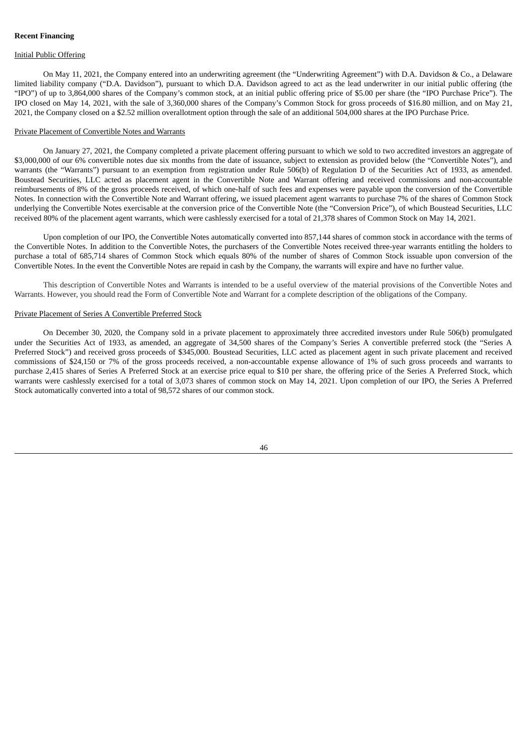#### **Recent Financing**

#### Initial Public Offering

On May 11, 2021, the Company entered into an underwriting agreement (the "Underwriting Agreement") with D.A. Davidson & Co., a Delaware limited liability company ("D.A. Davidson"), pursuant to which D.A. Davidson agreed to act as the lead underwriter in our initial public offering (the "IPO") of up to 3,864,000 shares of the Company's common stock, at an initial public offering price of \$5.00 per share (the "IPO Purchase Price"). The IPO closed on May 14, 2021, with the sale of 3,360,000 shares of the Company's Common Stock for gross proceeds of \$16.80 million, and on May 21, 2021, the Company closed on a \$2.52 million overallotment option through the sale of an additional 504,000 shares at the IPO Purchase Price.

## Private Placement of Convertible Notes and Warrants

On January 27, 2021, the Company completed a private placement offering pursuant to which we sold to two accredited investors an aggregate of \$3,000,000 of our 6% convertible notes due six months from the date of issuance, subject to extension as provided below (the "Convertible Notes"), and warrants (the "Warrants") pursuant to an exemption from registration under Rule 506(b) of Regulation D of the Securities Act of 1933, as amended. Boustead Securities, LLC acted as placement agent in the Convertible Note and Warrant offering and received commissions and non-accountable reimbursements of 8% of the gross proceeds received, of which one-half of such fees and expenses were payable upon the conversion of the Convertible Notes. In connection with the Convertible Note and Warrant offering, we issued placement agent warrants to purchase 7% of the shares of Common Stock underlying the Convertible Notes exercisable at the conversion price of the Convertible Note (the "Conversion Price"), of which Boustead Securities, LLC received 80% of the placement agent warrants, which were cashlessly exercised for a total of 21,378 shares of Common Stock on May 14, 2021.

Upon completion of our IPO, the Convertible Notes automatically converted into 857,144 shares of common stock in accordance with the terms of the Convertible Notes. In addition to the Convertible Notes, the purchasers of the Convertible Notes received three-year warrants entitling the holders to purchase a total of 685,714 shares of Common Stock which equals 80% of the number of shares of Common Stock issuable upon conversion of the Convertible Notes. In the event the Convertible Notes are repaid in cash by the Company, the warrants will expire and have no further value.

This description of Convertible Notes and Warrants is intended to be a useful overview of the material provisions of the Convertible Notes and Warrants. However, you should read the Form of Convertible Note and Warrant for a complete description of the obligations of the Company.

#### Private Placement of Series A Convertible Preferred Stock

On December 30, 2020, the Company sold in a private placement to approximately three accredited investors under Rule 506(b) promulgated under the Securities Act of 1933, as amended, an aggregate of 34,500 shares of the Company's Series A convertible preferred stock (the "Series A Preferred Stock") and received gross proceeds of \$345,000. Boustead Securities, LLC acted as placement agent in such private placement and received commissions of \$24,150 or 7% of the gross proceeds received, a non-accountable expense allowance of 1% of such gross proceeds and warrants to purchase 2,415 shares of Series A Preferred Stock at an exercise price equal to \$10 per share, the offering price of the Series A Preferred Stock, which warrants were cashlessly exercised for a total of 3,073 shares of common stock on May 14, 2021. Upon completion of our IPO, the Series A Preferred Stock automatically converted into a total of 98,572 shares of our common stock.

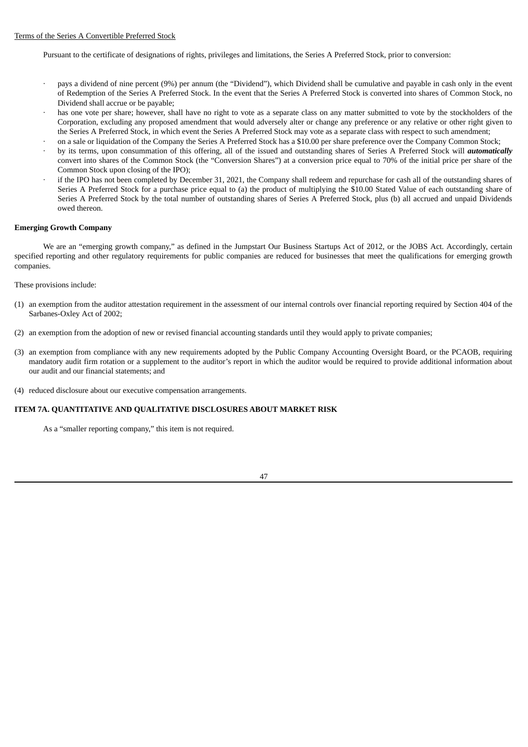Pursuant to the certificate of designations of rights, privileges and limitations, the Series A Preferred Stock, prior to conversion:

- pays a dividend of nine percent (9%) per annum (the "Dividend"), which Dividend shall be cumulative and payable in cash only in the event of Redemption of the Series A Preferred Stock. In the event that the Series A Preferred Stock is converted into shares of Common Stock, no Dividend shall accrue or be payable;
- has one vote per share; however, shall have no right to vote as a separate class on any matter submitted to vote by the stockholders of the Corporation, excluding any proposed amendment that would adversely alter or change any preference or any relative or other right given to the Series A Preferred Stock, in which event the Series A Preferred Stock may vote as a separate class with respect to such amendment;
- · on a sale or liquidation of the Company the Series A Preferred Stock has a \$10.00 per share preference over the Company Common Stock;
- · by its terms, upon consummation of this offering, all of the issued and outstanding shares of Series A Preferred Stock will *automatically* convert into shares of the Common Stock (the "Conversion Shares") at a conversion price equal to 70% of the initial price per share of the Common Stock upon closing of the IPO);
- if the IPO has not been completed by December 31, 2021, the Company shall redeem and repurchase for cash all of the outstanding shares of Series A Preferred Stock for a purchase price equal to (a) the product of multiplying the \$10.00 Stated Value of each outstanding share of Series A Preferred Stock by the total number of outstanding shares of Series A Preferred Stock, plus (b) all accrued and unpaid Dividends owed thereon.

## **Emerging Growth Company**

We are an "emerging growth company," as defined in the Jumpstart Our Business Startups Act of 2012, or the JOBS Act. Accordingly, certain specified reporting and other regulatory requirements for public companies are reduced for businesses that meet the qualifications for emerging growth companies.

These provisions include:

- (1) an exemption from the auditor attestation requirement in the assessment of our internal controls over financial reporting required by Section 404 of the Sarbanes-Oxley Act of 2002;
- (2) an exemption from the adoption of new or revised financial accounting standards until they would apply to private companies;
- (3) an exemption from compliance with any new requirements adopted by the Public Company Accounting Oversight Board, or the PCAOB, requiring mandatory audit firm rotation or a supplement to the auditor's report in which the auditor would be required to provide additional information about our audit and our financial statements; and
- (4) reduced disclosure about our executive compensation arrangements.

# **ITEM 7A. QUANTITATIVE AND QUALITATIVE DISCLOSURES ABOUT MARKET RISK**

As a "smaller reporting company," this item is not required.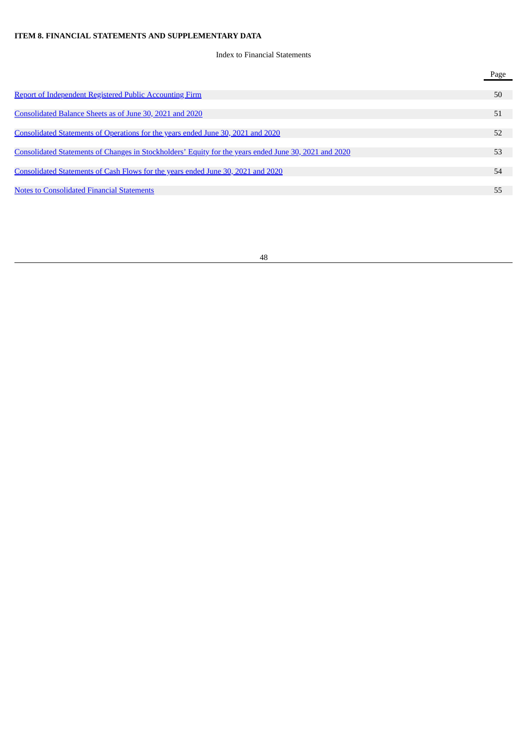# **ITEM 8. FINANCIAL STATEMENTS AND SUPPLEMENTARY DATA**

# Index to Financial Statements

|                                                                                                       | Page |
|-------------------------------------------------------------------------------------------------------|------|
| Report of Independent Registered Public Accounting Firm                                               | 50   |
| Consolidated Balance Sheets as of June 30, 2021 and 2020                                              | 51   |
| Consolidated Statements of Operations for the years ended June 30, 2021 and 2020                      | 52   |
| Consolidated Statements of Changes in Stockholders' Equity for the years ended June 30, 2021 and 2020 | 53   |
| Consolidated Statements of Cash Flows for the years ended June 30, 2021 and 2020                      | 54   |
| <b>Notes to Consolidated Financial Statements</b>                                                     | 55   |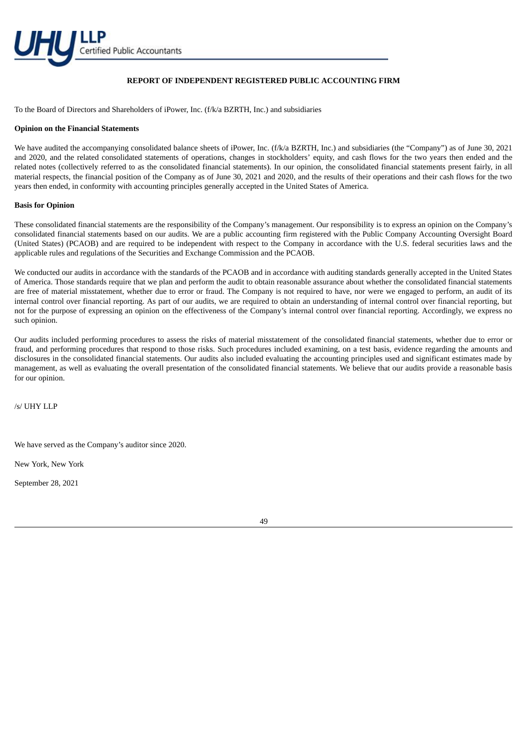

# **REPORT OF INDEPENDENT REGISTERED PUBLIC ACCOUNTING FIRM**

<span id="page-49-0"></span>To the Board of Directors and Shareholders of iPower, Inc. (f/k/a BZRTH, Inc.) and subsidiaries

## **Opinion on the Financial Statements**

We have audited the accompanying consolidated balance sheets of iPower, Inc. (f/k/a BZRTH, Inc.) and subsidiaries (the "Company") as of June 30, 2021 and 2020, and the related consolidated statements of operations, changes in stockholders' equity, and cash flows for the two years then ended and the related notes (collectively referred to as the consolidated financial statements). In our opinion, the consolidated financial statements present fairly, in all material respects, the financial position of the Company as of June 30, 2021 and 2020, and the results of their operations and their cash flows for the two years then ended, in conformity with accounting principles generally accepted in the United States of America.

#### **Basis for Opinion**

These consolidated financial statements are the responsibility of the Company's management. Our responsibility is to express an opinion on the Company's consolidated financial statements based on our audits. We are a public accounting firm registered with the Public Company Accounting Oversight Board (United States) (PCAOB) and are required to be independent with respect to the Company in accordance with the U.S. federal securities laws and the applicable rules and regulations of the Securities and Exchange Commission and the PCAOB.

We conducted our audits in accordance with the standards of the PCAOB and in accordance with auditing standards generally accepted in the United States of America. Those standards require that we plan and perform the audit to obtain reasonable assurance about whether the consolidated financial statements are free of material misstatement, whether due to error or fraud. The Company is not required to have, nor were we engaged to perform, an audit of its internal control over financial reporting. As part of our audits, we are required to obtain an understanding of internal control over financial reporting, but not for the purpose of expressing an opinion on the effectiveness of the Company's internal control over financial reporting. Accordingly, we express no such opinion.

Our audits included performing procedures to assess the risks of material misstatement of the consolidated financial statements, whether due to error or fraud, and performing procedures that respond to those risks. Such procedures included examining, on a test basis, evidence regarding the amounts and disclosures in the consolidated financial statements. Our audits also included evaluating the accounting principles used and significant estimates made by management, as well as evaluating the overall presentation of the consolidated financial statements. We believe that our audits provide a reasonable basis for our opinion.

/s/ UHY LLP

We have served as the Company's auditor since 2020.

New York, New York

September 28, 2021

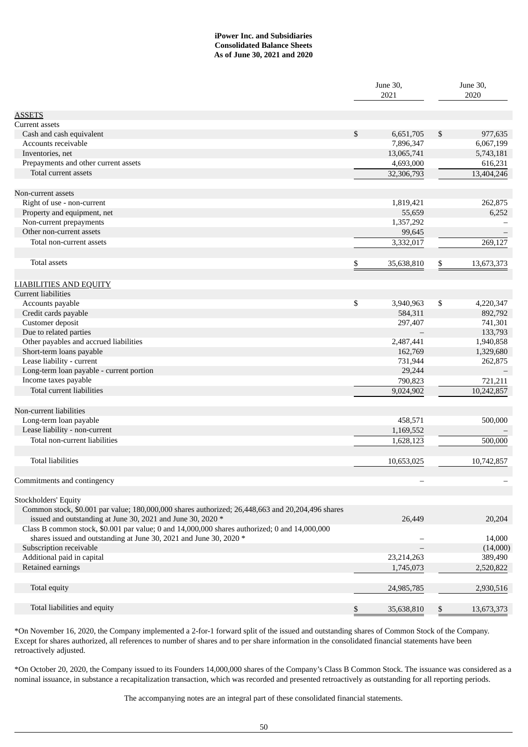# **iPower Inc. and Subsidiaries Consolidated Balance Sheets As of June 30, 2021 and 2020**

<span id="page-50-0"></span>

|                                                                                                  | June 30,<br>2021 | June 30,<br>2020 |
|--------------------------------------------------------------------------------------------------|------------------|------------------|
| <b>ASSETS</b>                                                                                    |                  |                  |
| Current assets                                                                                   |                  |                  |
| Cash and cash equivalent                                                                         | \$<br>6,651,705  | \$<br>977,635    |
| Accounts receivable                                                                              | 7,896,347        | 6,067,199        |
| Inventories, net                                                                                 | 13,065,741       | 5,743,181        |
| Prepayments and other current assets                                                             | 4,693,000        | 616,231          |
| Total current assets                                                                             | 32,306,793       | 13,404,246       |
|                                                                                                  |                  |                  |
| Non-current assets                                                                               |                  |                  |
| Right of use - non-current                                                                       | 1,819,421        | 262,875          |
| Property and equipment, net                                                                      | 55,659           | 6,252            |
| Non-current prepayments                                                                          | 1,357,292        |                  |
| Other non-current assets                                                                         | 99,645           |                  |
| Total non-current assets                                                                         | 3,332,017        | 269,127          |
|                                                                                                  |                  |                  |
| <b>Total assets</b>                                                                              | \$<br>35,638,810 | \$<br>13,673,373 |
| <b>LIABILITIES AND EQUITY</b>                                                                    |                  |                  |
| <b>Current liabilities</b>                                                                       |                  |                  |
| Accounts payable                                                                                 | \$<br>3,940,963  | \$<br>4,220,347  |
| Credit cards payable                                                                             | 584,311          | 892,792          |
| Customer deposit                                                                                 | 297,407          | 741,301          |
| Due to related parties                                                                           |                  | 133,793          |
| Other payables and accrued liabilities                                                           | 2,487,441        | 1,940,858        |
| Short-term loans payable                                                                         | 162,769          | 1,329,680        |
| Lease liability - current                                                                        | 731,944          | 262,875          |
| Long-term loan payable - current portion                                                         | 29,244           |                  |
| Income taxes payable                                                                             | 790,823          | 721,211          |
| Total current liabilities                                                                        | 9,024,902        | 10,242,857       |
|                                                                                                  |                  |                  |
| Non-current liabilities                                                                          |                  |                  |
| Long-term loan payable                                                                           | 458,571          | 500,000          |
| Lease liability - non-current                                                                    |                  |                  |
| Total non-current liabilities                                                                    | 1,169,552        |                  |
|                                                                                                  | 1,628,123        | 500,000          |
|                                                                                                  |                  |                  |
| <b>Total liabilities</b>                                                                         | 10,653,025       | 10,742,857       |
|                                                                                                  |                  |                  |
| Commitments and contingency                                                                      |                  |                  |
| Stockholders' Equity                                                                             |                  |                  |
| Common stock, \$0.001 par value; 180,000,000 shares authorized; 26,448,663 and 20,204,496 shares |                  |                  |
| issued and outstanding at June 30, 2021 and June 30, 2020 *                                      | 26,449           | 20,204           |
| Class B common stock, \$0.001 par value; 0 and 14,000,000 shares authorized; 0 and 14,000,000    |                  |                  |
| shares issued and outstanding at June 30, 2021 and June 30, 2020 *                               |                  | 14,000           |
| Subscription receivable                                                                          |                  | (14,000)         |
| Additional paid in capital                                                                       | 23,214,263       | 389,490          |
| Retained earnings                                                                                |                  |                  |
|                                                                                                  | 1,745,073        | 2,520,822        |
| Total equity                                                                                     |                  |                  |
|                                                                                                  | 24,985,785       | 2,930,516        |
| Total liabilities and equity                                                                     |                  |                  |
|                                                                                                  | \$<br>35,638,810 | \$<br>13,673,373 |

\*On November 16, 2020, the Company implemented a 2-for-1 forward split of the issued and outstanding shares of Common Stock of the Company. Except for shares authorized, all references to number of shares and to per share information in the consolidated financial statements have been retroactively adjusted.

\*On October 20, 2020, the Company issued to its Founders 14,000,000 shares of the Company's Class B Common Stock. The issuance was considered as a nominal issuance, in substance a recapitalization transaction, which was recorded and presented retroactively as outstanding for all reporting periods.

The accompanying notes are an integral part of these consolidated financial statements.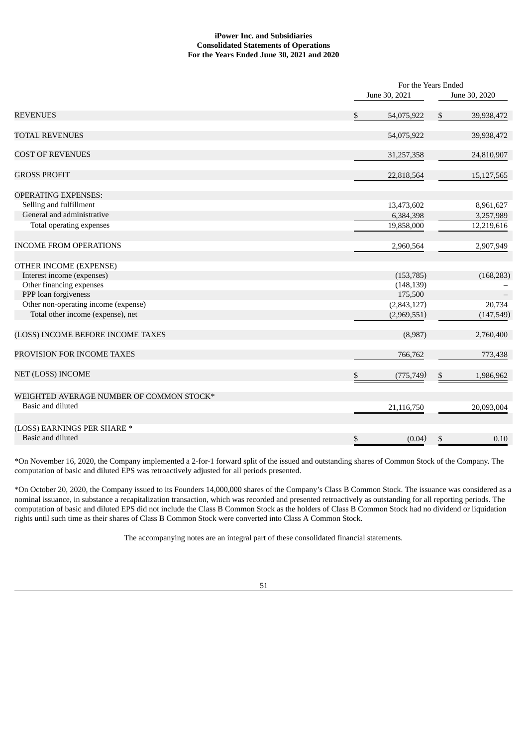# **iPower Inc. and Subsidiaries Consolidated Statements of Operations For the Years Ended June 30, 2021 and 2020**

<span id="page-51-0"></span>

|                                          |                  | For the Years Ended |
|------------------------------------------|------------------|---------------------|
|                                          | June 30, 2021    | June 30, 2020       |
| <b>REVENUES</b>                          | \$<br>54,075,922 | \$<br>39,938,472    |
| <b>TOTAL REVENUES</b>                    | 54,075,922       | 39,938,472          |
| <b>COST OF REVENUES</b>                  | 31,257,358       | 24,810,907          |
| <b>GROSS PROFIT</b>                      | 22,818,564       | 15,127,565          |
| <b>OPERATING EXPENSES:</b>               |                  |                     |
| Selling and fulfillment                  | 13,473,602       | 8,961,627           |
| General and administrative               | 6,384,398        | 3,257,989           |
| Total operating expenses                 | 19,858,000       | 12,219,616          |
| <b>INCOME FROM OPERATIONS</b>            | 2,960,564        | 2,907,949           |
| <b>OTHER INCOME (EXPENSE)</b>            |                  |                     |
| Interest income (expenses)               | (153, 785)       | (168, 283)          |
| Other financing expenses                 | (148, 139)       |                     |
| PPP loan forgiveness                     | 175,500          |                     |
| Other non-operating income (expense)     | (2,843,127)      | 20,734              |
| Total other income (expense), net        | (2,969,551)      | (147, 549)          |
| (LOSS) INCOME BEFORE INCOME TAXES        | (8,987)          | 2,760,400           |
| PROVISION FOR INCOME TAXES               | 766,762          | 773,438             |
| NET (LOSS) INCOME                        | \$<br>(775, 749) | \$<br>1,986,962     |
| WEIGHTED AVERAGE NUMBER OF COMMON STOCK* |                  |                     |
| Basic and diluted                        | 21,116,750       | 20,093,004          |
| (LOSS) EARNINGS PER SHARE *              |                  |                     |
| Basic and diluted                        | \$<br>(0.04)     | \$<br>0.10          |

\*On November 16, 2020, the Company implemented a 2-for-1 forward split of the issued and outstanding shares of Common Stock of the Company. The computation of basic and diluted EPS was retroactively adjusted for all periods presented.

\*On October 20, 2020, the Company issued to its Founders 14,000,000 shares of the Company's Class B Common Stock. The issuance was considered as a nominal issuance, in substance a recapitalization transaction, which was recorded and presented retroactively as outstanding for all reporting periods. The computation of basic and diluted EPS did not include the Class B Common Stock as the holders of Class B Common Stock had no dividend or liquidation rights until such time as their shares of Class B Common Stock were converted into Class A Common Stock.

The accompanying notes are an integral part of these consolidated financial statements.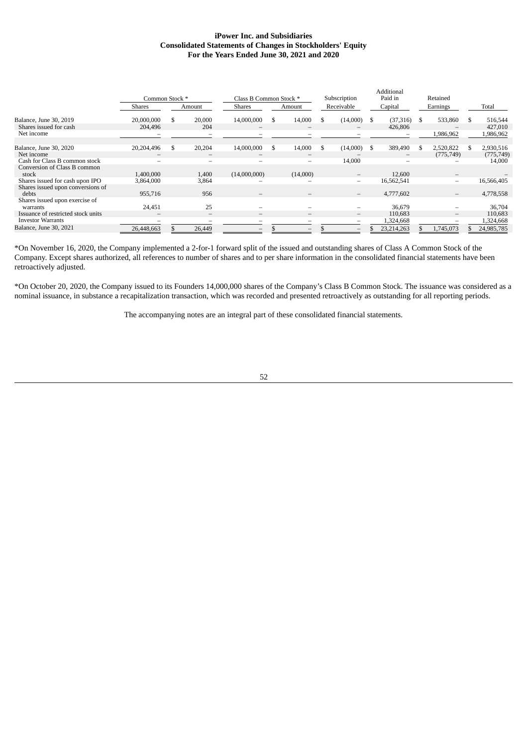# **iPower Inc. and Subsidiaries Consolidated Statements of Changes in Stockholders' Equity For the Years Ended June 30, 2021 and 2020**

<span id="page-52-0"></span>

|                                                    |            | Common Stock * |        | Class B Common Stock *   |                               |     | Subscription             | Additional<br>Paid in   | Retained                 |    |                         |
|----------------------------------------------------|------------|----------------|--------|--------------------------|-------------------------------|-----|--------------------------|-------------------------|--------------------------|----|-------------------------|
|                                                    | Shares     | Amount         |        | Shares                   | Amount                        |     | Receivable               | Capital                 | Earnings                 |    | Total                   |
| Balance, June 30, 2019                             | 20,000,000 | \$             | 20,000 | 14,000,000               | 14,000                        | \$. | $(14,000)$ \$            | (37,316)                | \$<br>533,860            | -S | 516,544                 |
| Shares issued for cash<br>Net income               | 204,496    |                | 204    | $\qquad \qquad -$        | $\overline{\phantom{m}}$<br>- |     |                          | 426,806                 | 1,986,962                |    | 427,010<br>1,986,962    |
| Balance, June 30, 2020                             | 20,204,496 | S              | 20,204 | 14,000,000               | \$<br>14,000                  | S   | $(14,000)$ \$            | 389,490                 | \$<br>2,520,822          |    | 2,930,516               |
| Net income<br>Cash for Class B common stock        |            |                | ۰      | $\overline{\phantom{m}}$ | $\qquad \qquad -$             |     | 14,000                   | -                       | (775, 749)               |    | (775, 749)<br>14,000    |
| Conversion of Class B common<br>stock              | 1,400,000  |                | 1,400  | (14,000,000)             | (14,000)                      |     |                          | 12,600                  |                          |    |                         |
| Shares issued for cash upon IPO                    | 3,864,000  |                | 3,864  |                          | $\overline{\phantom{m}}$      |     | $\overline{\phantom{0}}$ | 16,562,541              | $\overline{\phantom{a}}$ |    | 16,566,405              |
| Shares issued upon conversions of<br>debts         | 955,716    |                | 956    |                          |                               |     | $-$                      | 4,777,602               |                          |    | 4,778,558               |
| Shares issued upon exercise of<br>warrants         | 24,451     |                | 25     |                          |                               |     |                          | 36,679                  |                          |    | 36,704                  |
| Issuance of restricted stock units                 |            |                |        | $\qquad \qquad -$        | $\overline{\phantom{m}}$      |     | $-$                      | 110,683                 |                          |    | 110,683                 |
| <b>Investor Warrants</b><br>Balance, June 30, 2021 | 26,448,663 |                | 26,449 |                          | -                             |     |                          | 1,324,668<br>23,214,263 | 1,745,073                |    | 1,324,668<br>24,985,785 |

\*On November 16, 2020, the Company implemented a 2-for-1 forward split of the issued and outstanding shares of Class A Common Stock of the Company. Except shares authorized, all references to number of shares and to per share information in the consolidated financial statements have been retroactively adjusted.

\*On October 20, 2020, the Company issued to its Founders 14,000,000 shares of the Company's Class B Common Stock. The issuance was considered as a nominal issuance, in substance a recapitalization transaction, which was recorded and presented retroactively as outstanding for all reporting periods.

The accompanying notes are an integral part of these consolidated financial statements.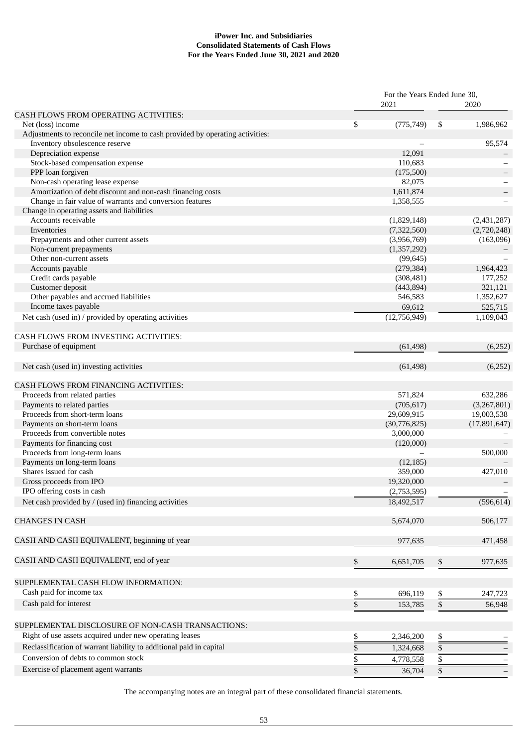# **iPower Inc. and Subsidiaries Consolidated Statements of Cash Flows For the Years Ended June 30, 2021 and 2020**

<span id="page-53-0"></span>

|                                                                               |                      | For the Years Ended June 30,<br>2020 |             |              |
|-------------------------------------------------------------------------------|----------------------|--------------------------------------|-------------|--------------|
| CASH FLOWS FROM OPERATING ACTIVITIES:                                         |                      | 2021                                 |             |              |
| Net (loss) income                                                             | \$                   | (775, 749)                           | \$          | 1,986,962    |
| Adjustments to reconcile net income to cash provided by operating activities: |                      |                                      |             |              |
| Inventory obsolescence reserve                                                |                      |                                      |             | 95,574       |
| Depreciation expense                                                          |                      | 12,091                               |             |              |
| Stock-based compensation expense                                              |                      | 110,683                              |             |              |
| PPP loan forgiven                                                             |                      | (175,500)                            |             |              |
| Non-cash operating lease expense                                              |                      | 82,075                               |             |              |
| Amortization of debt discount and non-cash financing costs                    |                      | 1,611,874                            |             |              |
| Change in fair value of warrants and conversion features                      |                      | 1,358,555                            |             |              |
| Change in operating assets and liabilities                                    |                      |                                      |             |              |
| Accounts receivable                                                           |                      | (1,829,148)                          |             | (2,431,287)  |
| Inventories                                                                   |                      | (7,322,560)                          |             | (2,720,248)  |
| Prepayments and other current assets                                          |                      | (3,956,769)                          |             | (163,096)    |
| Non-current prepayments                                                       |                      | (1,357,292)                          |             |              |
| Other non-current assets                                                      |                      | (99, 645)                            |             |              |
| Accounts payable                                                              |                      | (279, 384)                           |             | 1,964,423    |
| Credit cards payable                                                          |                      | (308, 481)                           |             | 177,252      |
| Customer deposit                                                              |                      | (443, 894)                           |             | 321,121      |
| Other payables and accrued liabilities                                        |                      | 546,583                              |             | 1,352,627    |
| Income taxes payable                                                          |                      | 69,612                               |             | 525,715      |
| Net cash (used in) / provided by operating activities                         |                      | (12,756,949)                         |             | 1,109,043    |
| CASH FLOWS FROM INVESTING ACTIVITIES:                                         |                      |                                      |             |              |
| Purchase of equipment                                                         |                      | (61, 498)                            |             | (6,252)      |
| Net cash (used in) investing activities                                       |                      | (61, 498)                            |             | (6,252)      |
| <b>CASH FLOWS FROM FINANCING ACTIVITIES:</b>                                  |                      |                                      |             |              |
| Proceeds from related parties                                                 |                      | 571,824                              |             | 632,286      |
| Payments to related parties                                                   |                      | (705, 617)                           |             | (3,267,801)  |
| Proceeds from short-term loans                                                |                      | 29,609,915                           |             | 19,003,538   |
| Payments on short-term loans                                                  |                      | (30,776,825)                         |             | (17,891,647) |
| Proceeds from convertible notes                                               |                      | 3,000,000                            |             |              |
| Payments for financing cost                                                   |                      | (120,000)                            |             |              |
| Proceeds from long-term loans                                                 |                      |                                      |             | 500,000      |
| Payments on long-term loans                                                   |                      | (12, 185)                            |             |              |
| Shares issued for cash                                                        |                      | 359,000                              |             | 427,010      |
| Gross proceeds from IPO                                                       |                      | 19,320,000                           |             |              |
| IPO offering costs in cash                                                    |                      | (2,753,595)                          |             |              |
| Net cash provided by / (used in) financing activities                         |                      | 18,492,517                           |             | (596, 614)   |
| <b>CHANGES IN CASH</b>                                                        |                      | 5,674,070                            |             | 506,177      |
| CASH AND CASH EQUIVALENT, beginning of year                                   |                      | 977,635                              |             | 471,458      |
| CASH AND CASH EQUIVALENT, end of year                                         | \$                   | 6,651,705                            | \$          | 977,635      |
| SUPPLEMENTAL CASH FLOW INFORMATION:                                           |                      |                                      |             |              |
| Cash paid for income tax                                                      |                      | 696,119                              | \$          | 247,723      |
|                                                                               | \$<br>$\overline{s}$ |                                      |             |              |
| Cash paid for interest                                                        |                      | 153,785                              |             | 56,948       |
| SUPPLEMENTAL DISCLOSURE OF NON-CASH TRANSACTIONS:                             |                      |                                      |             |              |
| Right of use assets acquired under new operating leases                       | \$                   | 2,346,200                            |             |              |
| Reclassification of warrant liability to additional paid in capital           | $\overline{\$}$      | 1,324,668                            | $rac{5}{5}$ |              |
| Conversion of debts to common stock                                           | \$                   | 4,778,558                            |             |              |
| Exercise of placement agent warrants                                          |                      |                                      |             |              |
|                                                                               | \$                   | 36,704                               | \$          |              |

The accompanying notes are an integral part of these consolidated financial statements.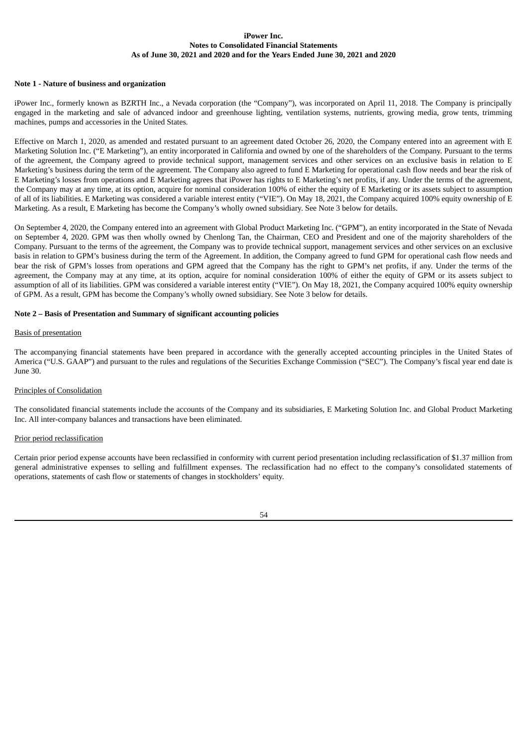#### **iPower Inc. Notes to Consolidated Financial Statements As of June 30, 2021 and 2020 and for the Years Ended June 30, 2021 and 2020**

#### <span id="page-54-0"></span>**Note 1 - Nature of business and organization**

iPower Inc., formerly known as BZRTH Inc., a Nevada corporation (the "Company"), was incorporated on April 11, 2018. The Company is principally engaged in the marketing and sale of advanced indoor and greenhouse lighting, ventilation systems, nutrients, growing media, grow tents, trimming machines, pumps and accessories in the United States.

Effective on March 1, 2020, as amended and restated pursuant to an agreement dated October 26, 2020, the Company entered into an agreement with E Marketing Solution Inc. ("E Marketing"), an entity incorporated in California and owned by one of the shareholders of the Company. Pursuant to the terms of the agreement, the Company agreed to provide technical support, management services and other services on an exclusive basis in relation to E Marketing's business during the term of the agreement. The Company also agreed to fund E Marketing for operational cash flow needs and bear the risk of E Marketing's losses from operations and E Marketing agrees that iPower has rights to E Marketing's net profits, if any. Under the terms of the agreement, the Company may at any time, at its option, acquire for nominal consideration 100% of either the equity of E Marketing or its assets subject to assumption of all of its liabilities. E Marketing was considered a variable interest entity ("VIE"). On May 18, 2021, the Company acquired 100% equity ownership of E Marketing. As a result, E Marketing has become the Company's wholly owned subsidiary. See Note 3 below for details.

On September 4, 2020, the Company entered into an agreement with Global Product Marketing Inc. ("GPM"), an entity incorporated in the State of Nevada on September 4, 2020. GPM was then wholly owned by Chenlong Tan, the Chairman, CEO and President and one of the majority shareholders of the Company. Pursuant to the terms of the agreement, the Company was to provide technical support, management services and other services on an exclusive basis in relation to GPM's business during the term of the Agreement. In addition, the Company agreed to fund GPM for operational cash flow needs and bear the risk of GPM's losses from operations and GPM agreed that the Company has the right to GPM's net profits, if any. Under the terms of the agreement, the Company may at any time, at its option, acquire for nominal consideration 100% of either the equity of GPM or its assets subject to assumption of all of its liabilities. GPM was considered a variable interest entity ("VIE"). On May 18, 2021, the Company acquired 100% equity ownership of GPM. As a result, GPM has become the Company's wholly owned subsidiary. See Note 3 below for details.

# **Note 2 – Basis of Presentation and Summary of significant accounting policies**

## Basis of presentation

The accompanying financial statements have been prepared in accordance with the generally accepted accounting principles in the United States of America ("U.S. GAAP") and pursuant to the rules and regulations of the Securities Exchange Commission ("SEC"). The Company's fiscal year end date is June 30.

#### Principles of Consolidation

The consolidated financial statements include the accounts of the Company and its subsidiaries, E Marketing Solution Inc. and Global Product Marketing Inc. All inter-company balances and transactions have been eliminated.

#### Prior period reclassification

Certain prior period expense accounts have been reclassified in conformity with current period presentation including reclassification of \$1.37 million from general administrative expenses to selling and fulfillment expenses. The reclassification had no effect to the company's consolidated statements of operations, statements of cash flow or statements of changes in stockholders' equity.

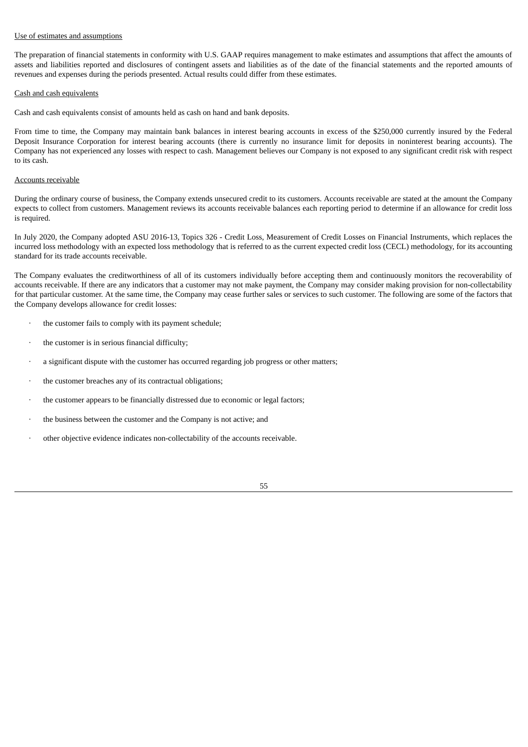## Use of estimates and assumptions

The preparation of financial statements in conformity with U.S. GAAP requires management to make estimates and assumptions that affect the amounts of assets and liabilities reported and disclosures of contingent assets and liabilities as of the date of the financial statements and the reported amounts of revenues and expenses during the periods presented. Actual results could differ from these estimates.

# Cash and cash equivalents

Cash and cash equivalents consist of amounts held as cash on hand and bank deposits.

From time to time, the Company may maintain bank balances in interest bearing accounts in excess of the \$250,000 currently insured by the Federal Deposit Insurance Corporation for interest bearing accounts (there is currently no insurance limit for deposits in noninterest bearing accounts). The Company has not experienced any losses with respect to cash. Management believes our Company is not exposed to any significant credit risk with respect to its cash.

#### Accounts receivable

During the ordinary course of business, the Company extends unsecured credit to its customers. Accounts receivable are stated at the amount the Company expects to collect from customers. Management reviews its accounts receivable balances each reporting period to determine if an allowance for credit loss is required.

In July 2020, the Company adopted ASU 2016-13, Topics 326 - Credit Loss, Measurement of Credit Losses on Financial Instruments, which replaces the incurred loss methodology with an expected loss methodology that is referred to as the current expected credit loss (CECL) methodology, for its accounting standard for its trade accounts receivable.

The Company evaluates the creditworthiness of all of its customers individually before accepting them and continuously monitors the recoverability of accounts receivable. If there are any indicators that a customer may not make payment, the Company may consider making provision for non-collectability for that particular customer. At the same time, the Company may cease further sales or services to such customer. The following are some of the factors that the Company develops allowance for credit losses:

- the customer fails to comply with its payment schedule;
- the customer is in serious financial difficulty;
- a significant dispute with the customer has occurred regarding job progress or other matters;
- the customer breaches any of its contractual obligations;
- the customer appears to be financially distressed due to economic or legal factors;
- the business between the customer and the Company is not active; and
- · other objective evidence indicates non-collectability of the accounts receivable.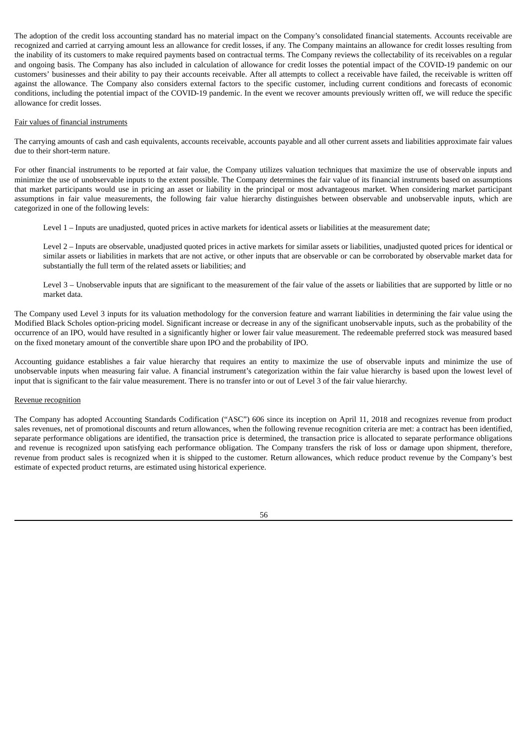The adoption of the credit loss accounting standard has no material impact on the Company's consolidated financial statements. Accounts receivable are recognized and carried at carrying amount less an allowance for credit losses, if any. The Company maintains an allowance for credit losses resulting from the inability of its customers to make required payments based on contractual terms. The Company reviews the collectability of its receivables on a regular and ongoing basis. The Company has also included in calculation of allowance for credit losses the potential impact of the COVID-19 pandemic on our customers' businesses and their ability to pay their accounts receivable. After all attempts to collect a receivable have failed, the receivable is written off against the allowance. The Company also considers external factors to the specific customer, including current conditions and forecasts of economic conditions, including the potential impact of the COVID-19 pandemic. In the event we recover amounts previously written off, we will reduce the specific allowance for credit losses.

## Fair values of financial instruments

The carrying amounts of cash and cash equivalents, accounts receivable, accounts payable and all other current assets and liabilities approximate fair values due to their short-term nature.

For other financial instruments to be reported at fair value, the Company utilizes valuation techniques that maximize the use of observable inputs and minimize the use of unobservable inputs to the extent possible. The Company determines the fair value of its financial instruments based on assumptions that market participants would use in pricing an asset or liability in the principal or most advantageous market. When considering market participant assumptions in fair value measurements, the following fair value hierarchy distinguishes between observable and unobservable inputs, which are categorized in one of the following levels:

Level 1 – Inputs are unadjusted, quoted prices in active markets for identical assets or liabilities at the measurement date;

Level 2 – Inputs are observable, unadjusted quoted prices in active markets for similar assets or liabilities, unadjusted quoted prices for identical or similar assets or liabilities in markets that are not active, or other inputs that are observable or can be corroborated by observable market data for substantially the full term of the related assets or liabilities; and

Level 3 – Unobservable inputs that are significant to the measurement of the fair value of the assets or liabilities that are supported by little or no market data.

The Company used Level 3 inputs for its valuation methodology for the conversion feature and warrant liabilities in determining the fair value using the Modified Black Scholes option-pricing model. Significant increase or decrease in any of the significant unobservable inputs, such as the probability of the occurrence of an IPO, would have resulted in a significantly higher or lower fair value measurement. The redeemable preferred stock was measured based on the fixed monetary amount of the convertible share upon IPO and the probability of IPO.

Accounting guidance establishes a fair value hierarchy that requires an entity to maximize the use of observable inputs and minimize the use of unobservable inputs when measuring fair value. A financial instrument's categorization within the fair value hierarchy is based upon the lowest level of input that is significant to the fair value measurement. There is no transfer into or out of Level 3 of the fair value hierarchy.

# Revenue recognition

The Company has adopted Accounting Standards Codification ("ASC") 606 since its inception on April 11, 2018 and recognizes revenue from product sales revenues, net of promotional discounts and return allowances, when the following revenue recognition criteria are met: a contract has been identified, separate performance obligations are identified, the transaction price is determined, the transaction price is allocated to separate performance obligations and revenue is recognized upon satisfying each performance obligation. The Company transfers the risk of loss or damage upon shipment, therefore, revenue from product sales is recognized when it is shipped to the customer. Return allowances, which reduce product revenue by the Company's best estimate of expected product returns, are estimated using historical experience.

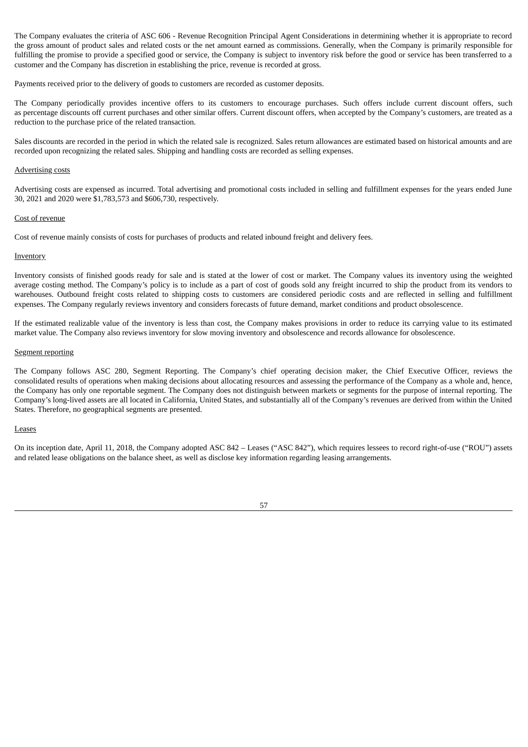The Company evaluates the criteria of ASC 606 - Revenue Recognition Principal Agent Considerations in determining whether it is appropriate to record the gross amount of product sales and related costs or the net amount earned as commissions. Generally, when the Company is primarily responsible for fulfilling the promise to provide a specified good or service, the Company is subject to inventory risk before the good or service has been transferred to a customer and the Company has discretion in establishing the price, revenue is recorded at gross.

Payments received prior to the delivery of goods to customers are recorded as customer deposits.

The Company periodically provides incentive offers to its customers to encourage purchases. Such offers include current discount offers, such as percentage discounts off current purchases and other similar offers. Current discount offers, when accepted by the Company's customers, are treated as a reduction to the purchase price of the related transaction.

Sales discounts are recorded in the period in which the related sale is recognized. Sales return allowances are estimated based on historical amounts and are recorded upon recognizing the related sales. Shipping and handling costs are recorded as selling expenses.

## Advertising costs

Advertising costs are expensed as incurred. Total advertising and promotional costs included in selling and fulfillment expenses for the years ended June 30, 2021 and 2020 were \$1,783,573 and \$606,730, respectively.

#### Cost of revenue

Cost of revenue mainly consists of costs for purchases of products and related inbound freight and delivery fees.

## **Inventory**

Inventory consists of finished goods ready for sale and is stated at the lower of cost or market. The Company values its inventory using the weighted average costing method. The Company's policy is to include as a part of cost of goods sold any freight incurred to ship the product from its vendors to warehouses. Outbound freight costs related to shipping costs to customers are considered periodic costs and are reflected in selling and fulfillment expenses. The Company regularly reviews inventory and considers forecasts of future demand, market conditions and product obsolescence.

If the estimated realizable value of the inventory is less than cost, the Company makes provisions in order to reduce its carrying value to its estimated market value. The Company also reviews inventory for slow moving inventory and obsolescence and records allowance for obsolescence.

#### Segment reporting

The Company follows ASC 280, Segment Reporting. The Company's chief operating decision maker, the Chief Executive Officer, reviews the consolidated results of operations when making decisions about allocating resources and assessing the performance of the Company as a whole and, hence, the Company has only one reportable segment. The Company does not distinguish between markets or segments for the purpose of internal reporting. The Company's long-lived assets are all located in California, United States, and substantially all of the Company's revenues are derived from within the United States. Therefore, no geographical segments are presented.

#### Leases

On its inception date, April 11, 2018, the Company adopted ASC 842 – Leases ("ASC 842"), which requires lessees to record right-of-use ("ROU") assets and related lease obligations on the balance sheet, as well as disclose key information regarding leasing arrangements.

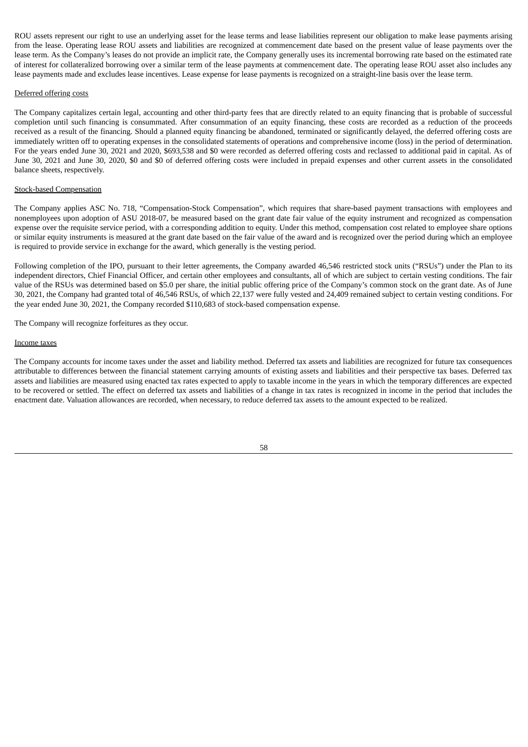ROU assets represent our right to use an underlying asset for the lease terms and lease liabilities represent our obligation to make lease payments arising from the lease. Operating lease ROU assets and liabilities are recognized at commencement date based on the present value of lease payments over the lease term. As the Company's leases do not provide an implicit rate, the Company generally uses its incremental borrowing rate based on the estimated rate of interest for collateralized borrowing over a similar term of the lease payments at commencement date. The operating lease ROU asset also includes any lease payments made and excludes lease incentives. Lease expense for lease payments is recognized on a straight-line basis over the lease term.

### Deferred offering costs

The Company capitalizes certain legal, accounting and other third-party fees that are directly related to an equity financing that is probable of successful completion until such financing is consummated. After consummation of an equity financing, these costs are recorded as a reduction of the proceeds received as a result of the financing. Should a planned equity financing be abandoned, terminated or significantly delayed, the deferred offering costs are immediately written off to operating expenses in the consolidated statements of operations and comprehensive income (loss) in the period of determination. For the years ended June 30, 2021 and 2020, \$693,538 and \$0 were recorded as deferred offering costs and reclassed to additional paid in capital. As of June 30, 2021 and June 30, 2020, \$0 and \$0 of deferred offering costs were included in prepaid expenses and other current assets in the consolidated balance sheets, respectively.

# Stock-based Compensation

The Company applies ASC No. 718, "Compensation-Stock Compensation", which requires that share-based payment transactions with employees and nonemployees upon adoption of ASU 2018-07, be measured based on the grant date fair value of the equity instrument and recognized as compensation expense over the requisite service period, with a corresponding addition to equity. Under this method, compensation cost related to employee share options or similar equity instruments is measured at the grant date based on the fair value of the award and is recognized over the period during which an employee is required to provide service in exchange for the award, which generally is the vesting period.

Following completion of the IPO, pursuant to their letter agreements, the Company awarded 46,546 restricted stock units ("RSUs") under the Plan to its independent directors, Chief Financial Officer, and certain other employees and consultants, all of which are subject to certain vesting conditions. The fair value of the RSUs was determined based on \$5.0 per share, the initial public offering price of the Company's common stock on the grant date. As of June 30, 2021, the Company had granted total of 46,546 RSUs, of which 22,137 were fully vested and 24,409 remained subject to certain vesting conditions. For the year ended June 30, 2021, the Company recorded \$110,683 of stock-based compensation expense.

The Company will recognize forfeitures as they occur.

#### Income taxes

The Company accounts for income taxes under the asset and liability method. Deferred tax assets and liabilities are recognized for future tax consequences attributable to differences between the financial statement carrying amounts of existing assets and liabilities and their perspective tax bases. Deferred tax assets and liabilities are measured using enacted tax rates expected to apply to taxable income in the years in which the temporary differences are expected to be recovered or settled. The effect on deferred tax assets and liabilities of a change in tax rates is recognized in income in the period that includes the enactment date. Valuation allowances are recorded, when necessary, to reduce deferred tax assets to the amount expected to be realized.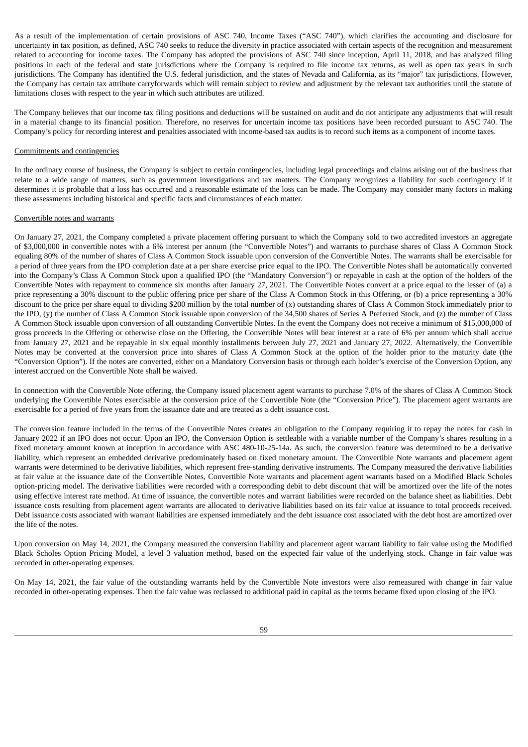As a result of the implementation of certain provisions of ASC 740, Income Taxes ("ASC 740"), which clarifies the accounting and disclosure for uncertainty in tax position, as defined, ASC 740 seeks to reduce the diversity in practice associated with certain aspects of the recognition and measurement related to accounting for income taxes. The Company has adopted the provisions of ASC 740 since inception, April 11, 2018, and has analyzed filing positions in each of the federal and state jurisdictions where the Company is required to file income tax returns, as well as open tax years in such jurisdictions. The Company has identified the U.S. federal jurisdiction, and the states of Nevada and California, as its "major" tax jurisdictions. However, the Company has certain tax attribute carryforwards which will remain subject to review and adjustment by the relevant tax authorities until the statute of limitations closes with respect to the year in which such attributes are utilized.

The Company believes that our income tax filing positions and deductions will be sustained on audit and do not anticipate any adjustments that will result in a material change to its financial position. Therefore, no reserves for uncertain income tax positions have been recorded pursuant to ASC 740. The Company's policy for recording interest and penalties associated with income-based tax audits is to record such items as a component of income taxes.

#### Commitments and contingencies

In the ordinary course of business, the Company is subject to certain contingencies, including legal proceedings and claims arising out of the business that relate to a wide range of matters, such as government investigations and tax matters. The Company recognizes a liability for such contingency if it determines it is probable that a loss has occurred and a reasonable estimate of the loss can be made. The Company may consider many factors in making these assessments including historical and specific facts and circumstances of each matter.

#### Convertible notes and warrants

On January 27, 2021, the Company completed a private placement offering pursuant to which the Company sold to two accredited investors an aggregate of \$3,000,000 in convertible notes with a 6% interest per annum (the "Convertible Notes") and warrants to purchase shares of Class A Common Stock equaling 80% of the number of shares of Class A Common Stock issuable upon conversion of the Convertible Notes. The warrants shall be exercisable for a period of three years from the IPO completion date at a per share exercise price equal to the IPO. The Convertible Notes shall be automatically converted into the Company's Class A Common Stock upon a qualified IPO (the "Mandatory Conversion") or repayable in cash at the option of the holders of the Convertible Notes with repayment to commence six months after January 27, 2021. The Convertible Notes convert at a price equal to the lesser of (a) a price representing a 30% discount to the public offering price per share of the Class A Common Stock in this Offering, or (b) a price representing a 30% discount to the price per share equal to dividing \$200 million by the total number of (x) outstanding shares of Class A Common Stock immediately prior to the IPO, (y) the number of Class A Common Stock issuable upon conversion of the 34,500 shares of Series A Preferred Stock, and (z) the number of Class A Common Stock issuable upon conversion of all outstanding Convertible Notes. In the event the Company does not receive a minimum of \$15,000,000 of gross proceeds in the Offering or otherwise close on the Offering, the Convertible Notes will bear interest at a rate of 6% per annum which shall accrue from January 27, 2021 and be repayable in six equal monthly installments between July 27, 2021 and January 27, 2022. Alternatively, the Convertible Notes may be converted at the conversion price into shares of Class A Common Stock at the option of the holder prior to the maturity date (the "Conversion Option"). If the notes are converted, either on a Mandatory Conversion basis or through each holder's exercise of the Conversion Option, any interest accrued on the Convertible Note shall be waived.

In connection with the Convertible Note offering, the Company issued placement agent warrants to purchase 7.0% of the shares of Class A Common Stock underlying the Convertible Notes exercisable at the conversion price of the Convertible Note (the "Conversion Price"). The placement agent warrants are exercisable for a period of five years from the issuance date and are treated as a debt issuance cost.

The conversion feature included in the terms of the Convertible Notes creates an obligation to the Company requiring it to repay the notes for cash in January 2022 if an IPO does not occur. Upon an IPO, the Conversion Option is settleable with a variable number of the Company's shares resulting in a fixed monetary amount known at inception in accordance with ASC 480-10-25-14a. As such, the conversion feature was determined to be a derivative liability, which represent an embedded derivative predominately based on fixed monetary amount. The Convertible Note warrants and placement agent warrants were determined to be derivative liabilities, which represent free-standing derivative instruments. The Company measured the derivative liabilities at fair value at the issuance date of the Convertible Notes, Convertible Note warrants and placement agent warrants based on a Modified Black Scholes option-pricing model. The derivative liabilities were recorded with a corresponding debit to debt discount that will be amortized over the life of the notes using effective interest rate method. At time of issuance, the convertible notes and warrant liabilities were recorded on the balance sheet as liabilities. Debt issuance costs resulting from placement agent warrants are allocated to derivative liabilities based on its fair value at issuance to total proceeds received. Debt issuance costs associated with warrant liabilities are expensed immediately and the debt issuance cost associated with the debt host are amortized over the life of the notes.

Upon conversion on May 14, 2021, the Company measured the conversion liability and placement agent warrant liability to fair value using the Modified Black Scholes Option Pricing Model, a level 3 valuation method, based on the expected fair value of the underlying stock. Change in fair value was recorded in other-operating expenses.

On May 14, 2021, the fair value of the outstanding warrants held by the Convertible Note investors were also remeasured with change in fair value recorded in other-operating expenses. Then the fair value was reclassed to additional paid in capital as the terms became fixed upon closing of the IPO.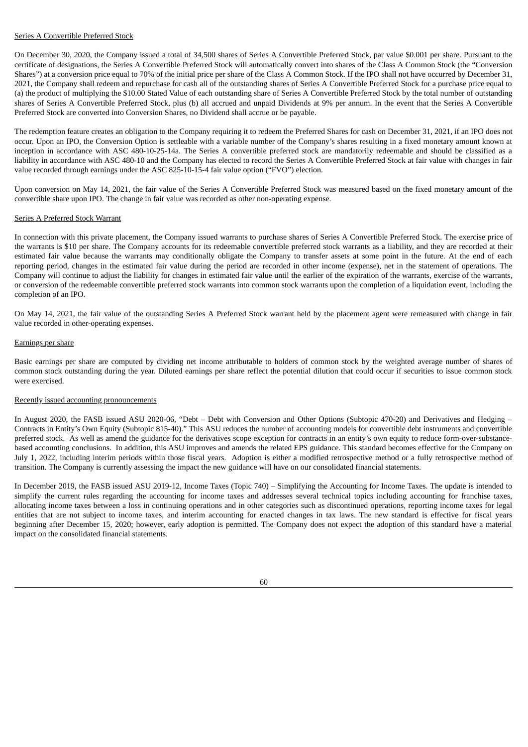# Series A Convertible Preferred Stock

On December 30, 2020, the Company issued a total of 34,500 shares of Series A Convertible Preferred Stock, par value \$0.001 per share. Pursuant to the certificate of designations, the Series A Convertible Preferred Stock will automatically convert into shares of the Class A Common Stock (the "Conversion Shares") at a conversion price equal to 70% of the initial price per share of the Class A Common Stock. If the IPO shall not have occurred by December 31, 2021, the Company shall redeem and repurchase for cash all of the outstanding shares of Series A Convertible Preferred Stock for a purchase price equal to (a) the product of multiplying the \$10.00 Stated Value of each outstanding share of Series A Convertible Preferred Stock by the total number of outstanding shares of Series A Convertible Preferred Stock, plus (b) all accrued and unpaid Dividends at 9% per annum. In the event that the Series A Convertible Preferred Stock are converted into Conversion Shares, no Dividend shall accrue or be payable.

The redemption feature creates an obligation to the Company requiring it to redeem the Preferred Shares for cash on December 31, 2021, if an IPO does not occur. Upon an IPO, the Conversion Option is settleable with a variable number of the Company's shares resulting in a fixed monetary amount known at inception in accordance with ASC 480-10-25-14a. The Series A convertible preferred stock are mandatorily redeemable and should be classified as a liability in accordance with ASC 480-10 and the Company has elected to record the Series A Convertible Preferred Stock at fair value with changes in fair value recorded through earnings under the ASC 825-10-15-4 fair value option ("FVO") election.

Upon conversion on May 14, 2021, the fair value of the Series A Convertible Preferred Stock was measured based on the fixed monetary amount of the convertible share upon IPO. The change in fair value was recorded as other non-operating expense.

# Series A Preferred Stock Warrant

In connection with this private placement, the Company issued warrants to purchase shares of Series A Convertible Preferred Stock. The exercise price of the warrants is \$10 per share. The Company accounts for its redeemable convertible preferred stock warrants as a liability, and they are recorded at their estimated fair value because the warrants may conditionally obligate the Company to transfer assets at some point in the future. At the end of each reporting period, changes in the estimated fair value during the period are recorded in other income (expense), net in the statement of operations. The Company will continue to adjust the liability for changes in estimated fair value until the earlier of the expiration of the warrants, exercise of the warrants, or conversion of the redeemable convertible preferred stock warrants into common stock warrants upon the completion of a liquidation event, including the completion of an IPO.

On May 14, 2021, the fair value of the outstanding Series A Preferred Stock warrant held by the placement agent were remeasured with change in fair value recorded in other-operating expenses.

## Earnings per share

Basic earnings per share are computed by dividing net income attributable to holders of common stock by the weighted average number of shares of common stock outstanding during the year. Diluted earnings per share reflect the potential dilution that could occur if securities to issue common stock were exercised.

# Recently issued accounting pronouncements

In August 2020, the FASB issued ASU 2020-06, "Debt – Debt with Conversion and Other Options (Subtopic 470-20) and Derivatives and Hedging – Contracts in Entity's Own Equity (Subtopic 815-40)." This ASU reduces the number of accounting models for convertible debt instruments and convertible preferred stock. As well as amend the guidance for the derivatives scope exception for contracts in an entity's own equity to reduce form-over-substancebased accounting conclusions. In addition, this ASU improves and amends the related EPS guidance. This standard becomes effective for the Company on July 1, 2022, including interim periods within those fiscal years. Adoption is either a modified retrospective method or a fully retrospective method of transition. The Company is currently assessing the impact the new guidance will have on our consolidated financial statements.

In December 2019, the FASB issued ASU 2019-12, Income Taxes (Topic 740) – Simplifying the Accounting for Income Taxes. The update is intended to simplify the current rules regarding the accounting for income taxes and addresses several technical topics including accounting for franchise taxes, allocating income taxes between a loss in continuing operations and in other categories such as discontinued operations, reporting income taxes for legal entities that are not subject to income taxes, and interim accounting for enacted changes in tax laws. The new standard is effective for fiscal years beginning after December 15, 2020; however, early adoption is permitted. The Company does not expect the adoption of this standard have a material impact on the consolidated financial statements.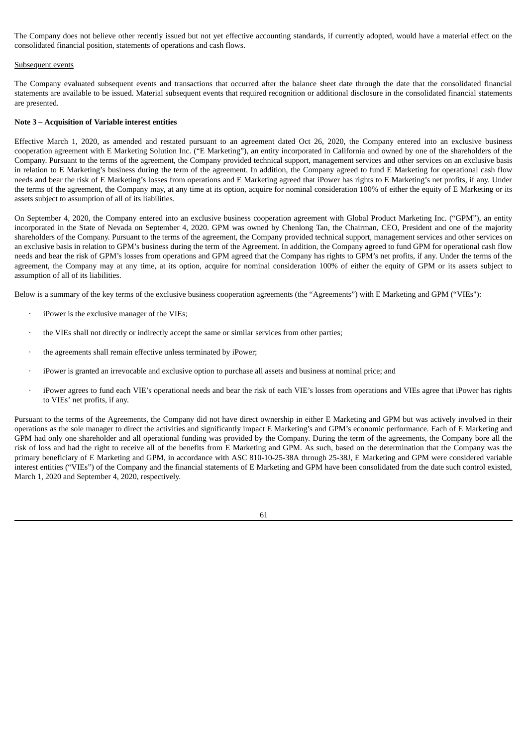The Company does not believe other recently issued but not yet effective accounting standards, if currently adopted, would have a material effect on the consolidated financial position, statements of operations and cash flows.

# Subsequent events

The Company evaluated subsequent events and transactions that occurred after the balance sheet date through the date that the consolidated financial statements are available to be issued. Material subsequent events that required recognition or additional disclosure in the consolidated financial statements are presented.

## **Note 3 – Acquisition of Variable interest entities**

Effective March 1, 2020, as amended and restated pursuant to an agreement dated Oct 26, 2020, the Company entered into an exclusive business cooperation agreement with E Marketing Solution Inc. ("E Marketing"), an entity incorporated in California and owned by one of the shareholders of the Company. Pursuant to the terms of the agreement, the Company provided technical support, management services and other services on an exclusive basis in relation to E Marketing's business during the term of the agreement. In addition, the Company agreed to fund E Marketing for operational cash flow needs and bear the risk of E Marketing's losses from operations and E Marketing agreed that iPower has rights to E Marketing's net profits, if any. Under the terms of the agreement, the Company may, at any time at its option, acquire for nominal consideration 100% of either the equity of E Marketing or its assets subject to assumption of all of its liabilities.

On September 4, 2020, the Company entered into an exclusive business cooperation agreement with Global Product Marketing Inc. ("GPM"), an entity incorporated in the State of Nevada on September 4, 2020. GPM was owned by Chenlong Tan, the Chairman, CEO, President and one of the majority shareholders of the Company. Pursuant to the terms of the agreement, the Company provided technical support, management services and other services on an exclusive basis in relation to GPM's business during the term of the Agreement. In addition, the Company agreed to fund GPM for operational cash flow needs and bear the risk of GPM's losses from operations and GPM agreed that the Company has rights to GPM's net profits, if any. Under the terms of the agreement, the Company may at any time, at its option, acquire for nominal consideration 100% of either the equity of GPM or its assets subject to assumption of all of its liabilities.

Below is a summary of the key terms of the exclusive business cooperation agreements (the "Agreements") with E Marketing and GPM ("VIEs"):

- iPower is the exclusive manager of the VIEs;
- the VIEs shall not directly or indirectly accept the same or similar services from other parties;
- the agreements shall remain effective unless terminated by iPower;
- · iPower is granted an irrevocable and exclusive option to purchase all assets and business at nominal price; and
- · iPower agrees to fund each VIE's operational needs and bear the risk of each VIE's losses from operations and VIEs agree that iPower has rights to VIEs' net profits, if any.

Pursuant to the terms of the Agreements, the Company did not have direct ownership in either E Marketing and GPM but was actively involved in their operations as the sole manager to direct the activities and significantly impact E Marketing's and GPM's economic performance. Each of E Marketing and GPM had only one shareholder and all operational funding was provided by the Company. During the term of the agreements, the Company bore all the risk of loss and had the right to receive all of the benefits from E Marketing and GPM. As such, based on the determination that the Company was the primary beneficiary of E Marketing and GPM, in accordance with ASC 810-10-25-38A through 25-38J, E Marketing and GPM were considered variable interest entities ("VIEs") of the Company and the financial statements of E Marketing and GPM have been consolidated from the date such control existed, March 1, 2020 and September 4, 2020, respectively.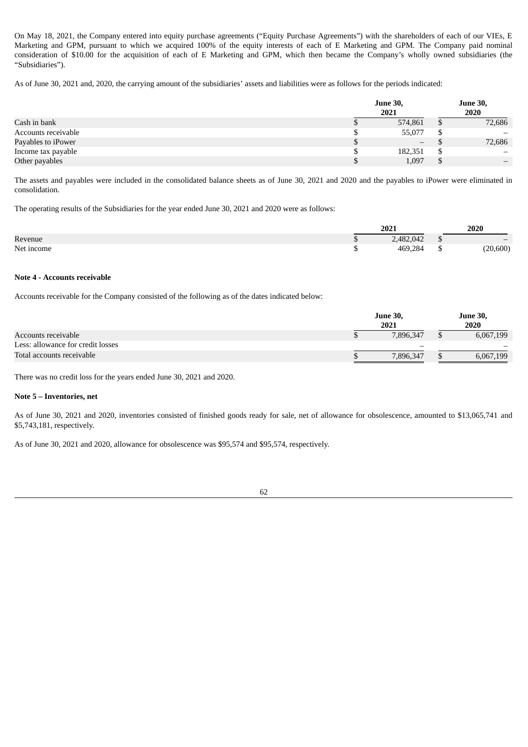On May 18, 2021, the Company entered into equity purchase agreements ("Equity Purchase Agreements") with the shareholders of each of our VIEs, E Marketing and GPM, pursuant to which we acquired 100% of the equity interests of each of E Marketing and GPM. The Company paid nominal consideration of \$10.00 for the acquisition of each of E Marketing and GPM, which then became the Company's wholly owned subsidiaries (the "Subsidiaries").

As of June 30, 2021 and, 2020, the carrying amount of the subsidiaries' assets and liabilities were as follows for the periods indicated:

|                     | <b>June 30,</b><br>2021 |         |    | <b>June 30,</b><br>2020  |  |  |
|---------------------|-------------------------|---------|----|--------------------------|--|--|
| Cash in bank        |                         | 574,861 | D  | 72,686                   |  |  |
| Accounts receivable |                         | 55,077  |    |                          |  |  |
| Payables to iPower  |                         | $-$     |    | 72,686                   |  |  |
| Income tax payable  |                         | 182,351 | S  | $\overline{\phantom{0}}$ |  |  |
| Other payables      |                         | 1,097   | \$ | $\overline{\phantom{0}}$ |  |  |

The assets and payables were included in the consolidated balance sheets as of June 30, 2021 and 2020 and the payables to iPower were eliminated in consolidation.

The operating results of the Subsidiaries for the year ended June 30, 2021 and 2020 were as follows:

|            | 2021      | 2020 |                          |  |
|------------|-----------|------|--------------------------|--|
| Revenue    | 2,482,042 | ┅    | $\overline{\phantom{a}}$ |  |
| Net income | 469,284   |      | (20, 600)                |  |

## **Note 4 - Accounts receivable**

Accounts receivable for the Company consisted of the following as of the dates indicated below:

|                                   | <b>June 30,</b><br>2021 | <b>June 30,</b><br>2020 |           |  |
|-----------------------------------|-------------------------|-------------------------|-----------|--|
| Accounts receivable               | 7,896,347               |                         | 6,067,199 |  |
| Less: allowance for credit losses | $\hspace{0.05cm}$       |                         |           |  |
| Total accounts receivable         | 7.896.347               |                         | 6,067,199 |  |

There was no credit loss for the years ended June 30, 2021 and 2020.

# **Note 5 – Inventories, net**

As of June 30, 2021 and 2020, inventories consisted of finished goods ready for sale, net of allowance for obsolescence, amounted to \$13,065,741 and \$5,743,181, respectively.

As of June 30, 2021 and 2020, allowance for obsolescence was \$95,574 and \$95,574, respectively.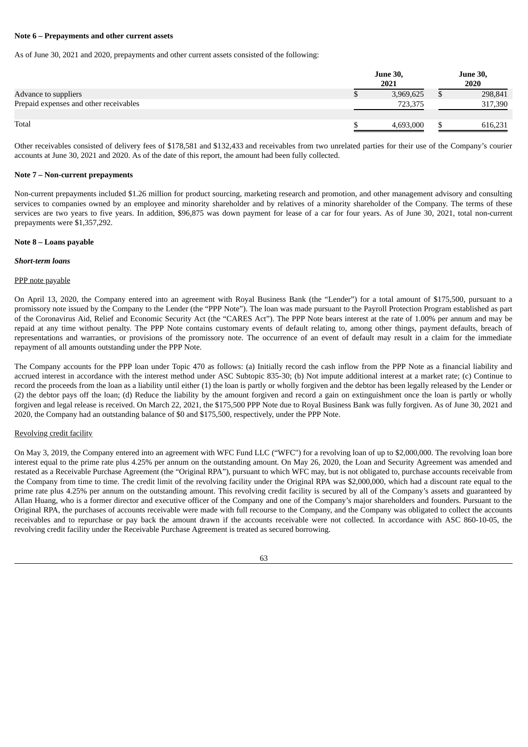#### **Note 6 – Prepayments and other current assets**

As of June 30, 2021 and 2020, prepayments and other current assets consisted of the following:

|                                        | <b>June 30,</b><br>2021 | <b>June 30,</b><br>2020 |
|----------------------------------------|-------------------------|-------------------------|
| Advance to suppliers                   | 3,969,625               | 298,841                 |
| Prepaid expenses and other receivables | 723,375                 | 317,390                 |
| Total                                  | 4,693,000               | 616,231                 |

Other receivables consisted of delivery fees of \$178,581 and \$132,433 and receivables from two unrelated parties for their use of the Company's courier accounts at June 30, 2021 and 2020. As of the date of this report, the amount had been fully collected.

#### **Note 7 – Non-current prepayments**

Non-current prepayments included \$1.26 million for product sourcing, marketing research and promotion, and other management advisory and consulting services to companies owned by an employee and minority shareholder and by relatives of a minority shareholder of the Company. The terms of these services are two years to five years. In addition, \$96,875 was down payment for lease of a car for four years. As of June 30, 2021, total non-current prepayments were \$1,357,292.

## **Note 8 – Loans payable**

## *Short-term loans*

## PPP note payable

On April 13, 2020, the Company entered into an agreement with Royal Business Bank (the "Lender") for a total amount of \$175,500, pursuant to a promissory note issued by the Company to the Lender (the "PPP Note"). The loan was made pursuant to the Payroll Protection Program established as part of the Coronavirus Aid, Relief and Economic Security Act (the "CARES Act"). The PPP Note bears interest at the rate of 1.00% per annum and may be repaid at any time without penalty. The PPP Note contains customary events of default relating to, among other things, payment defaults, breach of representations and warranties, or provisions of the promissory note. The occurrence of an event of default may result in a claim for the immediate repayment of all amounts outstanding under the PPP Note.

The Company accounts for the PPP loan under Topic 470 as follows: (a) Initially record the cash inflow from the PPP Note as a financial liability and accrued interest in accordance with the interest method under ASC Subtopic 835-30; (b) Not impute additional interest at a market rate; (c) Continue to record the proceeds from the loan as a liability until either (1) the loan is partly or wholly forgiven and the debtor has been legally released by the Lender or (2) the debtor pays off the loan; (d) Reduce the liability by the amount forgiven and record a gain on extinguishment once the loan is partly or wholly forgiven and legal release is received. On March 22, 2021, the \$175,500 PPP Note due to Royal Business Bank was fully forgiven. As of June 30, 2021 and 2020, the Company had an outstanding balance of \$0 and \$175,500, respectively, under the PPP Note.

#### Revolving credit facility

On May 3, 2019, the Company entered into an agreement with WFC Fund LLC ("WFC") for a revolving loan of up to \$2,000,000. The revolving loan bore interest equal to the prime rate plus 4.25% per annum on the outstanding amount. On May 26, 2020, the Loan and Security Agreement was amended and restated as a Receivable Purchase Agreement (the "Original RPA"), pursuant to which WFC may, but is not obligated to, purchase accounts receivable from the Company from time to time. The credit limit of the revolving facility under the Original RPA was \$2,000,000, which had a discount rate equal to the prime rate plus 4.25% per annum on the outstanding amount. This revolving credit facility is secured by all of the Company's assets and guaranteed by Allan Huang, who is a former director and executive officer of the Company and one of the Company's major shareholders and founders. Pursuant to the Original RPA, the purchases of accounts receivable were made with full recourse to the Company, and the Company was obligated to collect the accounts receivables and to repurchase or pay back the amount drawn if the accounts receivable were not collected. In accordance with ASC 860-10-05, the revolving credit facility under the Receivable Purchase Agreement is treated as secured borrowing.

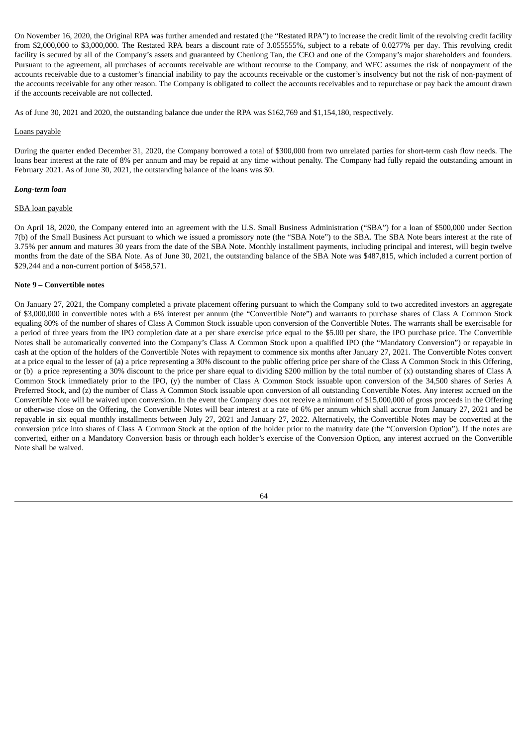On November 16, 2020, the Original RPA was further amended and restated (the "Restated RPA") to increase the credit limit of the revolving credit facility from \$2,000,000 to \$3,000,000. The Restated RPA bears a discount rate of 3.055555%, subject to a rebate of 0.0277% per day. This revolving credit facility is secured by all of the Company's assets and guaranteed by Chenlong Tan, the CEO and one of the Company's major shareholders and founders. Pursuant to the agreement, all purchases of accounts receivable are without recourse to the Company, and WFC assumes the risk of nonpayment of the accounts receivable due to a customer's financial inability to pay the accounts receivable or the customer's insolvency but not the risk of non-payment of the accounts receivable for any other reason. The Company is obligated to collect the accounts receivables and to repurchase or pay back the amount drawn if the accounts receivable are not collected.

As of June 30, 2021 and 2020, the outstanding balance due under the RPA was \$162,769 and \$1,154,180, respectively.

#### Loans payable

During the quarter ended December 31, 2020, the Company borrowed a total of \$300,000 from two unrelated parties for short-term cash flow needs. The loans bear interest at the rate of 8% per annum and may be repaid at any time without penalty. The Company had fully repaid the outstanding amount in February 2021. As of June 30, 2021, the outstanding balance of the loans was \$0.

# *Long-term loan*

## SBA loan payable

On April 18, 2020, the Company entered into an agreement with the U.S. Small Business Administration ("SBA") for a loan of \$500,000 under Section 7(b) of the Small Business Act pursuant to which we issued a promissory note (the "SBA Note") to the SBA. The SBA Note bears interest at the rate of 3.75% per annum and matures 30 years from the date of the SBA Note. Monthly installment payments, including principal and interest, will begin twelve months from the date of the SBA Note. As of June 30, 2021, the outstanding balance of the SBA Note was \$487,815, which included a current portion of \$29,244 and a non-current portion of \$458,571.

## **Note 9 – Convertible notes**

On January 27, 2021, the Company completed a private placement offering pursuant to which the Company sold to two accredited investors an aggregate of \$3,000,000 in convertible notes with a 6% interest per annum (the "Convertible Note") and warrants to purchase shares of Class A Common Stock equaling 80% of the number of shares of Class A Common Stock issuable upon conversion of the Convertible Notes. The warrants shall be exercisable for a period of three years from the IPO completion date at a per share exercise price equal to the \$5.00 per share, the IPO purchase price. The Convertible Notes shall be automatically converted into the Company's Class A Common Stock upon a qualified IPO (the "Mandatory Conversion") or repayable in cash at the option of the holders of the Convertible Notes with repayment to commence six months after January 27, 2021. The Convertible Notes convert at a price equal to the lesser of (a) a price representing a 30% discount to the public offering price per share of the Class A Common Stock in this Offering, or (b) a price representing a 30% discount to the price per share equal to dividing \$200 million by the total number of (x) outstanding shares of Class A Common Stock immediately prior to the IPO, (y) the number of Class A Common Stock issuable upon conversion of the 34,500 shares of Series A Preferred Stock, and (z) the number of Class A Common Stock issuable upon conversion of all outstanding Convertible Notes. Any interest accrued on the Convertible Note will be waived upon conversion. In the event the Company does not receive a minimum of \$15,000,000 of gross proceeds in the Offering or otherwise close on the Offering, the Convertible Notes will bear interest at a rate of 6% per annum which shall accrue from January 27, 2021 and be repayable in six equal monthly installments between July 27, 2021 and January 27, 2022. Alternatively, the Convertible Notes may be converted at the conversion price into shares of Class A Common Stock at the option of the holder prior to the maturity date (the "Conversion Option"). If the notes are converted, either on a Mandatory Conversion basis or through each holder's exercise of the Conversion Option, any interest accrued on the Convertible Note shall be waived.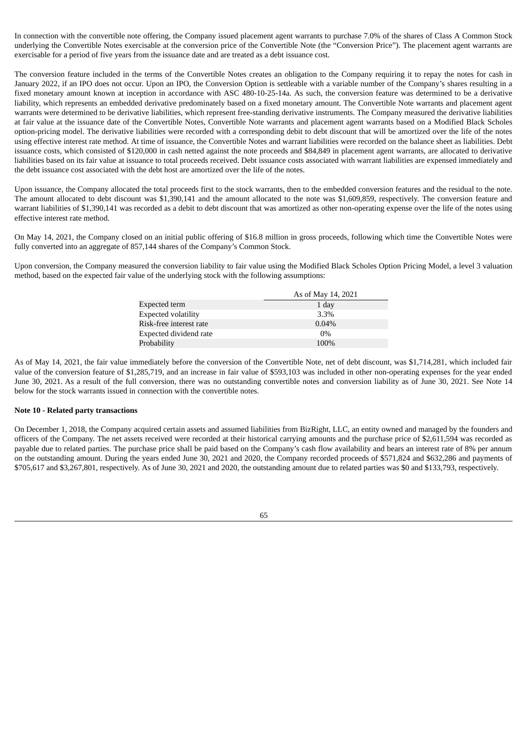In connection with the convertible note offering, the Company issued placement agent warrants to purchase 7.0% of the shares of Class A Common Stock underlying the Convertible Notes exercisable at the conversion price of the Convertible Note (the "Conversion Price"). The placement agent warrants are exercisable for a period of five years from the issuance date and are treated as a debt issuance cost.

The conversion feature included in the terms of the Convertible Notes creates an obligation to the Company requiring it to repay the notes for cash in January 2022, if an IPO does not occur. Upon an IPO, the Conversion Option is settleable with a variable number of the Company's shares resulting in a fixed monetary amount known at inception in accordance with ASC 480-10-25-14a. As such, the conversion feature was determined to be a derivative liability, which represents an embedded derivative predominately based on a fixed monetary amount. The Convertible Note warrants and placement agent warrants were determined to be derivative liabilities, which represent free-standing derivative instruments. The Company measured the derivative liabilities at fair value at the issuance date of the Convertible Notes, Convertible Note warrants and placement agent warrants based on a Modified Black Scholes option-pricing model. The derivative liabilities were recorded with a corresponding debit to debt discount that will be amortized over the life of the notes using effective interest rate method. At time of issuance, the Convertible Notes and warrant liabilities were recorded on the balance sheet as liabilities. Debt issuance costs, which consisted of \$120,000 in cash netted against the note proceeds and \$84,849 in placement agent warrants, are allocated to derivative liabilities based on its fair value at issuance to total proceeds received. Debt issuance costs associated with warrant liabilities are expensed immediately and the debt issuance cost associated with the debt host are amortized over the life of the notes.

Upon issuance, the Company allocated the total proceeds first to the stock warrants, then to the embedded conversion features and the residual to the note. The amount allocated to debt discount was \$1,390,141 and the amount allocated to the note was \$1,609,859, respectively. The conversion feature and warrant liabilities of \$1,390,141 was recorded as a debit to debt discount that was amortized as other non-operating expense over the life of the notes using effective interest rate method.

On May 14, 2021, the Company closed on an initial public offering of \$16.8 million in gross proceeds, following which time the Convertible Notes were fully converted into an aggregate of 857,144 shares of the Company's Common Stock.

Upon conversion, the Company measured the conversion liability to fair value using the Modified Black Scholes Option Pricing Model, a level 3 valuation method, based on the expected fair value of the underlying stock with the following assumptions:

|                            | As of May 14, 2021 |
|----------------------------|--------------------|
| Expected term              | 1 day              |
| <b>Expected volatility</b> | 3.3%               |
| Risk-free interest rate    | 0.04%              |
| Expected dividend rate     | $0\%$              |
| Probability                | 100%               |

As of May 14, 2021, the fair value immediately before the conversion of the Convertible Note, net of debt discount, was \$1,714,281, which included fair value of the conversion feature of \$1,285,719, and an increase in fair value of \$593,103 was included in other non-operating expenses for the year ended June 30, 2021. As a result of the full conversion, there was no outstanding convertible notes and conversion liability as of June 30, 2021. See Note 14 below for the stock warrants issued in connection with the convertible notes.

# **Note 10 - Related party transactions**

On December 1, 2018, the Company acquired certain assets and assumed liabilities from BizRight, LLC, an entity owned and managed by the founders and officers of the Company. The net assets received were recorded at their historical carrying amounts and the purchase price of \$2,611,594 was recorded as payable due to related parties. The purchase price shall be paid based on the Company's cash flow availability and bears an interest rate of 8% per annum on the outstanding amount. During the years ended June 30, 2021 and 2020, the Company recorded proceeds of \$571,824 and \$632,286 and payments of \$705,617 and \$3,267,801, respectively. As of June 30, 2021 and 2020, the outstanding amount due to related parties was \$0 and \$133,793, respectively.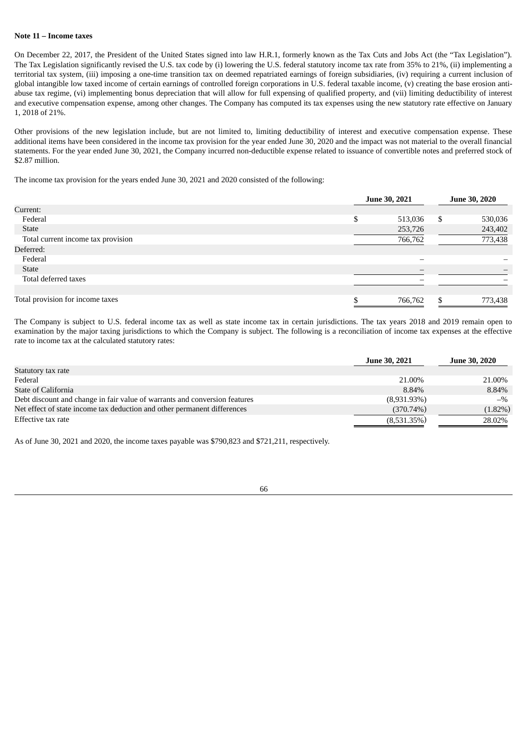# **Note 11 – Income taxes**

On December 22, 2017, the President of the United States signed into law H.R.1, formerly known as the Tax Cuts and Jobs Act (the "Tax Legislation"). The Tax Legislation significantly revised the U.S. tax code by (i) lowering the U.S. federal statutory income tax rate from 35% to 21%, (ii) implementing a territorial tax system, (iii) imposing a one-time transition tax on deemed repatriated earnings of foreign subsidiaries, (iv) requiring a current inclusion of global intangible low taxed income of certain earnings of controlled foreign corporations in U.S. federal taxable income, (v) creating the base erosion antiabuse tax regime, (vi) implementing bonus depreciation that will allow for full expensing of qualified property, and (vii) limiting deductibility of interest and executive compensation expense, among other changes. The Company has computed its tax expenses using the new statutory rate effective on January 1, 2018 of 21%.

Other provisions of the new legislation include, but are not limited to, limiting deductibility of interest and executive compensation expense. These additional items have been considered in the income tax provision for the year ended June 30, 2020 and the impact was not material to the overall financial statements. For the year ended June 30, 2021, the Company incurred non-deductible expense related to issuance of convertible notes and preferred stock of \$2.87 million.

The income tax provision for the years ended June 30, 2021 and 2020 consisted of the following:

|                                    | June 30, 2021 |    | <b>June 30, 2020</b> |
|------------------------------------|---------------|----|----------------------|
| Current:                           |               |    |                      |
| Federal                            | \$<br>513,036 | \$ | 530,036              |
| <b>State</b>                       | 253,726       |    | 243,402              |
| Total current income tax provision | 766,762       |    | 773,438              |
| Deferred:                          |               |    |                      |
| Federal                            |               |    |                      |
| <b>State</b>                       |               |    |                      |
| Total deferred taxes               | -             |    |                      |
|                                    |               |    |                      |
| Total provision for income taxes   | \$<br>766,762 | \$ | 773,438              |

The Company is subject to U.S. federal income tax as well as state income tax in certain jurisdictions. The tax years 2018 and 2019 remain open to examination by the major taxing jurisdictions to which the Company is subject. The following is a reconciliation of income tax expenses at the effective rate to income tax at the calculated statutory rates:

|                                                                            | June 30, 2021  | <b>June 30, 2020</b> |
|----------------------------------------------------------------------------|----------------|----------------------|
| Statutory tax rate                                                         |                |                      |
| Federal                                                                    | 21.00%         | 21.00%               |
| State of California                                                        | 8.84%          | 8.84%                |
| Debt discount and change in fair value of warrants and conversion features | $(8,931.93\%)$ | $-$ %                |
| Net effect of state income tax deduction and other permanent differences   | $(370.74\%)$   | $(1.82\%)$           |
| Effective tax rate                                                         | $(8,531,35\%)$ | 28.02%               |

As of June 30, 2021 and 2020, the income taxes payable was \$790,823 and \$721,211, respectively.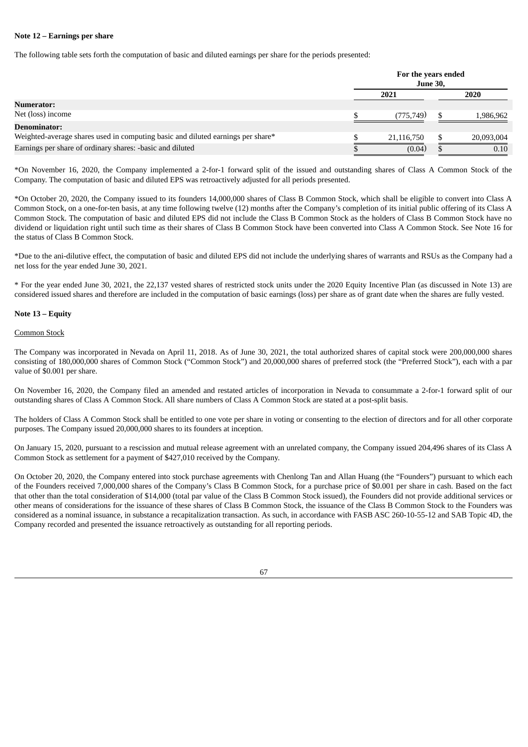# **Note 12 – Earnings per share**

The following table sets forth the computation of basic and diluted earnings per share for the periods presented:

|                                                                                 | For the years ended<br><b>June 30,</b> |  |             |
|---------------------------------------------------------------------------------|----------------------------------------|--|-------------|
|                                                                                 | 2021                                   |  | <b>2020</b> |
| Numerator:                                                                      |                                        |  |             |
| Net (loss) income                                                               | (775.749)                              |  | 1,986,962   |
| <b>Denominator:</b>                                                             |                                        |  |             |
| Weighted-average shares used in computing basic and diluted earnings per share* | 21,116,750                             |  | 20,093,004  |
| Earnings per share of ordinary shares: -basic and diluted                       | (0.04)                                 |  | 0.10        |

\*On November 16, 2020, the Company implemented a 2-for-1 forward split of the issued and outstanding shares of Class A Common Stock of the Company. The computation of basic and diluted EPS was retroactively adjusted for all periods presented.

\*On October 20, 2020, the Company issued to its founders 14,000,000 shares of Class B Common Stock, which shall be eligible to convert into Class A Common Stock, on a one-for-ten basis, at any time following twelve (12) months after the Company's completion of its initial public offering of its Class A Common Stock. The computation of basic and diluted EPS did not include the Class B Common Stock as the holders of Class B Common Stock have no dividend or liquidation right until such time as their shares of Class B Common Stock have been converted into Class A Common Stock. See Note 16 for the status of Class B Common Stock.

\*Due to the ani-dilutive effect, the computation of basic and diluted EPS did not include the underlying shares of warrants and RSUs as the Company had a net loss for the year ended June 30, 2021.

\* For the year ended June 30, 2021, the 22,137 vested shares of restricted stock units under the 2020 Equity Incentive Plan (as discussed in Note 13) are considered issued shares and therefore are included in the computation of basic earnings (loss) per share as of grant date when the shares are fully vested.

# **Note 13 – Equity**

#### Common Stock

The Company was incorporated in Nevada on April 11, 2018. As of June 30, 2021, the total authorized shares of capital stock were 200,000,000 shares consisting of 180,000,000 shares of Common Stock ("Common Stock") and 20,000,000 shares of preferred stock (the "Preferred Stock"), each with a par value of \$0.001 per share.

On November 16, 2020, the Company filed an amended and restated articles of incorporation in Nevada to consummate a 2-for-1 forward split of our outstanding shares of Class A Common Stock. All share numbers of Class A Common Stock are stated at a post-split basis.

The holders of Class A Common Stock shall be entitled to one vote per share in voting or consenting to the election of directors and for all other corporate purposes. The Company issued 20,000,000 shares to its founders at inception.

On January 15, 2020, pursuant to a rescission and mutual release agreement with an unrelated company, the Company issued 204,496 shares of its Class A Common Stock as settlement for a payment of \$427,010 received by the Company.

On October 20, 2020, the Company entered into stock purchase agreements with Chenlong Tan and Allan Huang (the "Founders") pursuant to which each of the Founders received 7,000,000 shares of the Company's Class B Common Stock, for a purchase price of \$0.001 per share in cash. Based on the fact that other than the total consideration of \$14,000 (total par value of the Class B Common Stock issued), the Founders did not provide additional services or other means of considerations for the issuance of these shares of Class B Common Stock, the issuance of the Class B Common Stock to the Founders was considered as a nominal issuance, in substance a recapitalization transaction. As such, in accordance with FASB ASC 260-10-55-12 and SAB Topic 4D, the Company recorded and presented the issuance retroactively as outstanding for all reporting periods.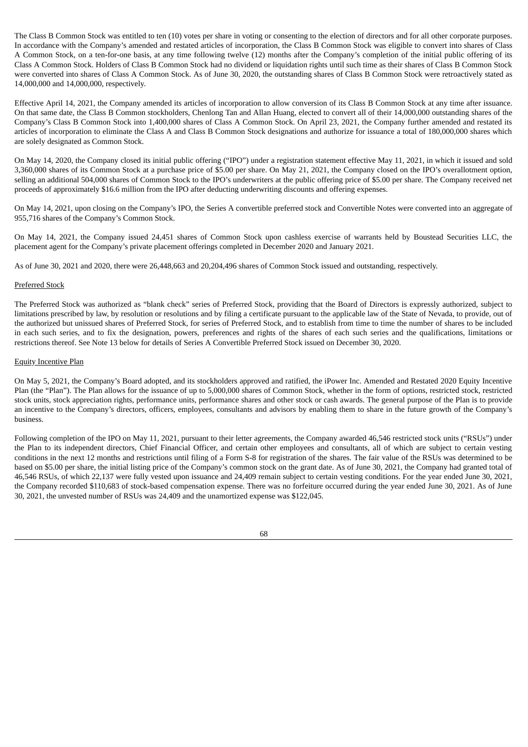The Class B Common Stock was entitled to ten (10) votes per share in voting or consenting to the election of directors and for all other corporate purposes. In accordance with the Company's amended and restated articles of incorporation, the Class B Common Stock was eligible to convert into shares of Class A Common Stock, on a ten-for-one basis, at any time following twelve (12) months after the Company's completion of the initial public offering of its Class A Common Stock. Holders of Class B Common Stock had no dividend or liquidation rights until such time as their shares of Class B Common Stock were converted into shares of Class A Common Stock. As of June 30, 2020, the outstanding shares of Class B Common Stock were retroactively stated as 14,000,000 and 14,000,000, respectively.

Effective April 14, 2021, the Company amended its articles of incorporation to allow conversion of its Class B Common Stock at any time after issuance. On that same date, the Class B Common stockholders, Chenlong Tan and Allan Huang, elected to convert all of their 14,000,000 outstanding shares of the Company's Class B Common Stock into 1,400,000 shares of Class A Common Stock. On April 23, 2021, the Company further amended and restated its articles of incorporation to eliminate the Class A and Class B Common Stock designations and authorize for issuance a total of 180,000,000 shares which are solely designated as Common Stock.

On May 14, 2020, the Company closed its initial public offering ("IPO") under a registration statement effective May 11, 2021, in which it issued and sold 3,360,000 shares of its Common Stock at a purchase price of \$5.00 per share. On May 21, 2021, the Company closed on the IPO's overallotment option, selling an additional 504,000 shares of Common Stock to the IPO's underwriters at the public offering price of \$5.00 per share. The Company received net proceeds of approximately \$16.6 million from the IPO after deducting underwriting discounts and offering expenses.

On May 14, 2021, upon closing on the Company's IPO, the Series A convertible preferred stock and Convertible Notes were converted into an aggregate of 955,716 shares of the Company's Common Stock.

On May 14, 2021, the Company issued 24,451 shares of Common Stock upon cashless exercise of warrants held by Boustead Securities LLC, the placement agent for the Company's private placement offerings completed in December 2020 and January 2021.

As of June 30, 2021 and 2020, there were 26,448,663 and 20,204,496 shares of Common Stock issued and outstanding, respectively.

# Preferred Stock

The Preferred Stock was authorized as "blank check" series of Preferred Stock, providing that the Board of Directors is expressly authorized, subject to limitations prescribed by law, by resolution or resolutions and by filing a certificate pursuant to the applicable law of the State of Nevada, to provide, out of the authorized but unissued shares of Preferred Stock, for series of Preferred Stock, and to establish from time to time the number of shares to be included in each such series, and to fix the designation, powers, preferences and rights of the shares of each such series and the qualifications, limitations or restrictions thereof. See Note 13 below for details of Series A Convertible Preferred Stock issued on December 30, 2020.

## Equity Incentive Plan

On May 5, 2021, the Company's Board adopted, and its stockholders approved and ratified, the iPower Inc. Amended and Restated 2020 Equity Incentive Plan (the "Plan"). The Plan allows for the issuance of up to 5,000,000 shares of Common Stock, whether in the form of options, restricted stock, restricted stock units, stock appreciation rights, performance units, performance shares and other stock or cash awards. The general purpose of the Plan is to provide an incentive to the Company's directors, officers, employees, consultants and advisors by enabling them to share in the future growth of the Company's business.

Following completion of the IPO on May 11, 2021, pursuant to their letter agreements, the Company awarded 46,546 restricted stock units ("RSUs") under the Plan to its independent directors, Chief Financial Officer, and certain other employees and consultants, all of which are subject to certain vesting conditions in the next 12 months and restrictions until filing of a Form S-8 for registration of the shares. The fair value of the RSUs was determined to be based on \$5.00 per share, the initial listing price of the Company's common stock on the grant date. As of June 30, 2021, the Company had granted total of 46,546 RSUs, of which 22,137 were fully vested upon issuance and 24,409 remain subject to certain vesting conditions. For the year ended June 30, 2021, the Company recorded \$110,683 of stock-based compensation expense. There was no forfeiture occurred during the year ended June 30, 2021. As of June 30, 2021, the unvested number of RSUs was 24,409 and the unamortized expense was \$122,045.

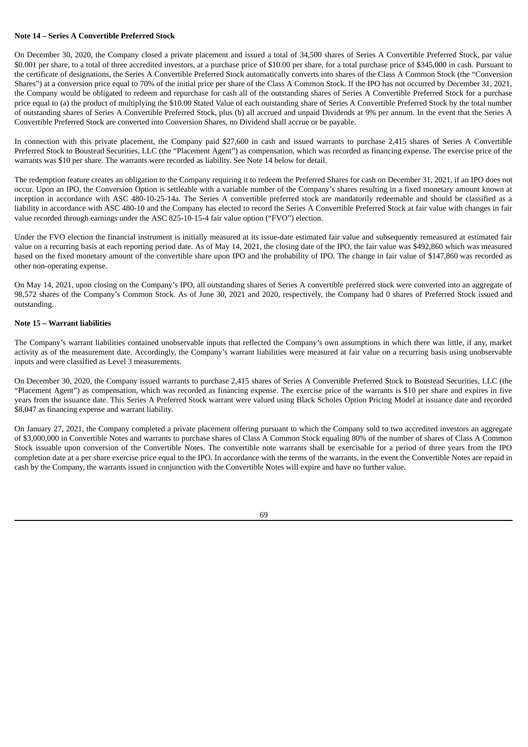# **Note 14 – Series A Convertible Preferred Stock**

On December 30, 2020, the Company closed a private placement and issued a total of 34,500 shares of Series A Convertible Preferred Stock, par value \$0.001 per share, to a total of three accredited investors, at a purchase price of \$10.00 per share, for a total purchase price of \$345,000 in cash. Pursuant to the certificate of designations, the Series A Convertible Preferred Stock automatically converts into shares of the Class A Common Stock (the "Conversion Shares") at a conversion price equal to 70% of the initial price per share of the Class A Common Stock. If the IPO has not occurred by December 31, 2021, the Company would be obligated to redeem and repurchase for cash all of the outstanding shares of Series A Convertible Preferred Stock for a purchase price equal to (a) the product of multiplying the \$10.00 Stated Value of each outstanding share of Series A Convertible Preferred Stock by the total number of outstanding shares of Series A Convertible Preferred Stock, plus (b) all accrued and unpaid Dividends at 9% per annum. In the event that the Series A Convertible Preferred Stock are converted into Conversion Shares, no Dividend shall accrue or be payable.

In connection with this private placement, the Company paid \$27,600 in cash and issued warrants to purchase 2,415 shares of Series A Convertible Preferred Stock to Boustead Securities, LLC (the "Placement Agent") as compensation, which was recorded as financing expense. The exercise price of the warrants was \$10 per share. The warrants were recorded as liability. See Note 14 below for detail.

The redemption feature creates an obligation to the Company requiring it to redeem the Preferred Shares for cash on December 31, 2021, if an IPO does not occur. Upon an IPO, the Conversion Option is settleable with a variable number of the Company's shares resulting in a fixed monetary amount known at inception in accordance with ASC 480-10-25-14a. The Series A convertible preferred stock are mandatorily redeemable and should be classified as a liability in accordance with ASC 480-10 and the Company has elected to record the Series A Convertible Preferred Stock at fair value with changes in fair value recorded through earnings under the ASC 825-10-15-4 fair value option ("FVO") election.

Under the FVO election the financial instrument is initially measured at its issue-date estimated fair value and subsequently remeasured at estimated fair value on a recurring basis at each reporting period date. As of May 14, 2021, the closing date of the IPO, the fair value was \$492,860 which was measured based on the fixed monetary amount of the convertible share upon IPO and the probability of IPO. The change in fair value of \$147,860 was recorded as other non-operating expense.

On May 14, 2021, upon closing on the Company's IPO, all outstanding shares of Series A convertible preferred stock were converted into an aggregate of 98,572 shares of the Company's Common Stock. As of June 30, 2021 and 2020, respectively, the Company had 0 shares of Preferred Stock issued and outstanding.

## **Note 15 – Warrant liabilities**

The Company's warrant liabilities contained unobservable inputs that reflected the Company's own assumptions in which there was little, if any, market activity as of the measurement date. Accordingly, the Company's warrant liabilities were measured at fair value on a recurring basis using unobservable inputs and were classified as Level 3 measurements.

On December 30, 2020, the Company issued warrants to purchase 2,415 shares of Series A Convertible Preferred Stock to Boustead Securities, LLC (the "Placement Agent") as compensation, which was recorded as financing expense. The exercise price of the warrants is \$10 per share and expires in five years from the issuance date. This Series A Preferred Stock warrant were valued using Black Scholes Option Pricing Model at issuance date and recorded \$8,047 as financing expense and warrant liability.

On January 27, 2021, the Company completed a private placement offering pursuant to which the Company sold to two accredited investors an aggregate of \$3,000,000 in Convertible Notes and warrants to purchase shares of Class A Common Stock equaling 80% of the number of shares of Class A Common Stock issuable upon conversion of the Convertible Notes. The convertible note warrants shall be exercisable for a period of three years from the IPO completion date at a per share exercise price equal to the IPO. In accordance with the terms of the warrants, in the event the Convertible Notes are repaid in cash by the Company, the warrants issued in conjunction with the Convertible Notes will expire and have no further value.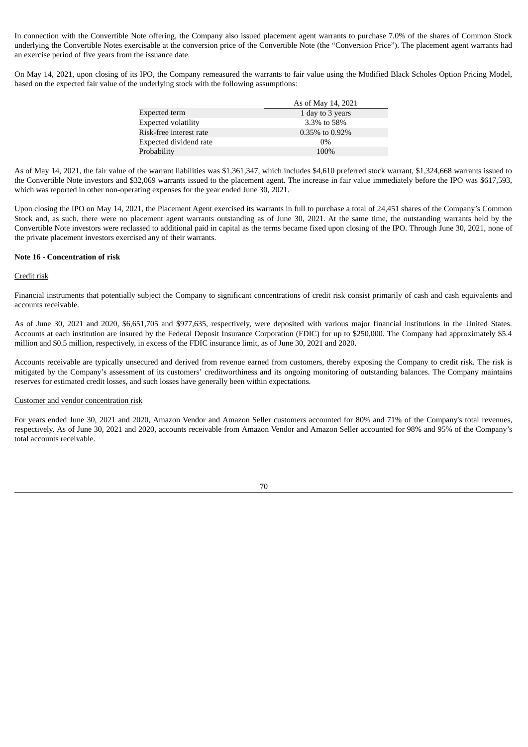In connection with the Convertible Note offering, the Company also issued placement agent warrants to purchase 7.0% of the shares of Common Stock underlying the Convertible Notes exercisable at the conversion price of the Convertible Note (the "Conversion Price"). The placement agent warrants had an exercise period of five years from the issuance date.

On May 14, 2021, upon closing of its IPO, the Company remeasured the warrants to fair value using the Modified Black Scholes Option Pricing Model, based on the expected fair value of the underlying stock with the following assumptions:

|                         | As of May 14, 2021   |
|-------------------------|----------------------|
| Expected term           | 1 day to 3 years     |
| Expected volatility     | 3.3% to 58%          |
| Risk-free interest rate | $0.35\%$ to $0.92\%$ |
| Expected dividend rate  | $0\%$                |
| Probability             | 100%                 |

As of May 14, 2021, the fair value of the warrant liabilities was \$1,361,347, which includes \$4,610 preferred stock warrant, \$1,324,668 warrants issued to the Convertible Note investors and \$32,069 warrants issued to the placement agent. The increase in fair value immediately before the IPO was \$617,593, which was reported in other non-operating expenses for the year ended June 30, 2021.

Upon closing the IPO on May 14, 2021, the Placement Agent exercised its warrants in full to purchase a total of 24,451 shares of the Company's Common Stock and, as such, there were no placement agent warrants outstanding as of June 30, 2021. At the same time, the outstanding warrants held by the Convertible Note investors were reclassed to additional paid in capital as the terms became fixed upon closing of the IPO. Through June 30, 2021, none of the private placement investors exercised any of their warrants.

## **Note 16 - Concentration of risk**

## Credit risk

Financial instruments that potentially subject the Company to significant concentrations of credit risk consist primarily of cash and cash equivalents and accounts receivable.

As of June 30, 2021 and 2020, \$6,651,705 and \$977,635, respectively, were deposited with various major financial institutions in the United States. Accounts at each institution are insured by the Federal Deposit Insurance Corporation (FDIC) for up to \$250,000. The Company had approximately \$5.4 million and \$0.5 million, respectively, in excess of the FDIC insurance limit, as of June 30, 2021 and 2020.

Accounts receivable are typically unsecured and derived from revenue earned from customers, thereby exposing the Company to credit risk. The risk is mitigated by the Company's assessment of its customers' creditworthiness and its ongoing monitoring of outstanding balances. The Company maintains reserves for estimated credit losses, and such losses have generally been within expectations.

#### Customer and vendor concentration risk

For years ended June 30, 2021 and 2020, Amazon Vendor and Amazon Seller customers accounted for 80% and 71% of the Company's total revenues, respectively. As of June 30, 2021 and 2020, accounts receivable from Amazon Vendor and Amazon Seller accounted for 98% and 95% of the Company's total accounts receivable.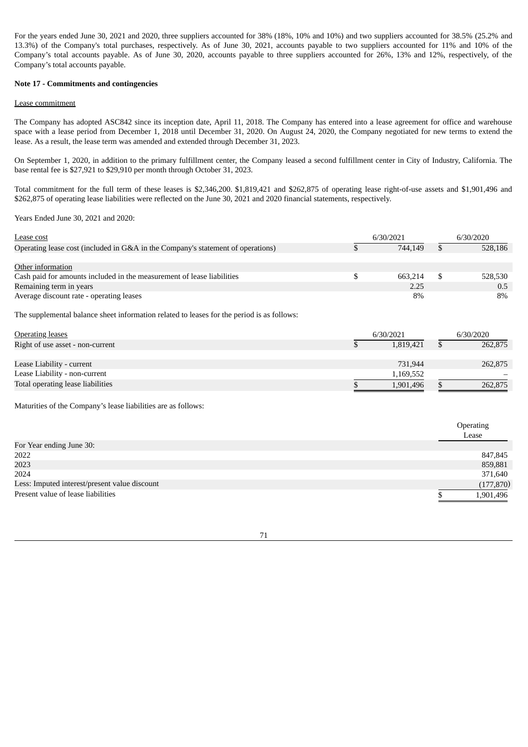For the years ended June 30, 2021 and 2020, three suppliers accounted for 38% (18%, 10% and 10%) and two suppliers accounted for 38.5% (25.2% and 13.3%) of the Company's total purchases, respectively. As of June 30, 2021, accounts payable to two suppliers accounted for 11% and 10% of the Company's total accounts payable. As of June 30, 2020, accounts payable to three suppliers accounted for 26%, 13% and 12%, respectively, of the Company's total accounts payable.

## **Note 17 - Commitments and contingencies**

## Lease commitment

The Company has adopted ASC842 since its inception date, April 11, 2018. The Company has entered into a lease agreement for office and warehouse space with a lease period from December 1, 2018 until December 31, 2020. On August 24, 2020, the Company negotiated for new terms to extend the lease. As a result, the lease term was amended and extended through December 31, 2023.

On September 1, 2020, in addition to the primary fulfillment center, the Company leased a second fulfillment center in City of Industry, California. The base rental fee is \$27,921 to \$29,910 per month through October 31, 2023.

Total commitment for the full term of these leases is \$2,346,200. \$1,819,421 and \$262,875 of operating lease right-of-use assets and \$1,901,496 and \$262,875 of operating lease liabilities were reflected on the June 30, 2021 and 2020 financial statements, respectively.

Years Ended June 30, 2021 and 2020:

| Lease cost                                                                      | 6/30/2021 | 6/30/2020 |
|---------------------------------------------------------------------------------|-----------|-----------|
| Operating lease cost (included in G&A in the Company's statement of operations) | 744.149   | 528,186   |
|                                                                                 |           |           |
| Other information                                                               |           |           |
| Cash paid for amounts included in the measurement of lease liabilities          | 663.214   | 528.530   |
| Remaining term in years                                                         | 2.25      | 0.5       |
| Average discount rate - operating leases                                        | 8%        | 8%        |

The supplemental balance sheet information related to leases for the period is as follows:

| <b>Operating leases</b>           | 6/30/2021 | 6/30/2020 |
|-----------------------------------|-----------|-----------|
| Right of use asset - non-current  | 1,819,421 | 262,875   |
|                                   |           |           |
| Lease Liability - current         | 731.944   | 262,875   |
| Lease Liability - non-current     | 1,169,552 |           |
| Total operating lease liabilities | 1,901,496 | 262,875   |

Maturities of the Company's lease liabilities are as follows:

|                                               | Operating  |
|-----------------------------------------------|------------|
|                                               | Lease      |
| For Year ending June 30:                      |            |
| 2022                                          | 847,845    |
| 2023                                          | 859,881    |
| 2024                                          | 371,640    |
| Less: Imputed interest/present value discount | (177, 870) |
| Present value of lease liabilities            | 1,901,496  |

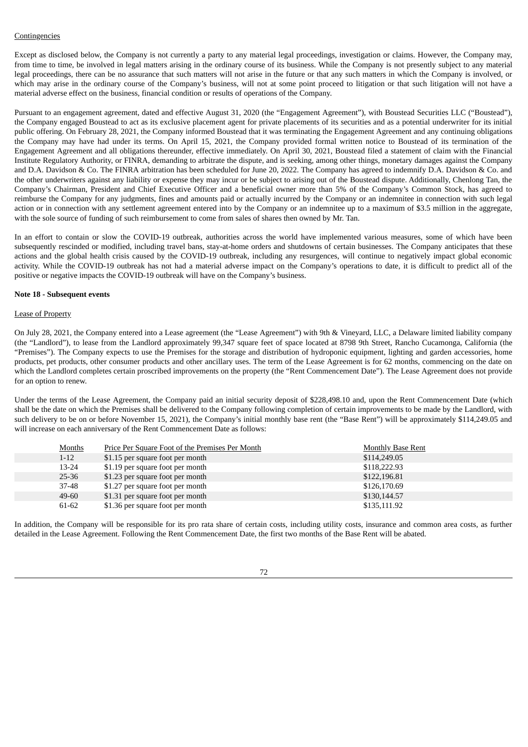# **Contingencies**

Except as disclosed below, the Company is not currently a party to any material legal proceedings, investigation or claims. However, the Company may, from time to time, be involved in legal matters arising in the ordinary course of its business. While the Company is not presently subject to any material legal proceedings, there can be no assurance that such matters will not arise in the future or that any such matters in which the Company is involved, or which may arise in the ordinary course of the Company's business, will not at some point proceed to litigation or that such litigation will not have a material adverse effect on the business, financial condition or results of operations of the Company.

Pursuant to an engagement agreement, dated and effective August 31, 2020 (the "Engagement Agreement"), with Boustead Securities LLC ("Boustead"), the Company engaged Boustead to act as its exclusive placement agent for private placements of its securities and as a potential underwriter for its initial public offering. On February 28, 2021, the Company informed Boustead that it was terminating the Engagement Agreement and any continuing obligations the Company may have had under its terms. On April 15, 2021, the Company provided formal written notice to Boustead of its termination of the Engagement Agreement and all obligations thereunder, effective immediately. On April 30, 2021, Boustead filed a statement of claim with the Financial Institute Regulatory Authority, or FINRA, demanding to arbitrate the dispute, and is seeking, among other things, monetary damages against the Company and D.A. Davidson & Co. The FINRA arbitration has been scheduled for June 20, 2022. The Company has agreed to indemnify D.A. Davidson & Co. and the other underwriters against any liability or expense they may incur or be subject to arising out of the Boustead dispute. Additionally, Chenlong Tan, the Company's Chairman, President and Chief Executive Officer and a beneficial owner more than 5% of the Company's Common Stock, has agreed to reimburse the Company for any judgments, fines and amounts paid or actually incurred by the Company or an indemnitee in connection with such legal action or in connection with any settlement agreement entered into by the Company or an indemnitee up to a maximum of \$3.5 million in the aggregate, with the sole source of funding of such reimbursement to come from sales of shares then owned by Mr. Tan.

In an effort to contain or slow the COVID-19 outbreak, authorities across the world have implemented various measures, some of which have been subsequently rescinded or modified, including travel bans, stay-at-home orders and shutdowns of certain businesses. The Company anticipates that these actions and the global health crisis caused by the COVID-19 outbreak, including any resurgences, will continue to negatively impact global economic activity. While the COVID-19 outbreak has not had a material adverse impact on the Company's operations to date, it is difficult to predict all of the positive or negative impacts the COVID-19 outbreak will have on the Company's business.

### **Note 18 - Subsequent events**

### Lease of Property

On July 28, 2021, the Company entered into a Lease agreement (the "Lease Agreement") with 9th & Vineyard, LLC, a Delaware limited liability company (the "Landlord"), to lease from the Landlord approximately 99,347 square feet of space located at 8798 9th Street, Rancho Cucamonga, California (the "Premises"). The Company expects to use the Premises for the storage and distribution of hydroponic equipment, lighting and garden accessories, home products, pet products, other consumer products and other ancillary uses. The term of the Lease Agreement is for 62 months, commencing on the date on which the Landlord completes certain proscribed improvements on the property (the "Rent Commencement Date"). The Lease Agreement does not provide for an option to renew.

Under the terms of the Lease Agreement, the Company paid an initial security deposit of \$228,498.10 and, upon the Rent Commencement Date (which shall be the date on which the Premises shall be delivered to the Company following completion of certain improvements to be made by the Landlord, with such delivery to be on or before November 15, 2021), the Company's initial monthly base rent (the "Base Rent") will be approximately \$114,249.05 and will increase on each anniversary of the Rent Commencement Date as follows:

| <b>Months</b> | Price Per Square Foot of the Premises Per Month | <b>Monthly Base Rent</b> |
|---------------|-------------------------------------------------|--------------------------|
| $1 - 12$      | \$1.15 per square foot per month                | \$114,249.05             |
| $13 - 24$     | \$1.19 per square foot per month                | \$118,222.93             |
| 25-36         | \$1.23 per square foot per month                | \$122,196.81             |
| 37-48         | \$1.27 per square foot per month                | \$126,170.69             |
| 49-60         | \$1.31 per square foot per month                | \$130,144.57             |
| 61-62         | \$1.36 per square foot per month                | \$135,111.92             |

In addition, the Company will be responsible for its pro rata share of certain costs, including utility costs, insurance and common area costs, as further detailed in the Lease Agreement. Following the Rent Commencement Date, the first two months of the Base Rent will be abated.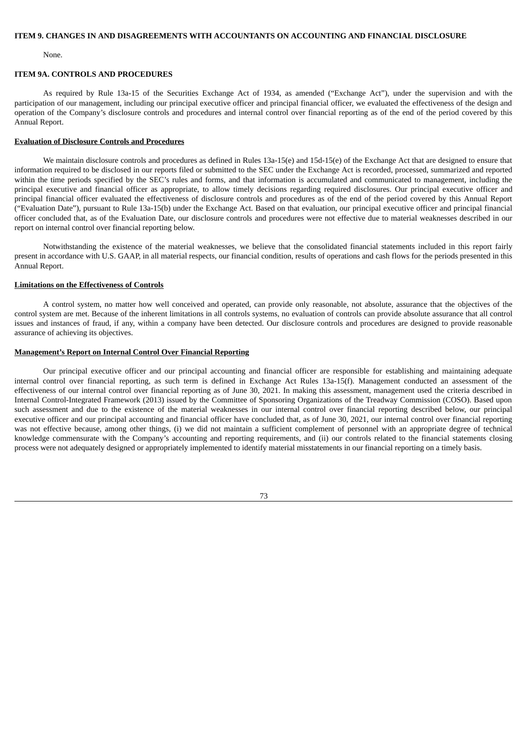# **ITEM 9. CHANGES IN AND DISAGREEMENTS WITH ACCOUNTANTS ON ACCOUNTING AND FINANCIAL DISCLOSURE**

None.

# **ITEM 9A. CONTROLS AND PROCEDURES**

As required by Rule 13a-15 of the Securities Exchange Act of 1934, as amended ("Exchange Act"), under the supervision and with the participation of our management, including our principal executive officer and principal financial officer, we evaluated the effectiveness of the design and operation of the Company's disclosure controls and procedures and internal control over financial reporting as of the end of the period covered by this Annual Report.

# **Evaluation of Disclosure Controls and Procedures**

We maintain disclosure controls and procedures as defined in Rules 13a-15(e) and 15d-15(e) of the Exchange Act that are designed to ensure that information required to be disclosed in our reports filed or submitted to the SEC under the Exchange Act is recorded, processed, summarized and reported within the time periods specified by the SEC's rules and forms, and that information is accumulated and communicated to management, including the principal executive and financial officer as appropriate, to allow timely decisions regarding required disclosures. Our principal executive officer and principal financial officer evaluated the effectiveness of disclosure controls and procedures as of the end of the period covered by this Annual Report ("Evaluation Date"), pursuant to Rule 13a-15(b) under the Exchange Act. Based on that evaluation, our principal executive officer and principal financial officer concluded that, as of the Evaluation Date, our disclosure controls and procedures were not effective due to material weaknesses described in our report on internal control over financial reporting below.

Notwithstanding the existence of the material weaknesses, we believe that the consolidated financial statements included in this report fairly present in accordance with U.S. GAAP, in all material respects, our financial condition, results of operations and cash flows for the periods presented in this Annual Report.

# **Limitations on the Effectiveness of Controls**

A control system, no matter how well conceived and operated, can provide only reasonable, not absolute, assurance that the objectives of the control system are met. Because of the inherent limitations in all controls systems, no evaluation of controls can provide absolute assurance that all control issues and instances of fraud, if any, within a company have been detected. Our disclosure controls and procedures are designed to provide reasonable assurance of achieving its objectives.

# **Management's Report on Internal Control Over Financial Reporting**

Our principal executive officer and our principal accounting and financial officer are responsible for establishing and maintaining adequate internal control over financial reporting, as such term is defined in Exchange Act Rules 13a-15(f). Management conducted an assessment of the effectiveness of our internal control over financial reporting as of June 30, 2021. In making this assessment, management used the criteria described in Internal Control-Integrated Framework (2013) issued by the Committee of Sponsoring Organizations of the Treadway Commission (COSO). Based upon such assessment and due to the existence of the material weaknesses in our internal control over financial reporting described below, our principal executive officer and our principal accounting and financial officer have concluded that, as of June 30, 2021, our internal control over financial reporting was not effective because, among other things, (i) we did not maintain a sufficient complement of personnel with an appropriate degree of technical knowledge commensurate with the Company's accounting and reporting requirements, and (ii) our controls related to the financial statements closing process were not adequately designed or appropriately implemented to identify material misstatements in our financial reporting on a timely basis.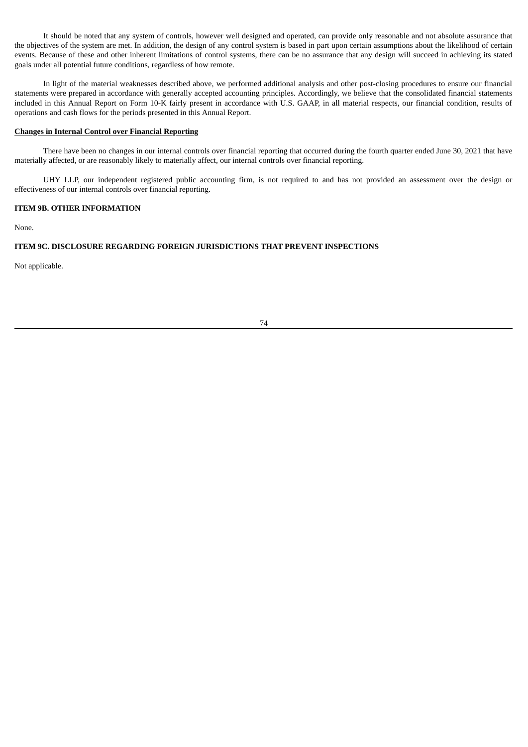It should be noted that any system of controls, however well designed and operated, can provide only reasonable and not absolute assurance that the objectives of the system are met. In addition, the design of any control system is based in part upon certain assumptions about the likelihood of certain events. Because of these and other inherent limitations of control systems, there can be no assurance that any design will succeed in achieving its stated goals under all potential future conditions, regardless of how remote.

In light of the material weaknesses described above, we performed additional analysis and other post-closing procedures to ensure our financial statements were prepared in accordance with generally accepted accounting principles. Accordingly, we believe that the consolidated financial statements included in this Annual Report on Form 10-K fairly present in accordance with U.S. GAAP, in all material respects, our financial condition, results of operations and cash flows for the periods presented in this Annual Report.

### **Changes in Internal Control over Financial Reporting**

There have been no changes in our internal controls over financial reporting that occurred during the fourth quarter ended June 30, 2021 that have materially affected, or are reasonably likely to materially affect, our internal controls over financial reporting.

UHY LLP, our independent registered public accounting firm, is not required to and has not provided an assessment over the design or effectiveness of our internal controls over financial reporting.

## **ITEM 9B. OTHER INFORMATION**

None.

# **ITEM 9C. DISCLOSURE REGARDING FOREIGN JURISDICTIONS THAT PREVENT INSPECTIONS**

Not applicable.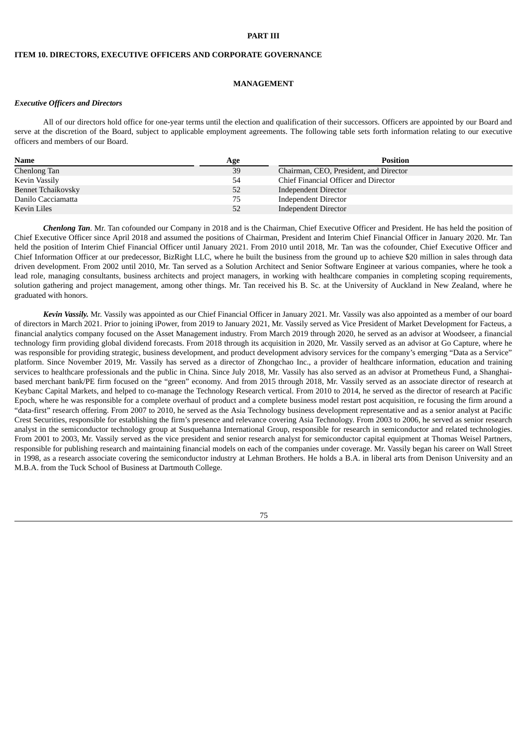# **PART III**

## **ITEM 10. DIRECTORS, EXECUTIVE OFFICERS AND CORPORATE GOVERNANCE**

### **MANAGEMENT**

### *Executive Officers and Directors*

All of our directors hold office for one-year terms until the election and qualification of their successors. Officers are appointed by our Board and serve at the discretion of the Board, subject to applicable employment agreements. The following table sets forth information relating to our executive officers and members of our Board.

| <b>Name</b>               | Age | <b>Position</b>                        |
|---------------------------|-----|----------------------------------------|
| Chenlong Tan              | 39  | Chairman, CEO, President, and Director |
| Kevin Vassily             | 54  | Chief Financial Officer and Director   |
| <b>Bennet Tchaikovsky</b> | 52  | <b>Independent Director</b>            |
| Danilo Cacciamatta        | 75  | <b>Independent Director</b>            |
| Kevin Liles               | 52  | Independent Director                   |

*Chenlong Tan*. Mr. Tan cofounded our Company in 2018 and is the Chairman, Chief Executive Officer and President. He has held the position of Chief Executive Officer since April 2018 and assumed the positions of Chairman, President and Interim Chief Financial Officer in January 2020. Mr. Tan held the position of Interim Chief Financial Officer until January 2021. From 2010 until 2018, Mr. Tan was the cofounder, Chief Executive Officer and Chief Information Officer at our predecessor, BizRight LLC, where he built the business from the ground up to achieve \$20 million in sales through data driven development. From 2002 until 2010, Mr. Tan served as a Solution Architect and Senior Software Engineer at various companies, where he took a lead role, managing consultants, business architects and project managers, in working with healthcare companies in completing scoping requirements, solution gathering and project management, among other things. Mr. Tan received his B. Sc. at the University of Auckland in New Zealand, where he graduated with honors.

*Kevin Vassily.* Mr. Vassily was appointed as our Chief Financial Officer in January 2021. Mr. Vassily was also appointed as a member of our board of directors in March 2021. Prior to joining iPower, from 2019 to January 2021, Mr. Vassily served as Vice President of Market Development for Facteus, a financial analytics company focused on the Asset Management industry. From March 2019 through 2020, he served as an advisor at Woodseer, a financial technology firm providing global dividend forecasts. From 2018 through its acquisition in 2020, Mr. Vassily served as an advisor at Go Capture, where he was responsible for providing strategic, business development, and product development advisory services for the company's emerging "Data as a Service" platform. Since November 2019, Mr. Vassily has served as a director of Zhongchao Inc., a provider of healthcare information, education and training services to healthcare professionals and the public in China. Since July 2018, Mr. Vassily has also served as an advisor at Prometheus Fund, a Shanghaibased merchant bank/PE firm focused on the "green" economy. And from 2015 through 2018, Mr. Vassily served as an associate director of research at Keybanc Capital Markets, and helped to co-manage the Technology Research vertical. From 2010 to 2014, he served as the director of research at Pacific Epoch, where he was responsible for a complete overhaul of product and a complete business model restart post acquisition, re focusing the firm around a "data-first" research offering. From 2007 to 2010, he served as the Asia Technology business development representative and as a senior analyst at Pacific Crest Securities, responsible for establishing the firm's presence and relevance covering Asia Technology. From 2003 to 2006, he served as senior research analyst in the semiconductor technology group at Susquehanna International Group, responsible for research in semiconductor and related technologies. From 2001 to 2003, Mr. Vassily served as the vice president and senior research analyst for semiconductor capital equipment at Thomas Weisel Partners, responsible for publishing research and maintaining financial models on each of the companies under coverage. Mr. Vassily began his career on Wall Street in 1998, as a research associate covering the semiconductor industry at Lehman Brothers. He holds a B.A. in liberal arts from Denison University and an M.B.A. from the Tuck School of Business at Dartmouth College.

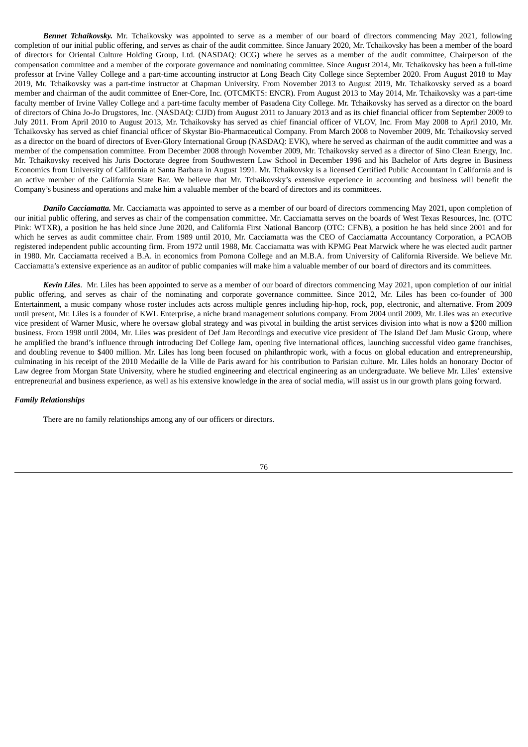*Bennet Tchaikovsky.* Mr. Tchaikovsky was appointed to serve as a member of our board of directors commencing May 2021, following completion of our initial public offering, and serves as chair of the audit committee. Since January 2020, Mr. Tchaikovsky has been a member of the board of directors for Oriental Culture Holding Group, Ltd. (NASDAQ: OCG) where he serves as a member of the audit committee, Chairperson of the compensation committee and a member of the corporate governance and nominating committee. Since August 2014, Mr. Tchaikovsky has been a full-time professor at Irvine Valley College and a part-time accounting instructor at Long Beach City College since September 2020. From August 2018 to May 2019, Mr. Tchaikovsky was a part-time instructor at Chapman University. From November 2013 to August 2019, Mr. Tchaikovsky served as a board member and chairman of the audit committee of Ener-Core, Inc. (OTCMKTS: ENCR). From August 2013 to May 2014, Mr. Tchaikovsky was a part-time faculty member of Irvine Valley College and a part-time faculty member of Pasadena City College. Mr. Tchaikovsky has served as a director on the board of directors of China Jo-Jo Drugstores, Inc. (NASDAQ: CJJD) from August 2011 to January 2013 and as its chief financial officer from September 2009 to July 2011. From April 2010 to August 2013, Mr. Tchaikovsky has served as chief financial officer of VLOV, Inc. From May 2008 to April 2010, Mr. Tchaikovsky has served as chief financial officer of Skystar Bio-Pharmaceutical Company. From March 2008 to November 2009, Mr. Tchaikovsky served as a director on the board of directors of Ever-Glory International Group (NASDAQ: EVK), where he served as chairman of the audit committee and was a member of the compensation committee. From December 2008 through November 2009, Mr. Tchaikovsky served as a director of Sino Clean Energy, Inc. Mr. Tchaikovsky received his Juris Doctorate degree from Southwestern Law School in December 1996 and his Bachelor of Arts degree in Business Economics from University of California at Santa Barbara in August 1991. Mr. Tchaikovsky is a licensed Certified Public Accountant in California and is an active member of the California State Bar. We believe that Mr. Tchaikovsky's extensive experience in accounting and business will benefit the Company's business and operations and make him a valuable member of the board of directors and its committees.

*Danilo Cacciamatta.* Mr. Cacciamatta was appointed to serve as a member of our board of directors commencing May 2021, upon completion of our initial public offering, and serves as chair of the compensation committee. Mr. Cacciamatta serves on the boards of West Texas Resources, Inc. (OTC Pink: WTXR), a position he has held since June 2020, and California First National Bancorp (OTC: CFNB), a position he has held since 2001 and for which he serves as audit committee chair. From 1989 until 2010, Mr. Cacciamatta was the CEO of Cacciamatta Accountancy Corporation, a PCAOB registered independent public accounting firm. From 1972 until 1988, Mr. Cacciamatta was with KPMG Peat Marwick where he was elected audit partner in 1980. Mr. Cacciamatta received a B.A. in economics from Pomona College and an M.B.A. from University of California Riverside. We believe Mr. Cacciamatta's extensive experience as an auditor of public companies will make him a valuable member of our board of directors and its committees.

*Kevin Liles*. Mr. Liles has been appointed to serve as a member of our board of directors commencing May 2021, upon completion of our initial public offering, and serves as chair of the nominating and corporate governance committee. Since 2012, Mr. Liles has been co-founder of 300 Entertainment, a music company whose roster includes acts across multiple genres including hip-hop, rock, pop, electronic, and alternative. From 2009 until present, Mr. Liles is a founder of KWL Enterprise, a niche brand management solutions company. From 2004 until 2009, Mr. Liles was an executive vice president of Warner Music, where he oversaw global strategy and was pivotal in building the artist services division into what is now a \$200 million business. From 1998 until 2004, Mr. Liles was president of Def Jam Recordings and executive vice president of The Island Def Jam Music Group, where he amplified the brand's influence through introducing Def College Jam, opening five international offices, launching successful video game franchises, and doubling revenue to \$400 million. Mr. Liles has long been focused on philanthropic work, with a focus on global education and entrepreneurship, culminating in his receipt of the 2010 Medaille de la Ville de Paris award for his contribution to Parisian culture. Mr. Liles holds an honorary Doctor of Law degree from Morgan State University, where he studied engineering and electrical engineering as an undergraduate. We believe Mr. Liles' extensive entrepreneurial and business experience, as well as his extensive knowledge in the area of social media, will assist us in our growth plans going forward.

### *Family Relationships*

There are no family relationships among any of our officers or directors.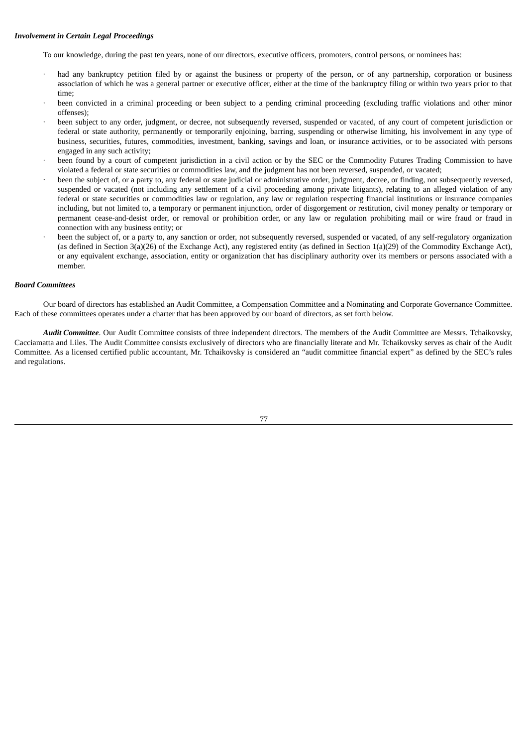### *Involvement in Certain Legal Proceedings*

To our knowledge, during the past ten years, none of our directors, executive officers, promoters, control persons, or nominees has:

- had any bankruptcy petition filed by or against the business or property of the person, or of any partnership, corporation or business association of which he was a general partner or executive officer, either at the time of the bankruptcy filing or within two years prior to that time;
- been convicted in a criminal proceeding or been subject to a pending criminal proceeding (excluding traffic violations and other minor offenses);
- been subject to any order, judgment, or decree, not subsequently reversed, suspended or vacated, of any court of competent jurisdiction or federal or state authority, permanently or temporarily enjoining, barring, suspending or otherwise limiting, his involvement in any type of business, securities, futures, commodities, investment, banking, savings and loan, or insurance activities, or to be associated with persons engaged in any such activity;
- been found by a court of competent jurisdiction in a civil action or by the SEC or the Commodity Futures Trading Commission to have violated a federal or state securities or commodities law, and the judgment has not been reversed, suspended, or vacated;
- been the subject of, or a party to, any federal or state judicial or administrative order, judgment, decree, or finding, not subsequently reversed, suspended or vacated (not including any settlement of a civil proceeding among private litigants), relating to an alleged violation of any federal or state securities or commodities law or regulation, any law or regulation respecting financial institutions or insurance companies including, but not limited to, a temporary or permanent injunction, order of disgorgement or restitution, civil money penalty or temporary or permanent cease-and-desist order, or removal or prohibition order, or any law or regulation prohibiting mail or wire fraud or fraud in connection with any business entity; or
- been the subject of, or a party to, any sanction or order, not subsequently reversed, suspended or vacated, of any self-regulatory organization (as defined in Section 3(a)(26) of the Exchange Act), any registered entity (as defined in Section 1(a)(29) of the Commodity Exchange Act), or any equivalent exchange, association, entity or organization that has disciplinary authority over its members or persons associated with a member.

### *Board Committees*

Our board of directors has established an Audit Committee, a Compensation Committee and a Nominating and Corporate Governance Committee. Each of these committees operates under a charter that has been approved by our board of directors, as set forth below.

*Audit Committee*. Our Audit Committee consists of three independent directors. The members of the Audit Committee are Messrs. Tchaikovsky, Cacciamatta and Liles. The Audit Committee consists exclusively of directors who are financially literate and Mr. Tchaikovsky serves as chair of the Audit Committee. As a licensed certified public accountant, Mr. Tchaikovsky is considered an "audit committee financial expert" as defined by the SEC's rules and regulations.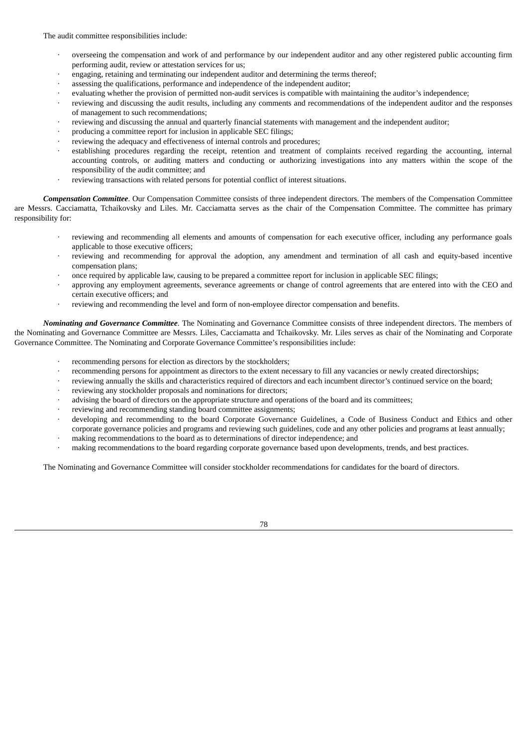The audit committee responsibilities include:

- · overseeing the compensation and work of and performance by our independent auditor and any other registered public accounting firm performing audit, review or attestation services for us;
- engaging, retaining and terminating our independent auditor and determining the terms thereof;
- assessing the qualifications, performance and independence of the independent auditor;
- · evaluating whether the provision of permitted non-audit services is compatible with maintaining the auditor's independence;
- · reviewing and discussing the audit results, including any comments and recommendations of the independent auditor and the responses of management to such recommendations;
- · reviewing and discussing the annual and quarterly financial statements with management and the independent auditor;
- · producing a committee report for inclusion in applicable SEC filings;
- reviewing the adequacy and effectiveness of internal controls and procedures;
- establishing procedures regarding the receipt, retention and treatment of complaints received regarding the accounting, internal accounting controls, or auditing matters and conducting or authorizing investigations into any matters within the scope of the responsibility of the audit committee; and
- reviewing transactions with related persons for potential conflict of interest situations.

*Compensation Committee*. Our Compensation Committee consists of three independent directors. The members of the Compensation Committee are Messrs. Cacciamatta, Tchaikovsky and Liles. Mr. Cacciamatta serves as the chair of the Compensation Committee. The committee has primary responsibility for:

- · reviewing and recommending all elements and amounts of compensation for each executive officer, including any performance goals applicable to those executive officers;
- reviewing and recommending for approval the adoption, any amendment and termination of all cash and equity-based incentive compensation plans;
- · once required by applicable law, causing to be prepared a committee report for inclusion in applicable SEC filings;
- · approving any employment agreements, severance agreements or change of control agreements that are entered into with the CEO and certain executive officers; and
- · reviewing and recommending the level and form of non-employee director compensation and benefits.

*Nominating and Governance Committee*. The Nominating and Governance Committee consists of three independent directors. The members of the Nominating and Governance Committee are Messrs. Liles, Cacciamatta and Tchaikovsky. Mr. Liles serves as chair of the Nominating and Corporate Governance Committee. The Nominating and Corporate Governance Committee's responsibilities include:

- recommending persons for election as directors by the stockholders;
- · recommending persons for appointment as directors to the extent necessary to fill any vacancies or newly created directorships;
- reviewing annually the skills and characteristics required of directors and each incumbent director's continued service on the board;
- reviewing any stockholder proposals and nominations for directors;
- · advising the board of directors on the appropriate structure and operations of the board and its committees;
- reviewing and recommending standing board committee assignments;
- · developing and recommending to the board Corporate Governance Guidelines, a Code of Business Conduct and Ethics and other corporate governance policies and programs and reviewing such guidelines, code and any other policies and programs at least annually;
- · making recommendations to the board as to determinations of director independence; and
- making recommendations to the board regarding corporate governance based upon developments, trends, and best practices.

The Nominating and Governance Committee will consider stockholder recommendations for candidates for the board of directors.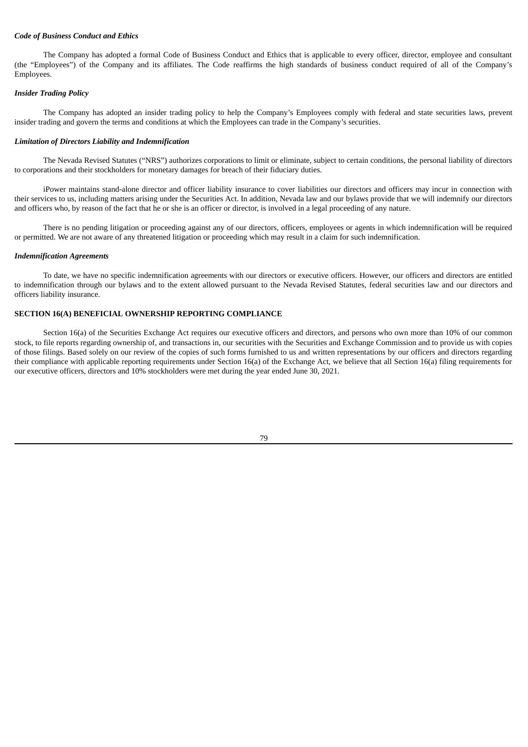### *Code of Business Conduct and Ethics*

The Company has adopted a formal Code of Business Conduct and Ethics that is applicable to every officer, director, employee and consultant (the "Employees") of the Company and its affiliates. The Code reaffirms the high standards of business conduct required of all of the Company's Employees.

### *Insider Trading Policy*

The Company has adopted an insider trading policy to help the Company's Employees comply with federal and state securities laws, prevent insider trading and govern the terms and conditions at which the Employees can trade in the Company's securities.

### *Limitation of Directors Liability and Indemnification*

The Nevada Revised Statutes ("NRS") authorizes corporations to limit or eliminate, subject to certain conditions, the personal liability of directors to corporations and their stockholders for monetary damages for breach of their fiduciary duties.

iPower maintains stand-alone director and officer liability insurance to cover liabilities our directors and officers may incur in connection with their services to us, including matters arising under the Securities Act. In addition, Nevada law and our bylaws provide that we will indemnify our directors and officers who, by reason of the fact that he or she is an officer or director, is involved in a legal proceeding of any nature.

There is no pending litigation or proceeding against any of our directors, officers, employees or agents in which indemnification will be required or permitted. We are not aware of any threatened litigation or proceeding which may result in a claim for such indemnification.

### *Indemnification Agreements*

To date, we have no specific indemnification agreements with our directors or executive officers. However, our officers and directors are entitled to indemnification through our bylaws and to the extent allowed pursuant to the Nevada Revised Statutes, federal securities law and our directors and officers liability insurance.

## **SECTION 16(A) BENEFICIAL OWNERSHIP REPORTING COMPLIANCE**

Section 16(a) of the Securities Exchange Act requires our executive officers and directors, and persons who own more than 10% of our common stock, to file reports regarding ownership of, and transactions in, our securities with the Securities and Exchange Commission and to provide us with copies of those filings. Based solely on our review of the copies of such forms furnished to us and written representations by our officers and directors regarding their compliance with applicable reporting requirements under Section 16(a) of the Exchange Act, we believe that all Section 16(a) filing requirements for our executive officers, directors and 10% stockholders were met during the year ended June 30, 2021.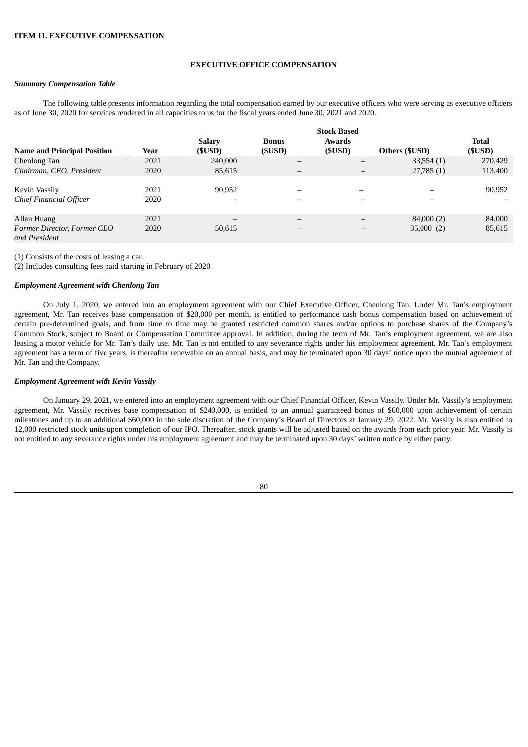# **ITEM 11. EXECUTIVE COMPENSATION**

#### **EXECUTIVE OFFICE COMPENSATION**

#### *Summary Compensation Table*

The following table presents information regarding the total compensation earned by our executive officers who were serving as executive officers as of June 30, 2020 for services rendered in all capacities to us for the fiscal years ended June 30, 2021 and 2020.

|                                              |      |               |              | <b>Stock Based</b> |                |              |
|----------------------------------------------|------|---------------|--------------|--------------------|----------------|--------------|
|                                              |      | <b>Salary</b> | <b>Bonus</b> | Awards             |                | <b>Total</b> |
| <b>Name and Principal Position</b>           | Year | (\$USD)       | (SUSD)       | (SUSD)             | Others (\$USD) | (\$USD)      |
| Chenlong Tan                                 | 2021 | 240,000       | -            |                    | 33,554(1)      | 270,429      |
| Chairman, CEO, President                     | 2020 | 85,615        |              |                    | 27,785(1)      | 113,400      |
| Kevin Vassily                                | 2021 | 90,952        |              |                    |                | 90,952       |
| Chief Financial Officer                      | 2020 |               |              |                    |                |              |
| Allan Huang                                  | 2021 |               |              |                    | 84,000 (2)     | 84,000       |
| Former Director, Former CEO<br>and President | 2020 | 50,615        |              |                    | 35,000(2)      | 85,615       |

(1) Consists of the costs of leasing a car.

 $\_$ 

(2) Includes consulting fees paid starting in February of 2020.

## *Employment Agreement with Chenlong Tan*

On July 1, 2020, we entered into an employment agreement with our Chief Executive Officer, Chenlong Tan. Under Mr. Tan's employment agreement, Mr. Tan receives base compensation of \$20,000 per month, is entitled to performance cash bonus compensation based on achievement of certain pre-determined goals, and from time to time may be granted restricted common shares and/or options to purchase shares of the Company's Common Stock, subject to Board or Compensation Committee approval. In addition, during the term of Mr. Tan's employment agreement, we are also leasing a motor vehicle for Mr. Tan's daily use. Mr. Tan is not entitled to any severance rights under his employment agreement. Mr. Tan's employment agreement has a term of five years, is thereafter renewable on an annual basis, and may be terminated upon 30 days' notice upon the mutual agreement of Mr. Tan and the Company.

#### *Employment Agreement with Kevin Vassily*

On January 29, 2021, we entered into an employment agreement with our Chief Financial Officer, Kevin Vassily. Under Mr. Vassily's employment agreement, Mr. Vassily receives base compensation of \$240,000, is entitled to an annual guaranteed bonus of \$60,000 upon achievement of certain milestones and up to an additional \$60,000 in the sole discretion of the Company's Board of Directors at January 29, 2022. Mr. Vassily is also entitled to 12,000 restricted stock units upon completion of our IPO. Thereafter, stock grants will be adjusted based on the awards from each prior year. Mr. Vassily is not entitled to any severance rights under his employment agreement and may be terminated upon 30 days' written notice by either party.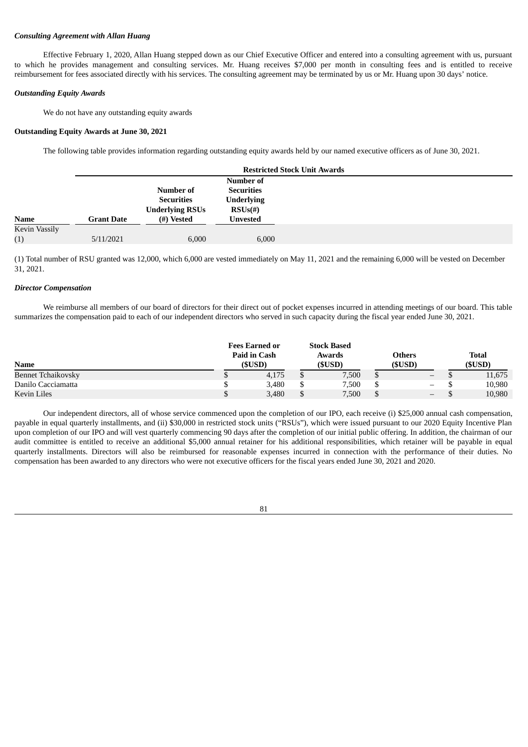## *Consulting Agreement with Allan Huang*

Effective February 1, 2020, Allan Huang stepped down as our Chief Executive Officer and entered into a consulting agreement with us, pursuant to which he provides management and consulting services. Mr. Huang receives \$7,000 per month in consulting fees and is entitled to receive reimbursement for fees associated directly with his services. The consulting agreement may be terminated by us or Mr. Huang upon 30 days' notice.

### *Outstanding Equity Awards*

We do not have any outstanding equity awards

## **Outstanding Equity Awards at June 30, 2021**

The following table provides information regarding outstanding equity awards held by our named executive officers as of June 30, 2021.

|               |                   |                                                          |                                                                   | <b>Restricted Stock Unit Awards</b> |
|---------------|-------------------|----------------------------------------------------------|-------------------------------------------------------------------|-------------------------------------|
|               |                   | Number of<br><b>Securities</b><br><b>Underlying RSUs</b> | Number of<br><b>Securities</b><br><b>Underlying</b><br>$RSUs(\#)$ |                                     |
| Name          | <b>Grant Date</b> | (#) Vested                                               | <b>Unvested</b>                                                   |                                     |
| Kevin Vassily |                   |                                                          |                                                                   |                                     |
| (1)           | 5/11/2021         | 6,000                                                    | 6,000                                                             |                                     |

(1) Total number of RSU granted was 12,000, which 6,000 are vested immediately on May 11, 2021 and the remaining 6,000 will be vested on December 31, 2021.

### *Director Compensation*

We reimburse all members of our board of directors for their direct out of pocket expenses incurred in attending meetings of our board. This table summarizes the compensation paid to each of our independent directors who served in such capacity during the fiscal year ended June 30, 2021.

| <b>Name</b>               | <b>Fees Earned or</b><br>Paid in Cash<br>(\$USD) |       | <b>Stock Based</b><br>Awards<br>(\$USD) |       | <b>Others</b><br>(SUSD) |  | <b>Total</b><br>(SUSD)          |  |        |
|---------------------------|--------------------------------------------------|-------|-----------------------------------------|-------|-------------------------|--|---------------------------------|--|--------|
| <b>Bennet Tchaikovsky</b> |                                                  | 4,175 |                                         | 7,500 |                         |  | $\hspace{0.1mm}-\hspace{0.1mm}$ |  | 11,675 |
| Danilo Cacciamatta        |                                                  | 3,480 |                                         | 7,500 |                         |  | $\qquad \qquad -$               |  | 10,980 |
| Kevin Liles               |                                                  | 3,480 |                                         | 7,500 |                         |  | $\overline{\phantom{0}}$        |  | 10,980 |

Our independent directors, all of whose service commenced upon the completion of our IPO, each receive (i) \$25,000 annual cash compensation, payable in equal quarterly installments, and (ii) \$30,000 in restricted stock units ("RSUs"), which were issued pursuant to our 2020 Equity Incentive Plan upon completion of our IPO and will vest quarterly commencing 90 days after the completion of our initial public offering. In addition, the chairman of our audit committee is entitled to receive an additional \$5,000 annual retainer for his additional responsibilities, which retainer will be payable in equal quarterly installments. Directors will also be reimbursed for reasonable expenses incurred in connection with the performance of their duties. No compensation has been awarded to any directors who were not executive officers for the fiscal years ended June 30, 2021 and 2020.

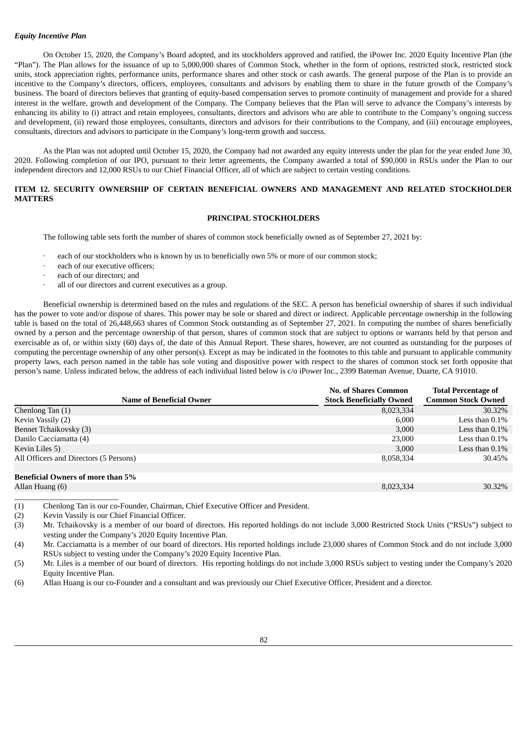## *Equity Incentive Plan*

On October 15, 2020, the Company's Board adopted, and its stockholders approved and ratified, the iPower Inc. 2020 Equity Incentive Plan (the "Plan"). The Plan allows for the issuance of up to 5,000,000 shares of Common Stock, whether in the form of options, restricted stock, restricted stock units, stock appreciation rights, performance units, performance shares and other stock or cash awards. The general purpose of the Plan is to provide an incentive to the Company's directors, officers, employees, consultants and advisors by enabling them to share in the future growth of the Company's business. The board of directors believes that granting of equity-based compensation serves to promote continuity of management and provide for a shared interest in the welfare, growth and development of the Company. The Company believes that the Plan will serve to advance the Company's interests by enhancing its ability to (i) attract and retain employees, consultants, directors and advisors who are able to contribute to the Company's ongoing success and development, (ii) reward those employees, consultants, directors and advisors for their contributions to the Company, and (iii) encourage employees, consultants, directors and advisors to participate in the Company's long-term growth and success.

As the Plan was not adopted until October 15, 2020, the Company had not awarded any equity interests under the plan for the year ended June 30, 2020. Following completion of our IPO, pursuant to their letter agreements, the Company awarded a total of \$90,000 in RSUs under the Plan to our independent directors and 12,000 RSUs to our Chief Financial Officer, all of which are subject to certain vesting conditions.

# **ITEM 12. SECURITY OWNERSHIP OF CERTAIN BENEFICIAL OWNERS AND MANAGEMENT AND RELATED STOCKHOLDER MATTERS**

### **PRINCIPAL STOCKHOLDERS**

The following table sets forth the number of shares of common stock beneficially owned as of September 27, 2021 by:

- each of our stockholders who is known by us to beneficially own 5% or more of our common stock;
- each of our executive officers;
- each of our directors; and
- all of our directors and current executives as a group.

Beneficial ownership is determined based on the rules and regulations of the SEC. A person has beneficial ownership of shares if such individual has the power to vote and/or dispose of shares. This power may be sole or shared and direct or indirect. Applicable percentage ownership in the following table is based on the total of 26,448,663 shares of Common Stock outstanding as of September 27, 2021. In computing the number of shares beneficially owned by a person and the percentage ownership of that person, shares of common stock that are subject to options or warrants held by that person and exercisable as of, or within sixty (60) days of, the date of this Annual Report. These shares, however, are not counted as outstanding for the purposes of computing the percentage ownership of any other person(s). Except as may be indicated in the footnotes to this table and pursuant to applicable community property laws, each person named in the table has sole voting and dispositive power with respect to the shares of common stock set forth opposite that person's name. Unless indicated below, the address of each individual listed below is c/o iPower Inc., 2399 Bateman Avenue, Duarte, CA 91010.

|                                          | <b>No. of Shares Common</b>     | <b>Total Percentage of</b> |
|------------------------------------------|---------------------------------|----------------------------|
| <b>Name of Beneficial Owner</b>          | <b>Stock Beneficially Owned</b> | <b>Common Stock Owned</b>  |
| Chenlong Tan (1)                         | 8,023,334                       | 30.32%                     |
| Kevin Vassily (2)                        | 6.000                           | Less than $0.1\%$          |
| Bennet Tchaikovsky (3)                   | 3.000                           | Less than $0.1\%$          |
| Danilo Cacciamatta (4)                   | 23,000                          | Less than $0.1\%$          |
| Kevin Liles 5)                           | 3.000                           | Less than $0.1\%$          |
| All Officers and Directors (5 Persons)   | 8,058,334                       | 30.45%                     |
|                                          |                                 |                            |
| <b>Beneficial Owners of more than 5%</b> |                                 |                            |
| Allan Huang (6)                          | 8,023,334                       | 30.32%                     |

(1) Chenlong Tan is our co-Founder, Chairman, Chief Executive Officer and President.

(2) Kevin Vassily is our Chief Financial Officer.

 $\_$ 

- (3) Mr. Tchaikovsky is a member of our board of directors. His reported holdings do not include 3,000 Restricted Stock Units ("RSUs") subject to vesting under the Company's 2020 Equity Incentive Plan.
- (4) Mr. Cacciamatta is a member of our board of directors. His reported holdings include 23,000 shares of Common Stock and do not include 3,000 RSUs subject to vesting under the Company's 2020 Equity Incentive Plan.

(5) Mr. Liles is a member of our board of directors. His reporting holdings do not include 3,000 RSUs subject to vesting under the Company's 2020 Equity Incentive Plan.

(6) Allan Huang is our co-Founder and a consultant and was previously our Chief Executive Officer, President and a director.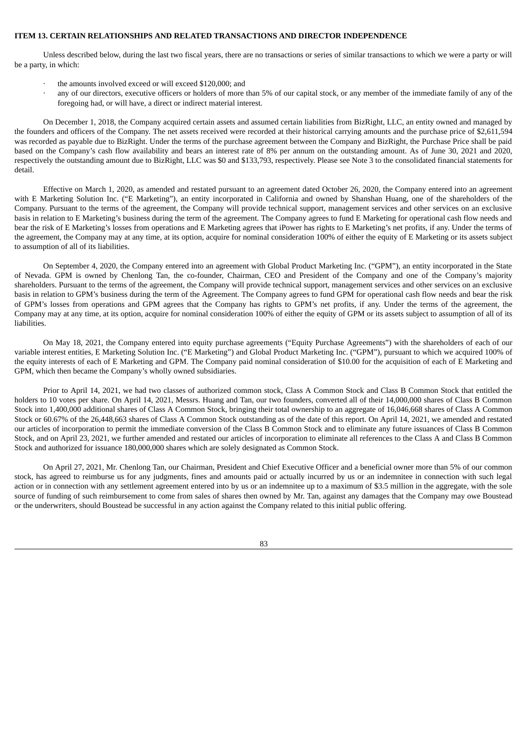# **ITEM 13. CERTAIN RELATIONSHIPS AND RELATED TRANSACTIONS AND DIRECTOR INDEPENDENCE**

Unless described below, during the last two fiscal years, there are no transactions or series of similar transactions to which we were a party or will be a party, in which:

- the amounts involved exceed or will exceed \$120,000; and
- · any of our directors, executive officers or holders of more than 5% of our capital stock, or any member of the immediate family of any of the foregoing had, or will have, a direct or indirect material interest.

On December 1, 2018, the Company acquired certain assets and assumed certain liabilities from BizRight, LLC, an entity owned and managed by the founders and officers of the Company. The net assets received were recorded at their historical carrying amounts and the purchase price of \$2,611,594 was recorded as payable due to BizRight. Under the terms of the purchase agreement between the Company and BizRight, the Purchase Price shall be paid based on the Company's cash flow availability and bears an interest rate of 8% per annum on the outstanding amount. As of June 30, 2021 and 2020, respectively the outstanding amount due to BizRight, LLC was \$0 and \$133,793, respectively. Please see Note 3 to the consolidated financial statements for detail.

Effective on March 1, 2020, as amended and restated pursuant to an agreement dated October 26, 2020, the Company entered into an agreement with E Marketing Solution Inc. ("E Marketing"), an entity incorporated in California and owned by Shanshan Huang, one of the shareholders of the Company. Pursuant to the terms of the agreement, the Company will provide technical support, management services and other services on an exclusive basis in relation to E Marketing's business during the term of the agreement. The Company agrees to fund E Marketing for operational cash flow needs and bear the risk of E Marketing's losses from operations and E Marketing agrees that iPower has rights to E Marketing's net profits, if any. Under the terms of the agreement, the Company may at any time, at its option, acquire for nominal consideration 100% of either the equity of E Marketing or its assets subject to assumption of all of its liabilities.

On September 4, 2020, the Company entered into an agreement with Global Product Marketing Inc. ("GPM"), an entity incorporated in the State of Nevada. GPM is owned by Chenlong Tan, the co-founder, Chairman, CEO and President of the Company and one of the Company's majority shareholders. Pursuant to the terms of the agreement, the Company will provide technical support, management services and other services on an exclusive basis in relation to GPM's business during the term of the Agreement. The Company agrees to fund GPM for operational cash flow needs and bear the risk of GPM's losses from operations and GPM agrees that the Company has rights to GPM's net profits, if any. Under the terms of the agreement, the Company may at any time, at its option, acquire for nominal consideration 100% of either the equity of GPM or its assets subject to assumption of all of its liabilities.

On May 18, 2021, the Company entered into equity purchase agreements ("Equity Purchase Agreements") with the shareholders of each of our variable interest entities, E Marketing Solution Inc. ("E Marketing") and Global Product Marketing Inc. ("GPM"), pursuant to which we acquired 100% of the equity interests of each of E Marketing and GPM. The Company paid nominal consideration of \$10.00 for the acquisition of each of E Marketing and GPM, which then became the Company's wholly owned subsidiaries.

Prior to April 14, 2021, we had two classes of authorized common stock, Class A Common Stock and Class B Common Stock that entitled the holders to 10 votes per share. On April 14, 2021, Messrs. Huang and Tan, our two founders, converted all of their 14,000,000 shares of Class B Common Stock into 1,400,000 additional shares of Class A Common Stock, bringing their total ownership to an aggregate of 16,046,668 shares of Class A Common Stock or 60.67% of the 26,448,663 shares of Class A Common Stock outstanding as of the date of this report. On April 14, 2021, we amended and restated our articles of incorporation to permit the immediate conversion of the Class B Common Stock and to eliminate any future issuances of Class B Common Stock, and on April 23, 2021, we further amended and restated our articles of incorporation to eliminate all references to the Class A and Class B Common Stock and authorized for issuance 180,000,000 shares which are solely designated as Common Stock.

On April 27, 2021, Mr. Chenlong Tan, our Chairman, President and Chief Executive Officer and a beneficial owner more than 5% of our common stock, has agreed to reimburse us for any judgments, fines and amounts paid or actually incurred by us or an indemnitee in connection with such legal action or in connection with any settlement agreement entered into by us or an indemnitee up to a maximum of \$3.5 million in the aggregate, with the sole source of funding of such reimbursement to come from sales of shares then owned by Mr. Tan, against any damages that the Company may owe Boustead or the underwriters, should Boustead be successful in any action against the Company related to this initial public offering.

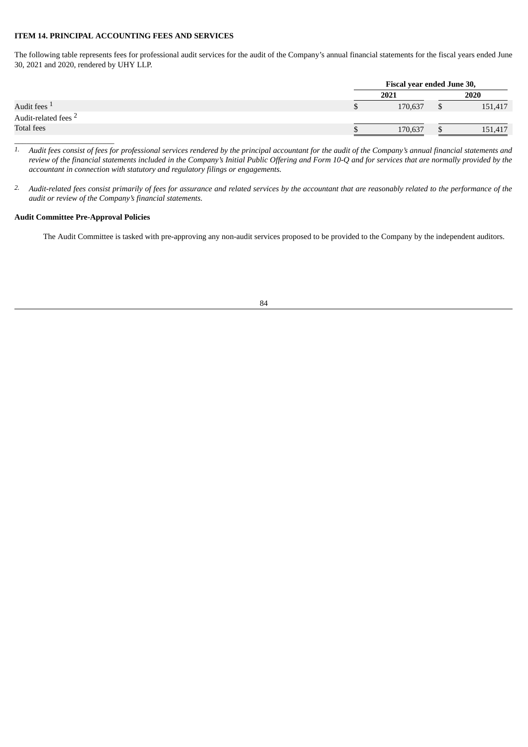# **ITEM 14. PRINCIPAL ACCOUNTING FEES AND SERVICES**

The following table represents fees for professional audit services for the audit of the Company's annual financial statements for the fiscal years ended June 30, 2021 and 2020, rendered by UHY LLP.

|                                 | Fiscal year ended June 30, |      |         |  |
|---------------------------------|----------------------------|------|---------|--|
|                                 | 2021                       | 2020 |         |  |
| Audit fees $1$                  | 170.637                    |      | 151,417 |  |
| Audit-related fees <sup>2</sup> |                            |      |         |  |
| <b>Total fees</b>               | 170,637                    |      | 151,417 |  |

<sup>1.</sup> Audit fees consist of fees for professional services rendered by the principal accountant for the audit of the Company's annual financial statements and review of the financial statements included in the Company's Initial Public Offering and Form 10-Q and for services that are normally provided by the *accountant in connection with statutory and regulatory filings or engagements.*

2. Audit-related fees consist primarily of fees for assurance and related services by the accountant that are reasonably related to the performance of the *audit or review of the Company's financial statements.*

## **Audit Committee Pre-Approval Policies**

 $\_$ 

The Audit Committee is tasked with pre-approving any non-audit services proposed to be provided to the Company by the independent auditors.

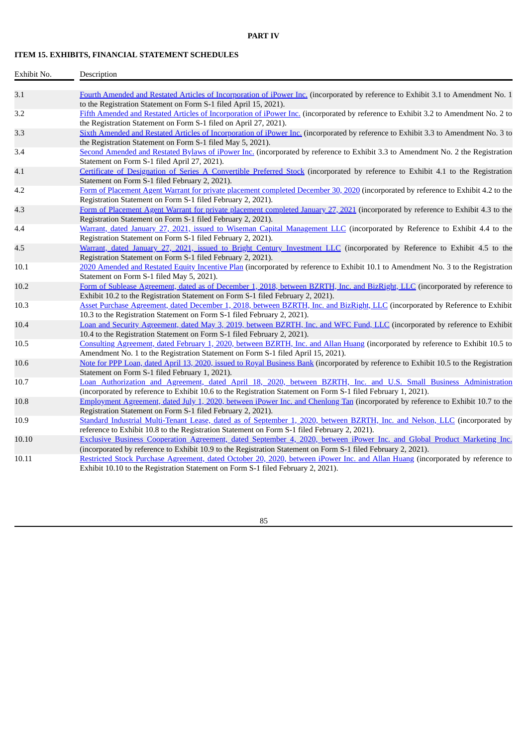# **PART IV**

# **ITEM 15. EXHIBITS, FINANCIAL STATEMENT SCHEDULES**

| Exhibit No. | Description                                                                                                                                                                              |
|-------------|------------------------------------------------------------------------------------------------------------------------------------------------------------------------------------------|
|             |                                                                                                                                                                                          |
| 3.1         | Fourth Amended and Restated Articles of Incorporation of iPower Inc. (incorporated by reference to Exhibit 3.1 to Amendment No. 1                                                        |
|             | to the Registration Statement on Form S-1 filed April 15, 2021).                                                                                                                         |
| 3.2         | Fifth Amended and Restated Articles of Incorporation of iPower Inc. (incorporated by reference to Exhibit 3.2 to Amendment No. 2 to                                                      |
|             | the Registration Statement on Form S-1 filed on April 27, 2021).                                                                                                                         |
| 3.3         | Sixth Amended and Restated Articles of Incorporation of iPower Inc. (incorporated by reference to Exhibit 3.3 to Amendment No. 3 to                                                      |
|             | the Registration Statement on Form S-1 filed May 5, 2021).                                                                                                                               |
| 3.4         | Second Amended and Restated Bylaws of iPower Inc. (incorporated by reference to Exhibit 3.3 to Amendment No. 2 the Registration                                                          |
|             | Statement on Form S-1 filed April 27, 2021).                                                                                                                                             |
| 4.1         | Certificate of Designation of Series A Convertible Preferred Stock (incorporated by reference to Exhibit 4.1 to the Registration                                                         |
|             | Statement on Form S-1 filed February 2, 2021).                                                                                                                                           |
| 4.2         | Form of Placement Agent Warrant for private placement completed December 30, 2020 (incorporated by reference to Exhibit 4.2 to the                                                       |
|             | Registration Statement on Form S-1 filed February 2, 2021).                                                                                                                              |
| 4.3         | Form of Placement Agent Warrant for private placement completed January 27, 2021 (incorporated by reference to Exhibit 4.3 to the                                                        |
|             | Registration Statement on Form S-1 filed February 2, 2021).                                                                                                                              |
| 4.4         | Warrant, dated January 27, 2021, issued to Wiseman Capital Management LLC (incorporated by Reference to Exhibit 4.4 to the                                                               |
|             | Registration Statement on Form S-1 filed February 2, 2021).                                                                                                                              |
| 4.5         | Warrant, dated January 27, 2021, issued to Bright Century Investment LLC (incorporated by Reference to Exhibit 4.5 to the<br>Registration Statement on Form S-1 filed February 2, 2021). |
| 10.1        | 2020 Amended and Restated Equity Incentive Plan (incorporated by reference to Exhibit 10.1 to Amendment No. 3 to the Registration                                                        |
|             | Statement on Form S-1 filed May 5, 2021).                                                                                                                                                |
| 10.2        | Form of Sublease Agreement, dated as of December 1, 2018, between BZRTH, Inc. and BizRight, LLC (incorporated by reference to                                                            |
|             | Exhibit 10.2 to the Registration Statement on Form S-1 filed February 2, 2021).                                                                                                          |
| 10.3        | Asset Purchase Agreement, dated December 1, 2018, between BZRTH, Inc. and BizRight, LLC (incorporated by Reference to Exhibit                                                            |
|             | 10.3 to the Registration Statement on Form S-1 filed February 2, 2021).                                                                                                                  |
| 10.4        | Loan and Security Agreement, dated May 3, 2019, between BZRTH, Inc. and WFC Fund, LLC (incorporated by reference to Exhibit                                                              |
|             | 10.4 to the Registration Statement on Form S-1 filed February 2, 2021).                                                                                                                  |
| 10.5        | Consulting Agreement, dated February 1, 2020, between BZRTH, Inc. and Allan Huang (incorporated by reference to Exhibit 10.5 to                                                          |
|             | Amendment No. 1 to the Registration Statement on Form S-1 filed April 15, 2021).                                                                                                         |
| 10.6        | Note for PPP Loan, dated April 13, 2020, issued to Royal Business Bank (incorporated by reference to Exhibit 10.5 to the Registration                                                    |
|             | Statement on Form S-1 filed February 1, 2021).                                                                                                                                           |
| 10.7        | Loan Authorization and Agreement, dated April 18, 2020, between BZRTH, Inc. and U.S. Small Business Administration                                                                       |
|             | (incorporated by reference to Exhibit 10.6 to the Registration Statement on Form S-1 filed February 1, 2021).                                                                            |
| 10.8        | Employment Agreement, dated July 1, 2020, between iPower Inc. and Chenlong Tan (incorporated by reference to Exhibit 10.7 to the                                                         |
|             | Registration Statement on Form S-1 filed February 2, 2021).                                                                                                                              |
| 10.9        | Standard Industrial Multi-Tenant Lease, dated as of September 1, 2020, between BZRTH, Inc. and Nelson, LLC (incorporated by                                                              |
|             | reference to Exhibit 10.8 to the Registration Statement on Form S-1 filed February 2, 2021).                                                                                             |
| 10.10       | Exclusive Business Cooperation Agreement, dated September 4, 2020, between iPower Inc. and Global Product Marketing Inc.                                                                 |
|             | (incorporated by reference to Exhibit 10.9 to the Registration Statement on Form S-1 filed February 2, 2021).                                                                            |
| 10.11       | Restricted Stock Purchase Agreement, dated October 20, 2020, between iPower Inc. and Allan Huang (incorporated by reference to                                                           |
|             | Exhibit 10.10 to the Registration Statement on Form S-1 filed February 2, 2021).                                                                                                         |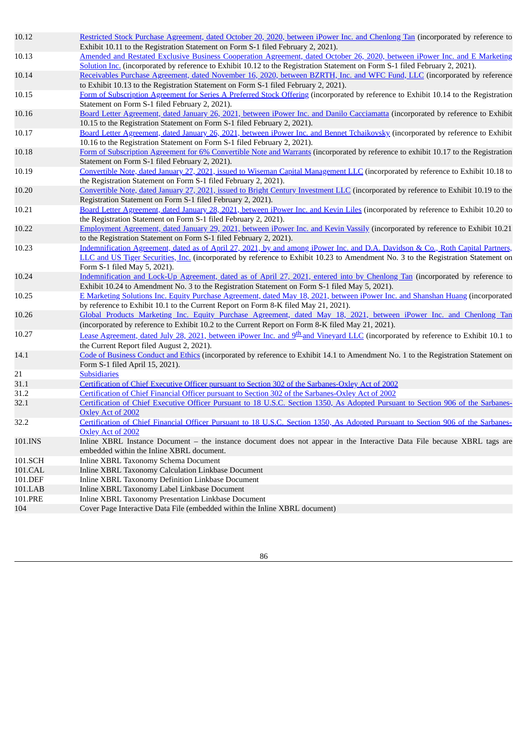- 10.12 Restricted Stock Purchase [Agreement,](http://www.sec.gov/Archives/edgar/data/1830072/000168316821000335/ipower_ex1011.htm) dated October 20, 2020, between iPower Inc. and Chenlong Tan (incorporated by reference to Exhibit 10.11 to the Registration Statement on Form S-1 filed February 2, 2021).
- 10.13 Amended and Restated Exclusive Business Cooperation Agreement, dated October 26, 2020, between iPower Inc. and E Marketing Solution Inc. [\(incorporated](http://www.sec.gov/Archives/edgar/data/1830072/000168316821000335/ipower_ex1012.htm) by reference to Exhibit 10.12 to the Registration Statement on Form S-1 filed February 2, 2021).
- 10.14 [Receivables](http://www.sec.gov/Archives/edgar/data/1830072/000168316821000335/ipower_ex1013.htm) Purchase Agreement, dated November 16, 2020, between BZRTH, Inc. and WFC Fund, LLC (incorporated by reference to Exhibit 10.13 to the Registration Statement on Form S-1 filed February 2, 2021).
- 10.15 Form of [Subscription](http://www.sec.gov/Archives/edgar/data/1830072/000168316821000335/ipower_ex1014.htm) Agreement for Series A Preferred Stock Offering (incorporated by reference to Exhibit 10.14 to the Registration Statement on Form S-1 filed February 2, 2021).
- 10.16 Board Letter Agreement, dated January 26, 2021, between iPower Inc. and Danilo [Cacciamatta](http://www.sec.gov/Archives/edgar/data/1830072/000168316821000335/ipower_ex1015.htm) (incorporated by reference to Exhibit 10.15 to the Registration Statement on Form S-1 filed February 2, 2021).
- 10.17 Board Letter Agreement, dated January 26, 2021, between iPower Inc. and Bennet [Tchaikovsky](http://www.sec.gov/Archives/edgar/data/1830072/000168316821000335/ipower_ex1016.htm) (incorporated by reference to Exhibit 10.16 to the Registration Statement on Form S-1 filed February 2, 2021).
- 10.18 Form of [Subscription](http://www.sec.gov/Archives/edgar/data/1830072/000168316821000335/ipower_ex1017.htm) Agreement for 6% Convertible Note and Warrants (incorporated by reference to exhibit 10.17 to the Registration Statement on Form S-1 filed February 2, 2021).
- 10.19 Convertible Note, dated January 27, 2021, issued to Wiseman Capital [Management](http://www.sec.gov/Archives/edgar/data/1830072/000168316821000335/ipower_ex1018.htm) LLC (incorporated by reference to Exhibit 10.18 to the Registration Statement on Form S-1 filed February 2, 2021).
- 10.20 [Convertible](http://www.sec.gov/Archives/edgar/data/1830072/000168316821000335/ipower_ex1019.htm) Note, dated January 27, 2021, issued to Bright Century Investment LLC (incorporated by reference to Exhibit 10.19 to the Registration Statement on Form S-1 filed February 2, 2021).
- 10.21 Board Letter [Agreement,](http://www.sec.gov/Archives/edgar/data/1830072/000168316821000335/ipower_ex1020.htm) dated January 28, 2021, between iPower Inc. and Kevin Liles (incorporated by reference to Exhibit 10.20 to the Registration Statement on Form S-1 filed February 2, 2021).
- 10.22 [Employment](http://www.sec.gov/Archives/edgar/data/1830072/000168316821000335/ipower_ex1021.htm) Agreement, dated January 29, 2021, between iPower Inc. and Kevin Vassily (incorporated by reference to Exhibit 10.21 to the Registration Statement on Form S-1 filed February 2, 2021).
- 10.23 [Indemnification](http://www.sec.gov/Archives/edgar/data/1830072/000168316821001774/ipower_ex1023.htm) Agreement, dated as of April 27, 2021, by and among iPower Inc. and D.A. Davidson & Co., Roth Capital Partners, LLC and US Tiger Securities, Inc. (incorporated by reference to Exhibit 10.23 to Amendment No. 3 to the Registration Statement on Form S-1 filed May 5, 2021).
- 10.24 [Indemnification](http://www.sec.gov/Archives/edgar/data/1830072/000168316821001774/ipower_ex1024.htm) and Lock-Up Agreement, dated as of April 27, 2021, entered into by Chenlong Tan (incorporated by reference to Exhibit 10.24 to Amendment No. 3 to the Registration Statement on Form S-1 filed May 5, 2021).
- 10.25 E Marketing Solutions Inc. Equity Purchase [Agreement,](http://www.sec.gov/Archives/edgar/data/1830072/000168316821002157/ipower_ex1001.htm) dated May 18, 2021, between iPower Inc. and Shanshan Huang (incorporated by reference to Exhibit 10.1 to the Current Report on Form 8-K filed May 21, 2021).
- 10.26 Global Products Marketing Inc. Equity Purchase [Agreement,](http://www.sec.gov/Archives/edgar/data/1830072/000168316821002157/ipower_ex1002.htm) dated May 18, 2021, between iPower Inc. and Chenlong Tan (incorporated by reference to Exhibit 10.2 to the Current Report on Form 8-K filed May 21, 2021).
- 10.27 Lease [Agreement,](http://www.sec.gov/Archives/edgar/data/1830072/000168316821003207/ipower_ex1001.htm) dated July 28, 2021, between iPower Inc. and 9<sup>th</sup> and Vineyard LLC (incorporated by reference to Exhibit 10.1 to the Current Report filed August 2, 2021).
- 14.1 Code of [Business](http://www.sec.gov/Archives/edgar/data/1830072/000168316821001406/ipower_ex1401.htm) Conduct and Ethics (incorporated by reference to Exhibit 14.1 to Amendment No. 1 to the Registration Statement on Form S-1 filed April 15, 2021).
- 21 [Subsidiaries](#page-88-0)<br>31.1 Certification
- 31.1 Certification of Chief Executive Officer pursuant to Section 302 of the [Sarbanes-Oxley](#page-89-0) Act of 2002
- 31.2 Certification of Chief Financial Officer pursuant to Section 302 of the [Sarbanes-Oxley](#page-90-0) Act of 2002
- 32.1 [Certification](#page-91-0) of Chief Executive Officer Pursuant to 18 U.S.C. Section 1350, As Adopted Pursuant to Section 906 of the Sarbanes-Oxley Act of 2002
- 32.2 [Certification](#page-92-0) of Chief Financial Officer Pursuant to 18 U.S.C. Section 1350, As Adopted Pursuant to Section 906 of the Sarbanes-Oxley Act of 2002
- 101.INS Inline XBRL Instance Document the instance document does not appear in the Interactive Data File because XBRL tags are embedded within the Inline XBRL document.
- 101.SCH Inline XBRL Taxonomy Schema Document
- 101.CAL Inline XBRL Taxonomy Calculation Linkbase Document
- 101.DEF Inline XBRL Taxonomy Definition Linkbase Document
- 101.LAB Inline XBRL Taxonomy Label Linkbase Document
- 101.PRE Inline XBRL Taxonomy Presentation Linkbase Document
- 104 Cover Page Interactive Data File (embedded within the Inline XBRL document)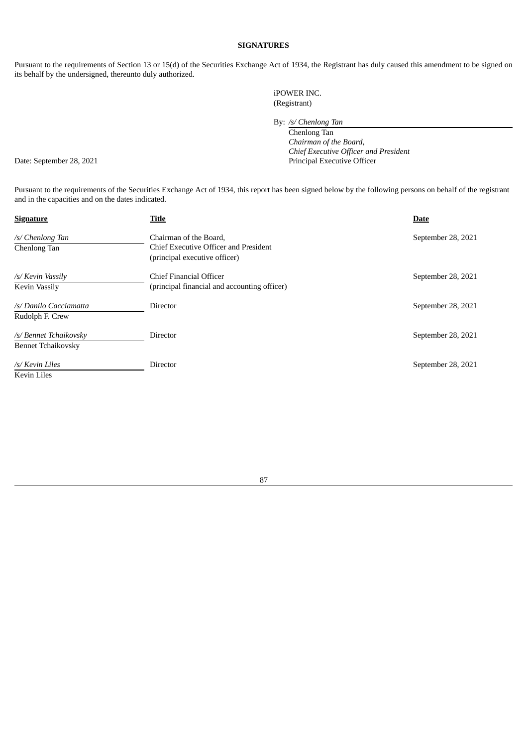# **SIGNATURES**

Pursuant to the requirements of Section 13 or 15(d) of the Securities Exchange Act of 1934, the Registrant has duly caused this amendment to be signed on its behalf by the undersigned, thereunto duly authorized.

> iPOWER INC. (Registrant)

By: */s/ Chenlong Tan*

Chenlong Tan *Chairman of the Board, Chief Executive Officer and President* Date: September 28, 2021 Principal Executive Officer

Pursuant to the requirements of the Securities Exchange Act of 1934, this report has been signed below by the following persons on behalf of the registrant and in the capacities and on the dates indicated.

| <b>Signature</b>                                    | <b>Title</b>                                                                                     | <b>Date</b>        |
|-----------------------------------------------------|--------------------------------------------------------------------------------------------------|--------------------|
| /s/ Chenlong Tan<br>Chenlong Tan                    | Chairman of the Board,<br>Chief Executive Officer and President<br>(principal executive officer) | September 28, 2021 |
| /s/ Kevin Vassily<br>Kevin Vassily                  | Chief Financial Officer<br>(principal financial and accounting officer)                          | September 28, 2021 |
| /s/ Danilo Cacciamatta<br>Rudolph F. Crew           | Director                                                                                         | September 28, 2021 |
| /s/ Bennet Tchaikovsky<br><b>Bennet Tchaikovsky</b> | Director                                                                                         | September 28, 2021 |
| /s/ Kevin Liles<br><b>Kevin Liles</b>               | Director                                                                                         | September 28, 2021 |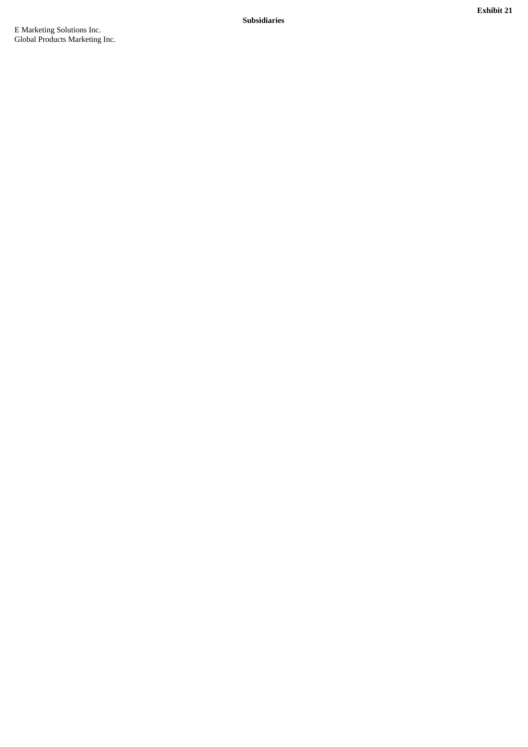<span id="page-88-0"></span>E Marketing Solutions Inc. Global Products Marketing I n c.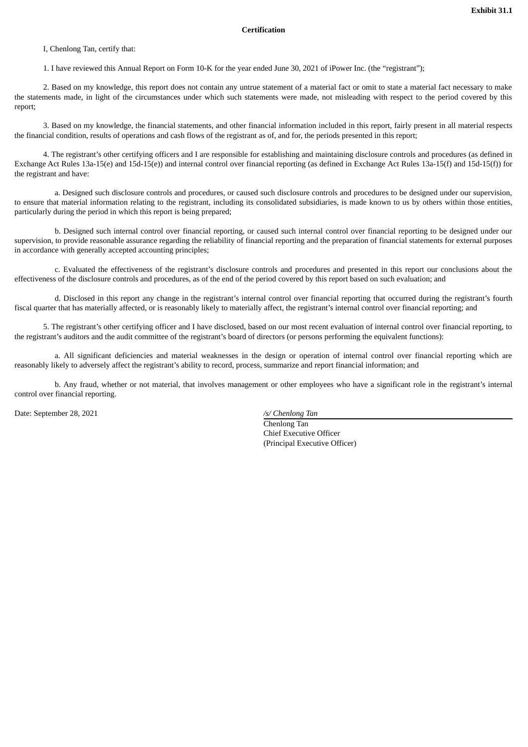## **Certification**

<span id="page-89-0"></span>I, Chenlong Tan, certify that:

1. I have reviewed this Annual Report on Form 10-K for the year ended June 30, 2021 of iPower Inc. (the "registrant");

2. Based on my knowledge, this report does not contain any untrue statement of a material fact or omit to state a material fact necessary to make the statements made, in light of the circumstances under which such statements were made, not misleading with respect to the period covered by this report;

3. Based on my knowledge, the financial statements, and other financial information included in this report, fairly present in all material respects the financial condition, results of operations and cash flows of the registrant as of, and for, the periods presented in this report;

4. The registrant's other certifying officers and I are responsible for establishing and maintaining disclosure controls and procedures (as defined in Exchange Act Rules 13a-15(e) and 15d-15(e)) and internal control over financial reporting (as defined in Exchange Act Rules 13a-15(f) and 15d-15(f)) for the registrant and have:

a. Designed such disclosure controls and procedures, or caused such disclosure controls and procedures to be designed under our supervision, to ensure that material information relating to the registrant, including its consolidated subsidiaries, is made known to us by others within those entities, particularly during the period in which this report is being prepared;

b. Designed such internal control over financial reporting, or caused such internal control over financial reporting to be designed under our supervision, to provide reasonable assurance regarding the reliability of financial reporting and the preparation of financial statements for external purposes in accordance with generally accepted accounting principles;

c. Evaluated the effectiveness of the registrant's disclosure controls and procedures and presented in this report our conclusions about the effectiveness of the disclosure controls and procedures, as of the end of the period covered by this report based on such evaluation; and

d. Disclosed in this report any change in the registrant's internal control over financial reporting that occurred during the registrant's fourth fiscal quarter that has materially affected, or is reasonably likely to materially affect, the registrant's internal control over financial reporting; and

5. The registrant's other certifying officer and I have disclosed, based on our most recent evaluation of internal control over financial reporting, to the registrant's auditors and the audit committee of the registrant's board of directors (or persons performing the equivalent functions):

a. All significant deficiencies and material weaknesses in the design or operation of internal control over financial reporting which are reasonably likely to adversely affect the registrant's ability to record, process, summarize and report financial information; and

b. Any fraud, whether or not material, that involves management or other employees who have a significant role in the registrant's internal control over financial reporting.

Date: September 28, 2021 */s/ Chenlong Tan*

Chenlong Tan Chief Executive Officer (Principal Executive Officer)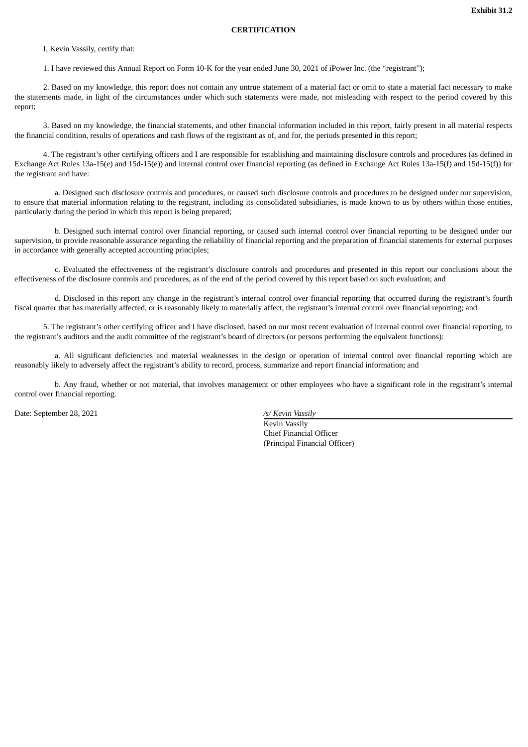## **CERTIFICATION**

<span id="page-90-0"></span>I, Kevin Vassily, certify that:

1. I have reviewed this Annual Report on Form 10-K for the year ended June 30, 2021 of iPower Inc. (the "registrant");

2. Based on my knowledge, this report does not contain any untrue statement of a material fact or omit to state a material fact necessary to make the statements made, in light of the circumstances under which such statements were made, not misleading with respect to the period covered by this report;

3. Based on my knowledge, the financial statements, and other financial information included in this report, fairly present in all material respects the financial condition, results of operations and cash flows of the registrant as of, and for, the periods presented in this report;

4. The registrant's other certifying officers and I are responsible for establishing and maintaining disclosure controls and procedures (as defined in Exchange Act Rules 13a-15(e) and 15d-15(e)) and internal control over financial reporting (as defined in Exchange Act Rules 13a-15(f) and 15d-15(f)) for the registrant and have:

a. Designed such disclosure controls and procedures, or caused such disclosure controls and procedures to be designed under our supervision, to ensure that material information relating to the registrant, including its consolidated subsidiaries, is made known to us by others within those entities, particularly during the period in which this report is being prepared;

b. Designed such internal control over financial reporting, or caused such internal control over financial reporting to be designed under our supervision, to provide reasonable assurance regarding the reliability of financial reporting and the preparation of financial statements for external purposes in accordance with generally accepted accounting principles;

c. Evaluated the effectiveness of the registrant's disclosure controls and procedures and presented in this report our conclusions about the effectiveness of the disclosure controls and procedures, as of the end of the period covered by this report based on such evaluation; and

d. Disclosed in this report any change in the registrant's internal control over financial reporting that occurred during the registrant's fourth fiscal quarter that has materially affected, or is reasonably likely to materially affect, the registrant's internal control over financial reporting; and

5. The registrant's other certifying officer and I have disclosed, based on our most recent evaluation of internal control over financial reporting, to the registrant's auditors and the audit committee of the registrant's board of directors (or persons performing the equivalent functions):

a. All significant deficiencies and material weaknesses in the design or operation of internal control over financial reporting which are reasonably likely to adversely affect the registrant's ability to record, process, summarize and report financial information; and

b. Any fraud, whether or not material, that involves management or other employees who have a significant role in the registrant's internal control over financial reporting.

Date: September 28, 2021 */s/ Kevin Vassily*

Kevin Vassily Chief Financial Officer (Principal Financial Officer)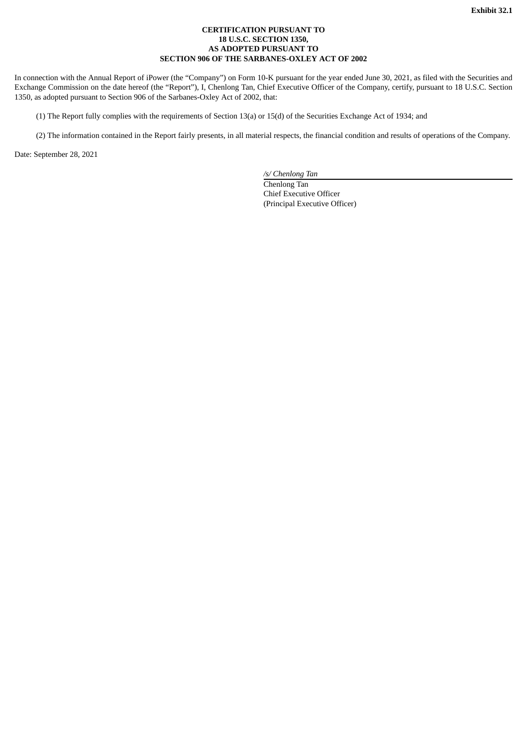# **CERTIFICATION PURSUANT TO 18 U.S.C. SECTION 1350, AS ADOPTED PURSUANT TO SECTION 906 OF THE SARBANES-OXLEY ACT OF 2002**

<span id="page-91-0"></span>In connection with the Annual Report of iPower (the "Company") on Form 10-K pursuant for the year ended June 30, 2021, as filed with the Securities and Exchange Commission on the date hereof (the "Report"), I, Chenlong Tan, Chief Executive Officer of the Company, certify, pursuant to 18 U.S.C. Section 1350, as adopted pursuant to Section 906 of the Sarbanes-Oxley Act of 2002, that:

(1) The Report fully complies with the requirements of Section 13(a) or 15(d) of the Securities Exchange Act of 1934; and

(2) The information contained in the Report fairly presents, in all material respects, the financial condition and results of operations of the Company.

Date: September 28, 2021

*/s/ Chenlong Tan*

Chenlong Tan Chief Executive Officer (Principal Executive Officer)